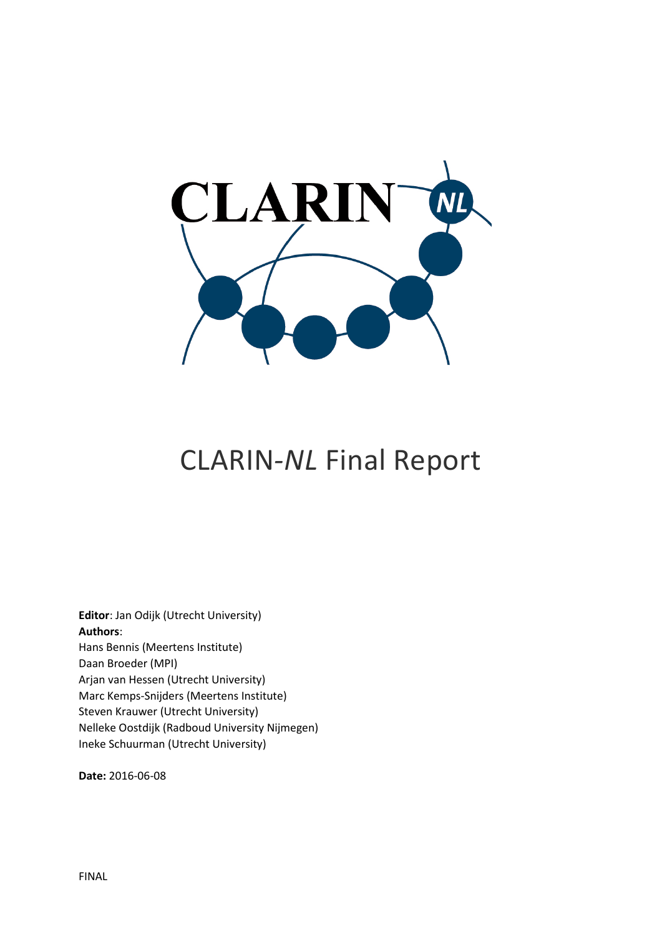

**Editor**: Jan Odijk (Utrecht University) **Authors**: Hans Bennis (Meertens Institute) Daan Broeder (MPI) Arjan van Hessen (Utrecht University) Marc Kemps-Snijders (Meertens Institute) Steven Krauwer (Utrecht University) Nelleke Oostdijk (Radboud University Nijmegen) Ineke Schuurman (Utrecht University)

**Date:** 2016-06-08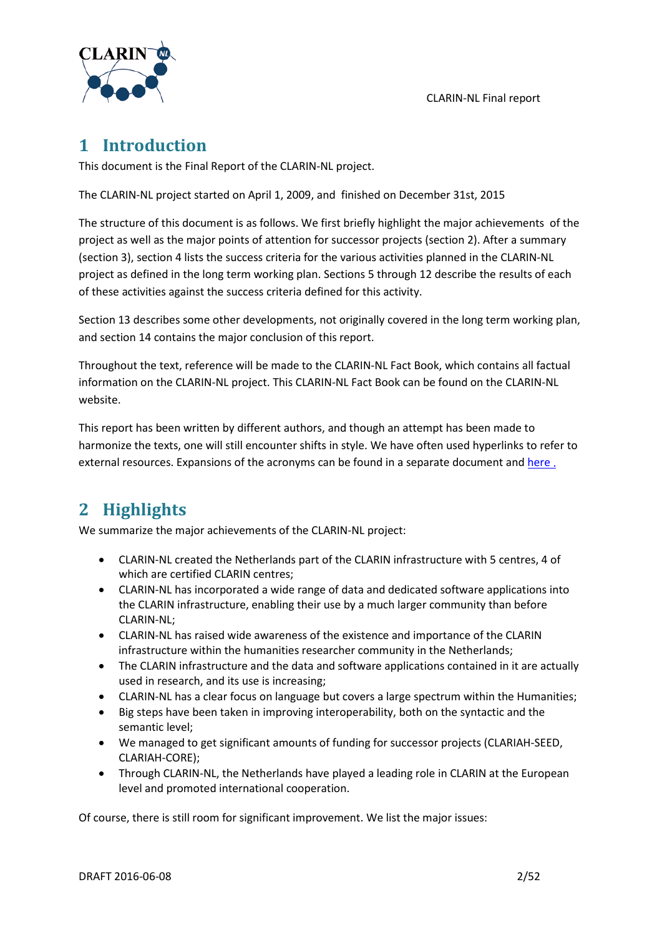

# **1 Introduction**

This document is the Final Report of the CLARIN-NL project.

The CLARIN-NL project started on April 1, 2009, and finished on December 31st, 2015

The structure of this document is as follows. We first briefly highlight the major achievements of the project as well as the major points of attention for successor projects (section [2\)](#page-1-0). After a summary (section [3\)](#page-2-0), sectio[n 4](#page-4-0) lists the success criteria for the various activities planned in the CLARIN-NL project as defined in the long term working plan. Sections [5](#page-6-0) through [12](#page-47-0) describe the results of each of these activities against the success criteria defined for this activity.

Section [13](#page-49-0) describes some other developments, not originally covered in the long term working plan, and section [14](#page-49-1) contains the major conclusion of this report.

Throughout the text, reference will be made to the CLARIN-NL Fact Book, which contains all factual information on the CLARIN-NL project. This CLARIN-NL Fact Book can be found on the CLARIN-NL website.

This report has been written by different authors, and though an attempt has been made to harmonize the texts, one will still encounter shifts in style. We have often used hyperlinks to refer to external resources. Expansions of the acronyms can be found in a separate document an[d here](http://www.clarin.eu/glossary) .

# <span id="page-1-0"></span>**2 Highlights**

We summarize the major achievements of the CLARIN-NL project:

- CLARIN-NL created the Netherlands part of the CLARIN infrastructure with 5 centres, 4 of which are certified CLARIN centres;
- CLARIN-NL has incorporated a wide range of data and dedicated software applications into the CLARIN infrastructure, enabling their use by a much larger community than before CLARIN-NL;
- CLARIN-NL has raised wide awareness of the existence and importance of the CLARIN infrastructure within the humanities researcher community in the Netherlands;
- The CLARIN infrastructure and the data and software applications contained in it are actually used in research, and its use is increasing;
- CLARIN-NL has a clear focus on language but covers a large spectrum within the Humanities;
- Big steps have been taken in improving interoperability, both on the syntactic and the semantic level;
- We managed to get significant amounts of funding for successor projects (CLARIAH-SEED, CLARIAH-CORE);
- Through CLARIN-NL, the Netherlands have played a leading role in CLARIN at the European level and promoted international cooperation.

Of course, there is still room for significant improvement. We list the major issues: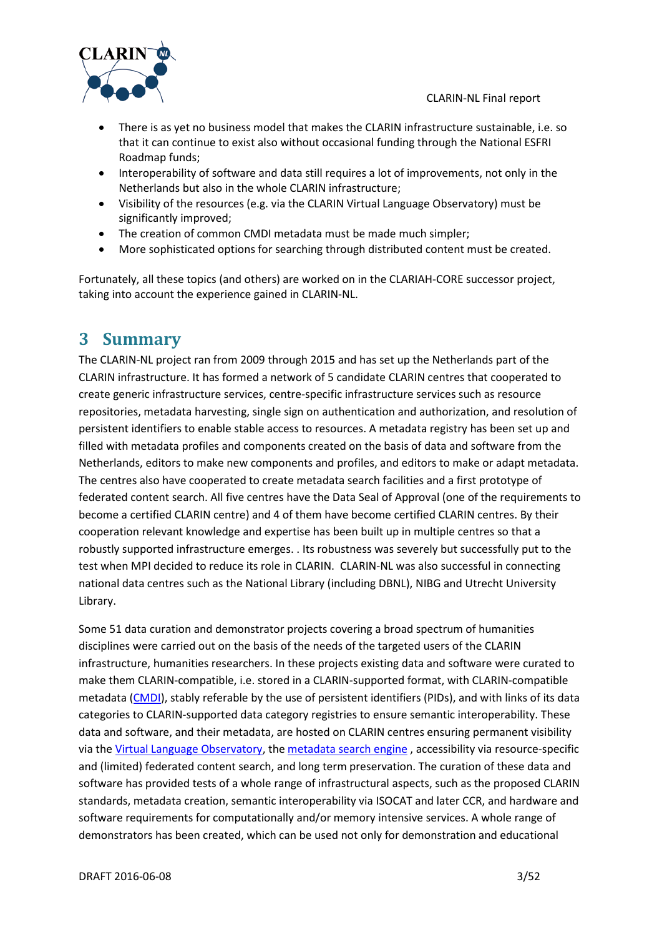

- There is as yet no business model that makes the CLARIN infrastructure sustainable, i.e. so that it can continue to exist also without occasional funding through the National ESFRI Roadmap funds;
- Interoperability of software and data still requires a lot of improvements, not only in the Netherlands but also in the whole CLARIN infrastructure;
- Visibility of the resources (e.g. via the CLARIN Virtual Language Observatory) must be significantly improved;
- The creation of common CMDI metadata must be made much simpler;
- More sophisticated options for searching through distributed content must be created.

<span id="page-2-0"></span>Fortunately, all these topics (and others) are worked on in the CLARIAH-CORE successor project, taking into account the experience gained in CLARIN-NL.

# **3 Summary**

The CLARIN-NL project ran from 2009 through 2015 and has set up the Netherlands part of the CLARIN infrastructure. It has formed a network of 5 candidate CLARIN centres that cooperated to create generic infrastructure services, centre-specific infrastructure services such as resource repositories, metadata harvesting, single sign on authentication and authorization, and resolution of persistent identifiers to enable stable access to resources. A metadata registry has been set up and filled with metadata profiles and components created on the basis of data and software from the Netherlands, editors to make new components and profiles, and editors to make or adapt metadata. The centres also have cooperated to create metadata search facilities and a first prototype of federated content search. All five centres have the Data Seal of Approval (one of the requirements to become a certified CLARIN centre) and 4 of them have become certified CLARIN centres. By their cooperation relevant knowledge and expertise has been built up in multiple centres so that a robustly supported infrastructure emerges. . Its robustness was severely but successfully put to the test when MPI decided to reduce its role in CLARIN. CLARIN-NL was also successful in connecting national data centres such as the National Library (including DBNL), NIBG and Utrecht University Library.

Some 51 data curation and demonstrator projects covering a broad spectrum of humanities disciplines were carried out on the basis of the needs of the targeted users of the CLARIN infrastructure, humanities researchers. In these projects existing data and software were curated to make them CLARIN-compatible, i.e. stored in a CLARIN-supported format, with CLARIN-compatible metadata [\(CMDI\)](http://www.clarin.eu/node/3219), stably referable by the use of persistent identifiers (PIDs), and with links of its data categories to CLARIN-supported data category registries to ensure semantic interoperability. These data and software, and their metadata, are hosted on CLARIN centres ensuring permanent visibility via th[e Virtual Language Observatory,](http://www.clarin.eu/vlo) the [metadata search engine](http://www.meertens.knaw.nl/cmdi/search) , accessibility via resource-specific and (limited) federated content search, and long term preservation. The curation of these data and software has provided tests of a whole range of infrastructural aspects, such as the proposed CLARIN standards, metadata creation, semantic interoperability via ISOCAT and later CCR, and hardware and software requirements for computationally and/or memory intensive services. A whole range of demonstrators has been created, which can be used not only for demonstration and educational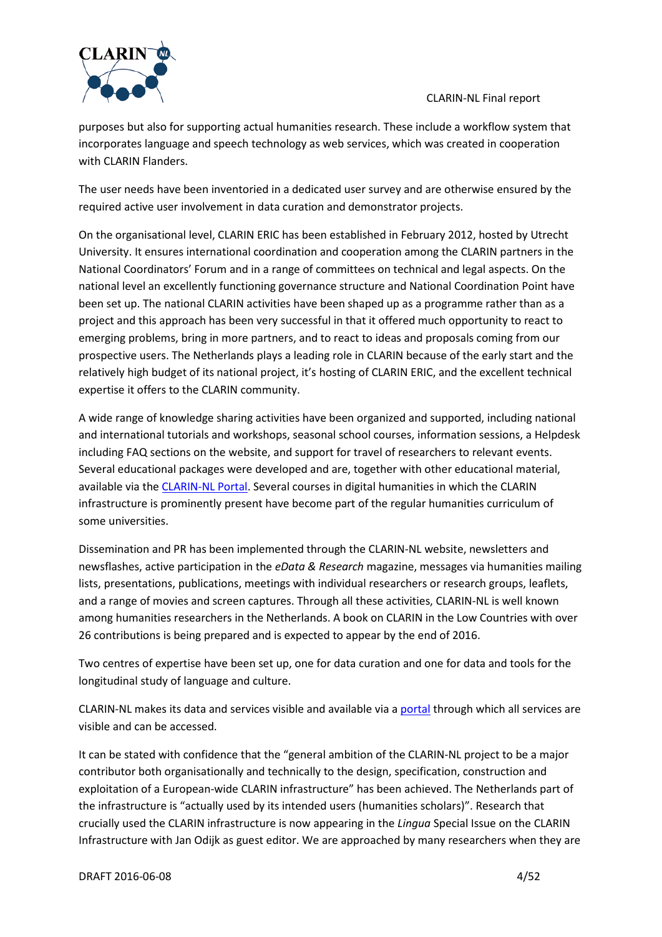

purposes but also for supporting actual humanities research. These include a workflow system that incorporates language and speech technology as web services, which was created in cooperation with CLARIN Flanders.

The user needs have been inventoried in a dedicated user survey and are otherwise ensured by the required active user involvement in data curation and demonstrator projects.

On the organisational level, CLARIN ERIC has been established in February 2012, hosted by Utrecht University. It ensures international coordination and cooperation among the CLARIN partners in the National Coordinators' Forum and in a range of committees on technical and legal aspects. On the national level an excellently functioning governance structure and National Coordination Point have been set up. The national CLARIN activities have been shaped up as a programme rather than as a project and this approach has been very successful in that it offered much opportunity to react to emerging problems, bring in more partners, and to react to ideas and proposals coming from our prospective users. The Netherlands plays a leading role in CLARIN because of the early start and the relatively high budget of its national project, it's hosting of CLARIN ERIC, and the excellent technical expertise it offers to the CLARIN community.

A wide range of knowledge sharing activities have been organized and supported, including national and international tutorials and workshops, seasonal school courses, information sessions, a Helpdesk including FAQ sections on the website, and support for travel of researchers to relevant events. Several educational packages were developed and are, together with other educational material, available via th[e CLARIN-NL Portal.](http://portal.clarin.nl/) Several courses in digital humanities in which the CLARIN infrastructure is prominently present have become part of the regular humanities curriculum of some universities.

Dissemination and PR has been implemented through the CLARIN-NL website, newsletters and newsflashes, active participation in the *eData & Research* magazine, messages via humanities mailing lists, presentations, publications, meetings with individual researchers or research groups, leaflets, and a range of movies and screen captures. Through all these activities, CLARIN-NL is well known among humanities researchers in the Netherlands. A book on CLARIN in the Low Countries with over 26 contributions is being prepared and is expected to appear by the end of 2016.

Two centres of expertise have been set up, one for data curation and one for data and tools for the longitudinal study of language and culture.

CLARIN-NL makes its data and services visible and available via a portal through which all services are visible and can be accessed.

It can be stated with confidence that the "general ambition of the CLARIN-NL project to be a major contributor both organisationally and technically to the design, specification, construction and exploitation of a European-wide CLARIN infrastructure" has been achieved. The Netherlands part of the infrastructure is "actually used by its intended users (humanities scholars)". Research that crucially used the CLARIN infrastructure is now appearing in the *Lingua* Special Issue on the CLARIN Infrastructure with Jan Odijk as guest editor. We are approached by many researchers when they are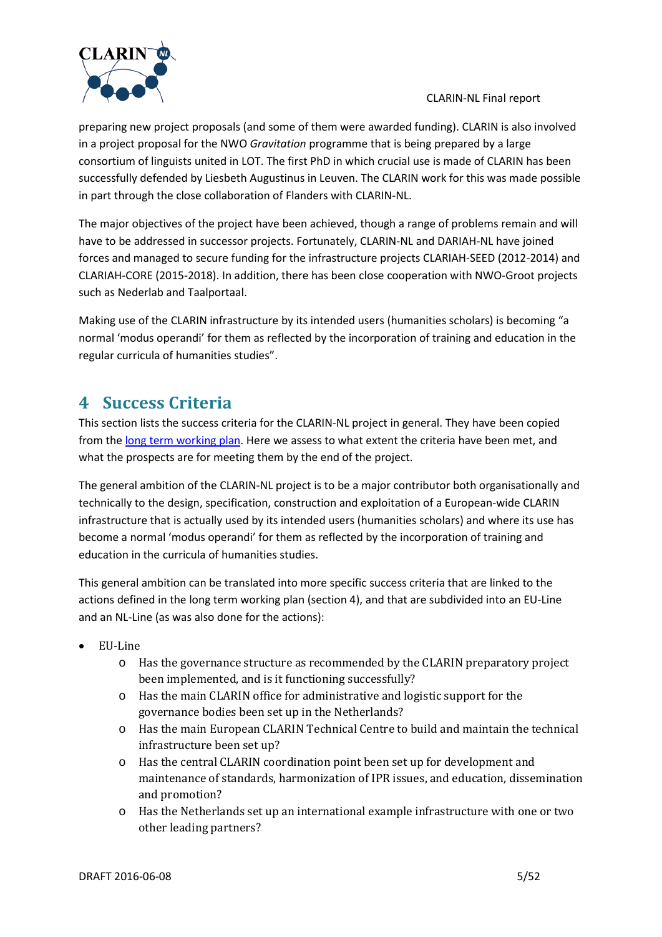

preparing new project proposals (and some of them were awarded funding). CLARIN is also involved in a project proposal for the NWO *Gravitation* programme that is being prepared by a large consortium of linguists united in LOT. The first PhD in which crucial use is made of CLARIN has been successfully defended by Liesbeth Augustinus in Leuven. The CLARIN work for this was made possible in part through the close collaboration of Flanders with CLARIN-NL.

The major objectives of the project have been achieved, though a range of problems remain and will have to be addressed in successor projects. Fortunately, CLARIN-NL and DARIAH-NL have joined forces and managed to secure funding for the infrastructure projects CLARIAH-SEED (2012-2014) and CLARIAH-CORE (2015-2018). In addition, there has been close cooperation with NWO-Groot projects such as Nederlab and Taalportaal.

Making use of the CLARIN infrastructure by its intended users (humanities scholars) is becoming "a normal 'modus operandi' for them as reflected by the incorporation of training and education in the regular curricula of humanities studies".

# <span id="page-4-0"></span>**4 Success Criteria**

This section lists the success criteria for the CLARIN-NL project in general. They have been copied from th[e long term working plan.](http://www.clarin.nl/sites/default/files/CLARIN-NL%20Multiyear%20Programme%20090409-2.pdf) Here we assess to what extent the criteria have been met, and what the prospects are for meeting them by the end of the project.

The general ambition of the CLARIN-NL project is to be a major contributor both organisationally and technically to the design, specification, construction and exploitation of a European-wide CLARIN infrastructure that is actually used by its intended users (humanities scholars) and where its use has become a normal 'modus operandi' for them as reflected by the incorporation of training and education in the curricula of humanities studies.

This general ambition can be translated into more specific success criteria that are linked to the actions defined in the long term working plan (section 4), and that are subdivided into an EU-Line and an NL-Line (as was also done for the actions):

- EU-Line
	- o Has the governance structure as recommended by the CLARIN preparatory project been implemented, and is it functioning successfully?
	- o Has the main CLARIN office for administrative and logistic support for the governance bodies been set up in the Netherlands?
	- o Has the main European CLARIN Technical Centre to build and maintain the technical infrastructure been set up?
	- o Has the central CLARIN coordination point been set up for development and maintenance of standards, harmonization of IPR issues, and education, dissemination and promotion?
	- o Has the Netherlands set up an international example infrastructure with one or two other leading partners?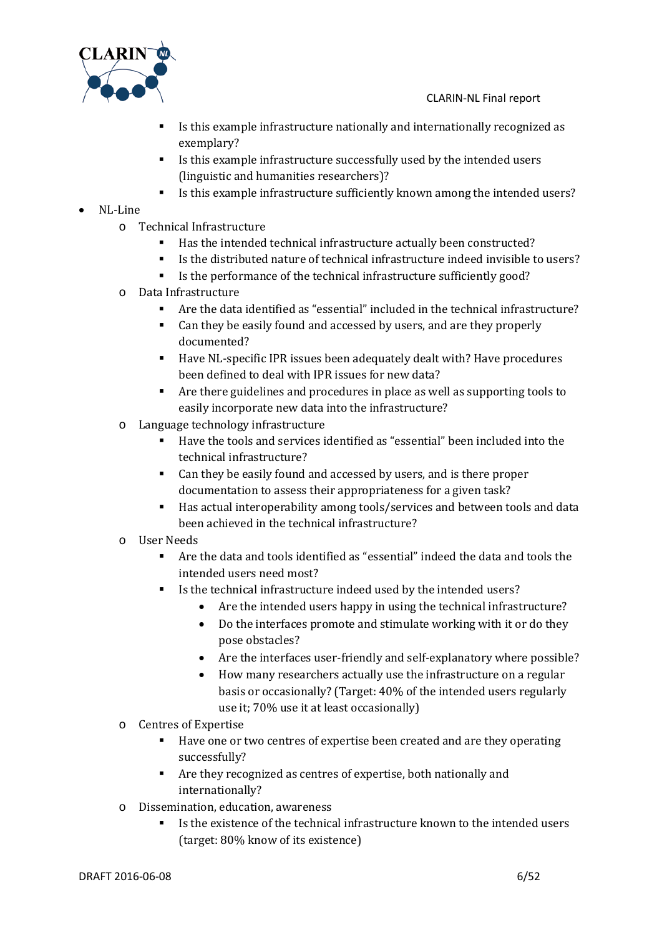

- Is this example infrastructure nationally and internationally recognized as exemplary?
- Is this example infrastructure successfully used by the intended users (linguistic and humanities researchers)?
- Is this example infrastructure sufficiently known among the intended users?
- NL-Line
	- o Technical Infrastructure
		- Has the intended technical infrastructure actually been constructed?
		- Is the distributed nature of technical infrastructure indeed invisible to users?
		- Is the performance of the technical infrastructure sufficiently good?
	- o Data Infrastructure
		- Are the data identified as "essential" included in the technical infrastructure?
		- Can they be easily found and accessed by users, and are they properly documented?
		- Have NL-specific IPR issues been adequately dealt with? Have procedures been defined to deal with IPR issues for new data?
		- Are there guidelines and procedures in place as well as supporting tools to easily incorporate new data into the infrastructure?
	- o Language technology infrastructure
		- Have the tools and services identified as "essential" been included into the technical infrastructure?
		- Can they be easily found and accessed by users, and is there proper documentation to assess their appropriateness for a given task?
		- Has actual interoperability among tools/services and between tools and data been achieved in the technical infrastructure?
	- o User Needs
		- Are the data and tools identified as "essential" indeed the data and tools the intended users need most?
		- Is the technical infrastructure indeed used by the intended users?
			- Are the intended users happy in using the technical infrastructure?
			- Do the interfaces promote and stimulate working with it or do they pose obstacles?
			- Are the interfaces user-friendly and self-explanatory where possible?
			- How many researchers actually use the infrastructure on a regular basis or occasionally? (Target: 40% of the intended users regularly use it; 70% use it at least occasionally)
	- o Centres of Expertise
		- Have one or two centres of expertise been created and are they operating successfully?
		- Are they recognized as centres of expertise, both nationally and internationally?
	- o Dissemination, education, awareness
		- Is the existence of the technical infrastructure known to the intended users (target: 80% know of its existence)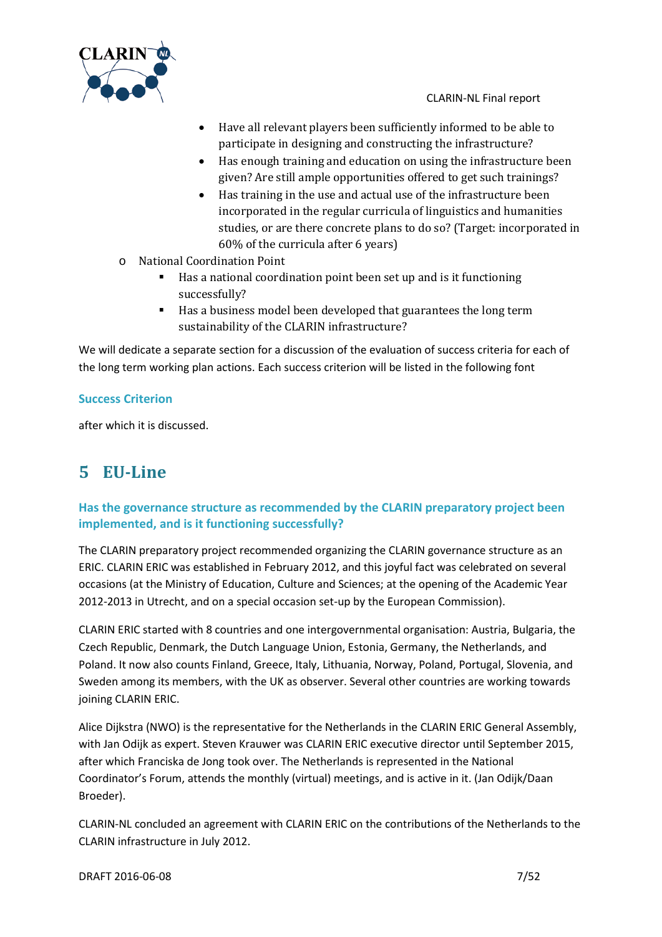



- Have all relevant players been sufficiently informed to be able to participate in designing and constructing the infrastructure?
- Has enough training and education on using the infrastructure been given? Are still ample opportunities offered to get such trainings?
- Has training in the use and actual use of the infrastructure been incorporated in the regular curricula of linguistics and humanities studies, or are there concrete plans to do so? (Target: incorporated in 60% of the curricula after 6 years)
- o National Coordination Point
	- Has a national coordination point been set up and is it functioning successfully?
	- Has a business model been developed that guarantees the long term sustainability of the CLARIN infrastructure?

We will dedicate a separate section for a discussion of the evaluation of success criteria for each of the long term working plan actions. Each success criterion will be listed in the following font

# **Success Criterion**

after which it is discussed.

# <span id="page-6-0"></span>**5 EU-Line**

# **Has the governance structure as recommended by the CLARIN preparatory project been implemented, and is it functioning successfully?**

The CLARIN preparatory project recommended organizing the CLARIN governance structure as an ERIC. CLARIN ERIC was established in February 2012, and this joyful fact was celebrated on several occasions (at the Ministry of Education, Culture and Sciences; at the opening of the Academic Year 2012-2013 in Utrecht, and on a special occasion set-up by the European Commission).

CLARIN ERIC started with 8 countries and one intergovernmental organisation: Austria, Bulgaria, the Czech Republic, Denmark, the Dutch Language Union, Estonia, Germany, the Netherlands, and Poland. It now also counts Finland, Greece, Italy, Lithuania, Norway, Poland, Portugal, Slovenia, and Sweden among its members, with the UK as observer. Several other countries are working towards joining CLARIN ERIC.

Alice Dijkstra (NWO) is the representative for the Netherlands in the CLARIN ERIC General Assembly, with Jan Odijk as expert. Steven Krauwer was CLARIN ERIC executive director until September 2015, after which Franciska de Jong took over. The Netherlands is represented in the National Coordinator's Forum, attends the monthly (virtual) meetings, and is active in it. (Jan Odijk/Daan Broeder).

CLARIN-NL concluded an agreement with CLARIN ERIC on the contributions of the Netherlands to the CLARIN infrastructure in July 2012.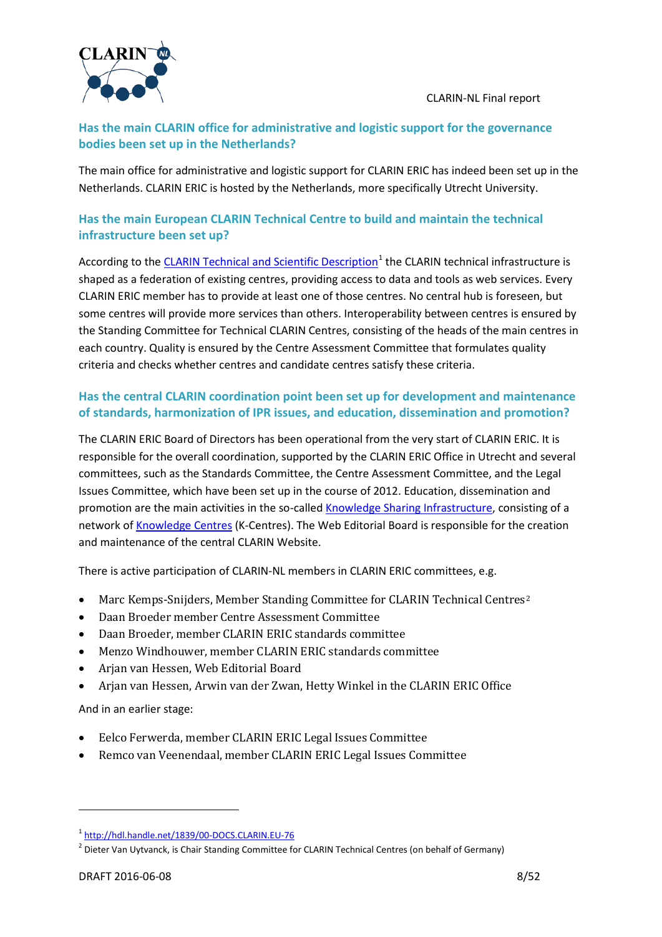

# **Has the main CLARIN office for administrative and logistic support for the governance bodies been set up in the Netherlands?**

The main office for administrative and logistic support for CLARIN ERIC has indeed been set up in the Netherlands. CLARIN ERIC is hosted by the Netherlands, more specifically Utrecht University.

# **Has the main European CLARIN Technical Centre to build and maintain the technical infrastructure been set up?**

According to the [CLARIN Technical and Scientific Description](http://hdl.handle.net/1839/00-DOCS.CLARIN.EU-76)<sup>[1](#page-7-0)</sup> the CLARIN technical infrastructure is shaped as a federation of existing centres, providing access to data and tools as web services. Every CLARIN ERIC member has to provide at least one of those centres. No central hub is foreseen, but some centres will provide more services than others. Interoperability between centres is ensured by the Standing Committee for Technical CLARIN Centres, consisting of the heads of the main centres in each country. Quality is ensured by the Centre Assessment Committee that formulates quality criteria and checks whether centres and candidate centres satisfy these criteria.

# **Has the central CLARIN coordination point been set up for development and maintenance of standards, harmonization of IPR issues, and education, dissemination and promotion?**

The CLARIN ERIC Board of Directors has been operational from the very start of CLARIN ERIC. It is responsible for the overall coordination, supported by the CLARIN ERIC Office in Utrecht and several committees, such as the Standards Committee, the Centre Assessment Committee, and the Legal Issues Committee, which have been set up in the course of 2012. Education, dissemination and promotion are the main activities in the so-called [Knowledge Sharing Infrastructure,](http://www.clarin.eu/content/knowledge-sharing) consisting of a network o[f Knowledge Centres](http://www.clarin.eu/node/4061) (K-Centres). The Web Editorial Board is responsible for the creation and maintenance of the central CLARIN Website.

There is active participation of CLARIN-NL members in CLARIN ERIC committees, e.g.

- Marc Kemps-Snijders, Member Standing Committee for CLARIN Technical Centres<sup>[2](#page-7-1)</sup>
- Daan Broeder member Centre Assessment Committee
- Daan Broeder, member CLARIN ERIC standards committee
- Menzo Windhouwer, member CLARIN ERIC standards committee
- Arjan van Hessen, Web Editorial Board
- Arjan van Hessen, Arwin van der Zwan, Hetty Winkel in the CLARIN ERIC Office

And in an earlier stage:

- Eelco Ferwerda, member CLARIN ERIC Legal Issues Committee
- Remco van Veenendaal, member CLARIN ERIC Legal Issues Committee

<span id="page-7-0"></span><sup>1</sup> <http://hdl.handle.net/1839/00-DOCS.CLARIN.EU-76>

<span id="page-7-1"></span><sup>&</sup>lt;sup>2</sup> Dieter Van Uytvanck, is Chair Standing Committee for CLARIN Technical Centres (on behalf of Germany)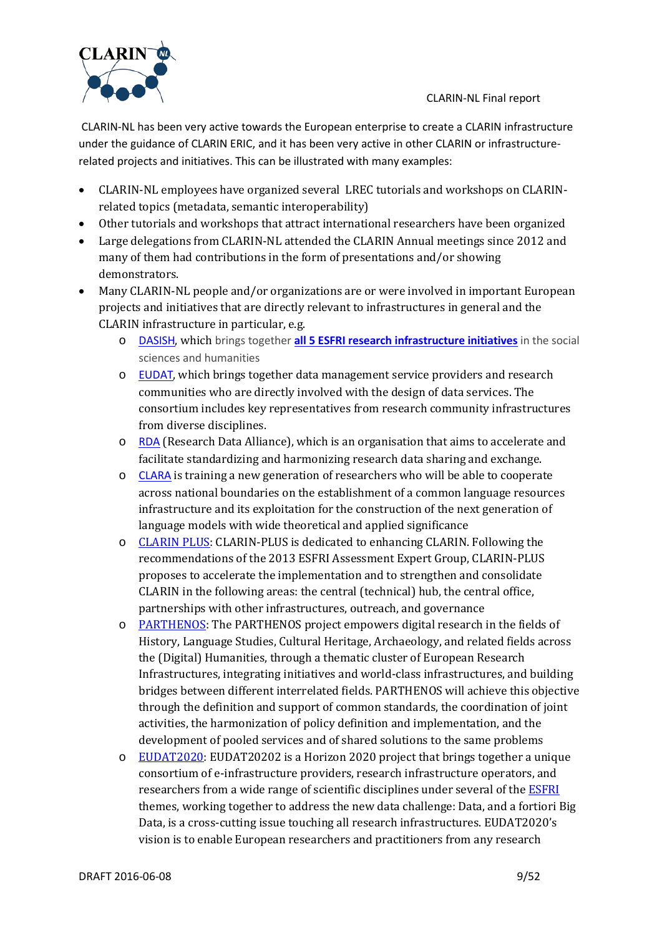

CLARIN-NL has been very active towards the European enterprise to create a CLARIN infrastructure under the guidance of CLARIN ERIC, and it has been very active in other CLARIN or infrastructurerelated projects and initiatives. This can be illustrated with many examples:

- CLARIN-NL employees have organized several LREC tutorials and workshops on CLARINrelated topics (metadata, semantic interoperability)
- Other tutorials and workshops that attract international researchers have been organized
- Large delegations from CLARIN-NL attended the CLARIN Annual meetings since 2012 and many of them had contributions in the form of presentations and/or showing demonstrators.
- Many CLARIN-NL people and/or organizations are or were involved in important European projects and initiatives that are directly relevant to infrastructures in general and the CLARIN infrastructure in particular, e.g.
	- o [DASISH](http://dasish.eu/), which brings together **[all 5 ESFRI research infrastructure initiatives](http://dasish.eu/links/)** in the social sciences and humanities
	- o [EUDAT](http://www.eudat.eu/), which brings together data management service providers and research communities who are directly involved with the design of data services. The consortium includes key representatives from research community infrastructures from diverse disciplines.
	- o [RDA](http://rd-alliance.org/) (Research Data Alliance), which is an organisation that aims to accelerate and facilitate standardizing and harmonizing research data sharing and exchange.
	- o [CLARA](http://clara.uib.no/) is training a new generation of researchers who will be able to cooperate across national boundaries on the establishment of a common language resources infrastructure and its exploitation for the construction of the next generation of language models with wide theoretical and applied significance
	- o [CLARIN PLUS:](https://www.clarin.eu/node/4213) CLARIN-PLUS is dedicated to enhancing CLARIN. Following the recommendations of the 2013 ESFRI Assessment Expert Group, CLARIN-PLUS proposes to accelerate the implementation and to strengthen and consolidate CLARIN in the following areas: the central (technical) hub, the central office, partnerships with other infrastructures, outreach, and governance
	- o [PARTHENOS:](https://www.clarin.eu/node/4209) The PARTHENOS project empowers digital research in the fields of History, Language Studies, Cultural Heritage, Archaeology, and related fields across the (Digital) Humanities, through a thematic cluster of European Research Infrastructures, integrating initiatives and world-class infrastructures, and building bridges between different interrelated fields. PARTHENOS will achieve this objective through the definition and support of common standards, the coordination of joint activities, the harmonization of policy definition and implementation, and the development of pooled services and of shared solutions to the same problems
	- $\circ$  [EUDAT2020:](https://www.clarin.eu/node/4214) EUDAT20202 is a Horizon 2020 project that brings together a unique consortium of e-infrastructure providers, research infrastructure operators, and researchers from a wide range of scientific disciplines under several of th[e ESFRI](https://www.clarin.eu/glossary%23ESFRI) themes, working together to address the new data challenge: Data, and a fortiori Big Data, is a cross-cutting issue touching all research infrastructures. EUDAT2020's vision is to enable European researchers and practitioners from any research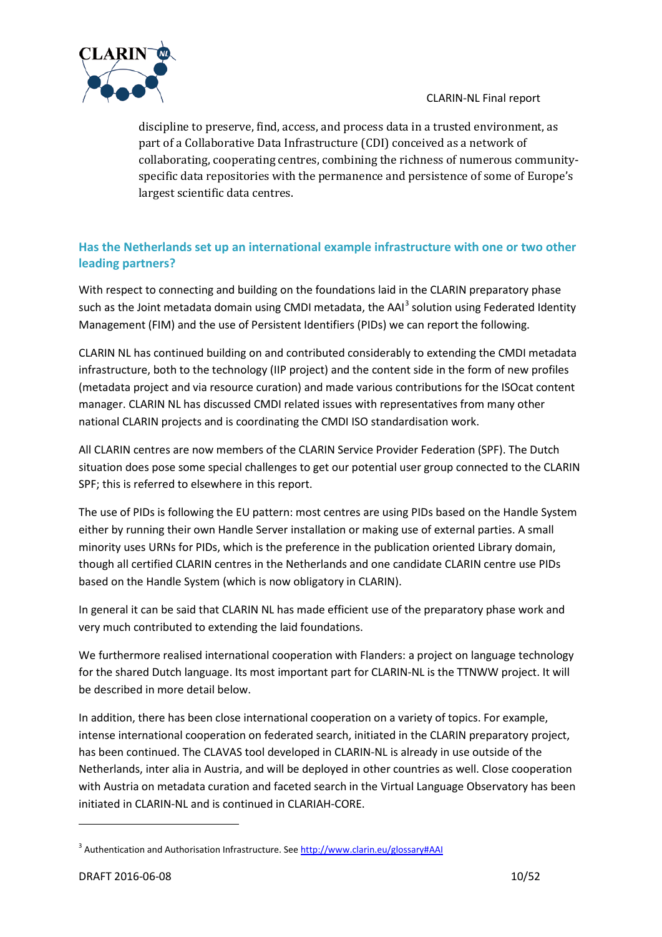

discipline to preserve, find, access, and process data in a trusted environment, as part of a Collaborative Data Infrastructure (CDI) conceived as a network of collaborating, cooperating centres, combining the richness of numerous communityspecific data repositories with the permanence and persistence of some of Europe's largest scientific data centres.

# **Has the Netherlands set up an international example infrastructure with one or two other leading partners?**

With respect to connecting and building on the foundations laid in the CLARIN preparatory phase such as the Joint metadata domain using CMDI metadata, the AAI<sup>[3](#page-9-0)</sup> solution using Federated Identity Management (FIM) and the use of Persistent Identifiers (PIDs) we can report the following.

CLARIN NL has continued building on and contributed considerably to extending the CMDI metadata infrastructure, both to the technology (IIP project) and the content side in the form of new profiles (metadata project and via resource curation) and made various contributions for the ISOcat content manager. CLARIN NL has discussed CMDI related issues with representatives from many other national CLARIN projects and is coordinating the CMDI ISO standardisation work.

All CLARIN centres are now members of the CLARIN Service Provider Federation (SPF). The Dutch situation does pose some special challenges to get our potential user group connected to the CLARIN SPF; this is referred to elsewhere in this report.

The use of PIDs is following the EU pattern: most centres are using PIDs based on the Handle System either by running their own Handle Server installation or making use of external parties. A small minority uses URNs for PIDs, which is the preference in the publication oriented Library domain, though all certified CLARIN centres in the Netherlands and one candidate CLARIN centre use PIDs based on the Handle System (which is now obligatory in CLARIN).

In general it can be said that CLARIN NL has made efficient use of the preparatory phase work and very much contributed to extending the laid foundations.

We furthermore realised international cooperation with Flanders: a project on language technology for the shared Dutch language. Its most important part for CLARIN-NL is the TTNWW project. It will be described in more detail below.

In addition, there has been close international cooperation on a variety of topics. For example, intense international cooperation on federated search, initiated in the CLARIN preparatory project, has been continued. The CLAVAS tool developed in CLARIN-NL is already in use outside of the Netherlands, inter alia in Austria, and will be deployed in other countries as well. Close cooperation with Austria on metadata curation and faceted search in the Virtual Language Observatory has been initiated in CLARIN-NL and is continued in CLARIAH-CORE.

<span id="page-9-0"></span><sup>&</sup>lt;sup>3</sup> Authentication and Authorisation Infrastructure. Se[e http://www.clarin.eu/glossary#AAI](http://www.clarin.eu/glossary%23AAI)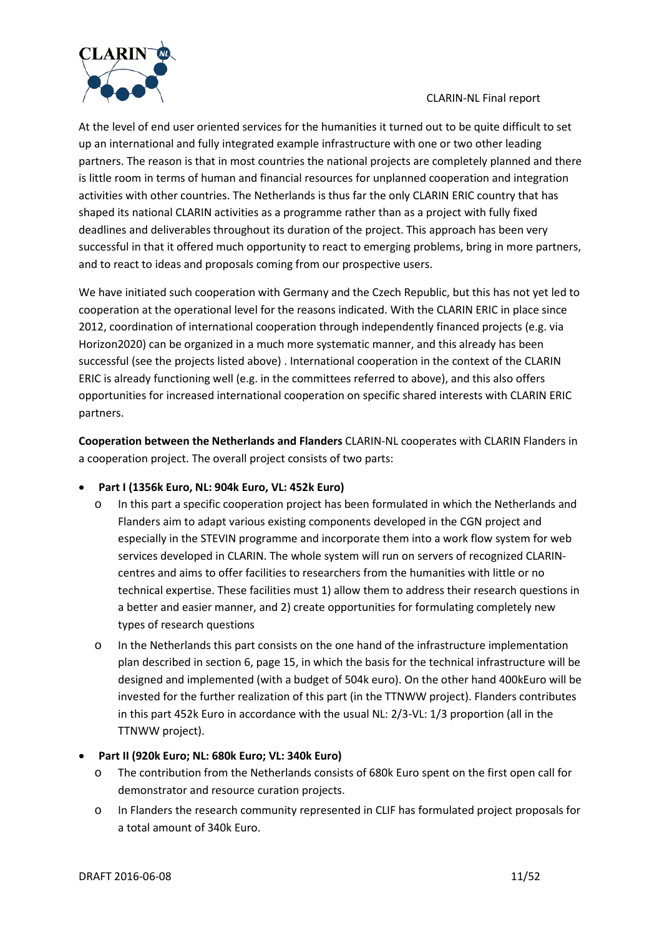

At the level of end user oriented services for the humanities it turned out to be quite difficult to set up an international and fully integrated example infrastructure with one or two other leading partners. The reason is that in most countries the national projects are completely planned and there is little room in terms of human and financial resources for unplanned cooperation and integration activities with other countries. The Netherlands is thus far the only CLARIN ERIC country that has shaped its national CLARIN activities as a programme rather than as a project with fully fixed deadlines and deliverables throughout its duration of the project. This approach has been very successful in that it offered much opportunity to react to emerging problems, bring in more partners, and to react to ideas and proposals coming from our prospective users.

We have initiated such cooperation with Germany and the Czech Republic, but this has not yet led to cooperation at the operational level for the reasons indicated. With the CLARIN ERIC in place since 2012, coordination of international cooperation through independently financed projects (e.g. via Horizon2020) can be organized in a much more systematic manner, and this already has been successful (see the projects listed above) . International cooperation in the context of the CLARIN ERIC is already functioning well (e.g. in the committees referred to above), and this also offers opportunities for increased international cooperation on specific shared interests with CLARIN ERIC partners.

**Cooperation between the Netherlands and Flanders** CLARIN-NL cooperates with CLARIN Flanders in a cooperation project. The overall project consists of two parts:

- **Part I (1356k Euro, NL: 904k Euro, VL: 452k Euro)**
	- o In this part a specific cooperation project has been formulated in which the Netherlands and Flanders aim to adapt various existing components developed in the CGN project and especially in the STEVIN programme and incorporate them into a work flow system for web services developed in CLARIN. The whole system will run on servers of recognized CLARINcentres and aims to offer facilities to researchers from the humanities with little or no technical expertise. These facilities must 1) allow them to address their research questions in a better and easier manner, and 2) create opportunities for formulating completely new types of research questions
	- o In the Netherlands this part consists on the one hand of the infrastructure implementation plan described in sectio[n 6,](#page-12-0) pag[e 15,](#page-14-0) in which the basis for the technical infrastructure will be designed and implemented (with a budget of 504k euro). On the other hand 400kEuro will be invested for the further realization of this part (in the TTNWW project). Flanders contributes in this part 452k Euro in accordance with the usual NL: 2/3-VL: 1/3 proportion (all in the TTNWW project).
- **Part II (920k Euro; NL: 680k Euro; VL: 340k Euro)**
	- o The contribution from the Netherlands consists of 680k Euro spent on the first open call for demonstrator and resource curation projects.
	- o In Flanders the research community represented in CLIF has formulated project proposals for a total amount of 340k Euro.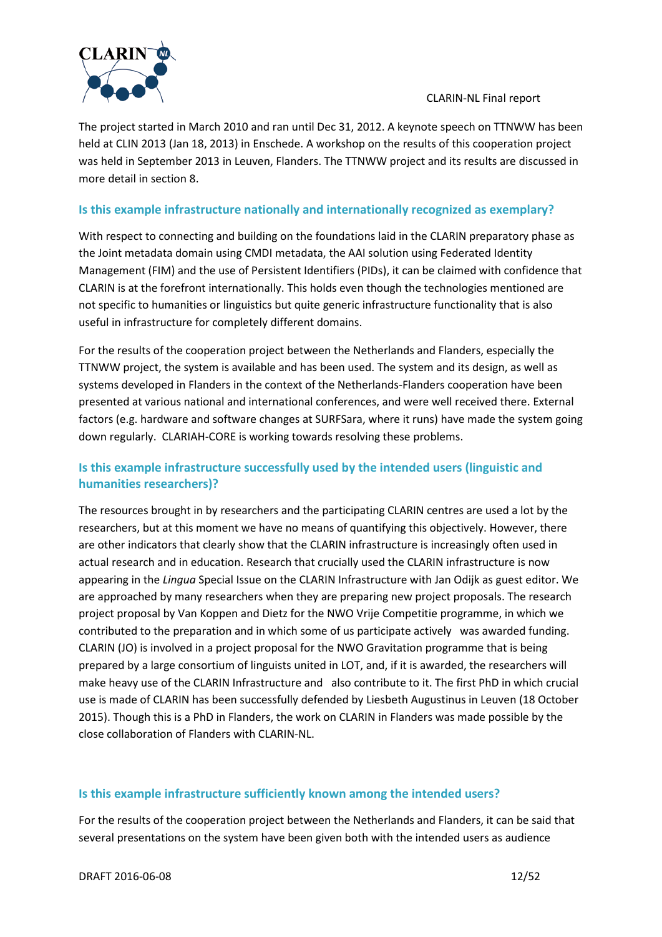

The project started in March 2010 and ran until Dec 31, 2012. A keynote speech on TTNWW has been held at CLIN 2013 (Jan 18, 2013) in Enschede. A workshop on the results of this cooperation project was held in September 2013 in Leuven, Flanders. The TTNWW project and its results are discussed in more detail in section [8.](#page-29-0)

### **Is this example infrastructure nationally and internationally recognized as exemplary?**

With respect to connecting and building on the foundations laid in the CLARIN preparatory phase as the Joint metadata domain using CMDI metadata, the AAI solution using Federated Identity Management (FIM) and the use of Persistent Identifiers (PIDs), it can be claimed with confidence that CLARIN is at the forefront internationally. This holds even though the technologies mentioned are not specific to humanities or linguistics but quite generic infrastructure functionality that is also useful in infrastructure for completely different domains.

For the results of the cooperation project between the Netherlands and Flanders, especially the TTNWW project, the system is available and has been used. The system and its design, as well as systems developed in Flanders in the context of the Netherlands-Flanders cooperation have been presented at various national and international conferences, and were well received there. External factors (e.g. hardware and software changes at SURFSara, where it runs) have made the system going down regularly. CLARIAH-CORE is working towards resolving these problems.

# **Is this example infrastructure successfully used by the intended users (linguistic and humanities researchers)?**

The resources brought in by researchers and the participating CLARIN centres are used a lot by the researchers, but at this moment we have no means of quantifying this objectively. However, there are other indicators that clearly show that the CLARIN infrastructure is increasingly often used in actual research and in education. Research that crucially used the CLARIN infrastructure is now appearing in the *Lingua* Special Issue on the CLARIN Infrastructure with Jan Odijk as guest editor. We are approached by many researchers when they are preparing new project proposals. The research project proposal by Van Koppen and Dietz for the NWO Vrije Competitie programme, in which we contributed to the preparation and in which some of us participate actively was awarded funding. CLARIN (JO) is involved in a project proposal for the NWO Gravitation programme that is being prepared by a large consortium of linguists united in LOT, and, if it is awarded, the researchers will make heavy use of the CLARIN Infrastructure and also contribute to it. The first PhD in which crucial use is made of CLARIN has been successfully defended by Liesbeth Augustinus in Leuven (18 October 2015). Though this is a PhD in Flanders, the work on CLARIN in Flanders was made possible by the close collaboration of Flanders with CLARIN-NL.

### **Is this example infrastructure sufficiently known among the intended users?**

For the results of the cooperation project between the Netherlands and Flanders, it can be said that several presentations on the system have been given both with the intended users as audience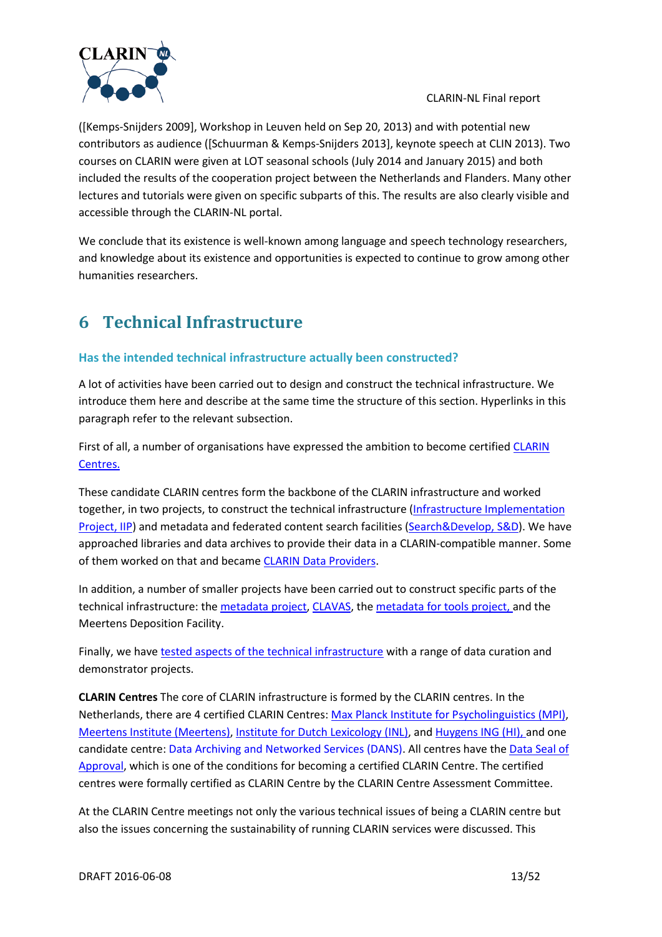

([Kemps-Snijders 2009], Workshop in Leuven held on Sep 20, 2013) and with potential new contributors as audience ([Schuurman & Kemps-Snijders 2013], keynote speech at CLIN 2013). Two courses on CLARIN were given at LOT seasonal schools (July 2014 and January 2015) and both included the results of the cooperation project between the Netherlands and Flanders. Many other lectures and tutorials were given on specific subparts of this. The results are also clearly visible and accessible through the CLARIN-NL portal.

We conclude that its existence is well-known among language and speech technology researchers, and knowledge about its existence and opportunities is expected to continue to grow among other humanities researchers.

# <span id="page-12-0"></span>**6 Technical Infrastructure**

# **Has the intended technical infrastructure actually been constructed?**

A lot of activities have been carried out to design and construct the technical infrastructure. We introduce them here and describe at the same time the structure of this section. Hyperlinks in this paragraph refer to the relevant subsection.

First of all, a number of organisations have expressed the ambition to become certifie[d CLARIN](#page-12-1)  [Centres.](#page-12-1)

These candidate CLARIN centres form the backbone of the CLARIN infrastructure and worked together, in two projects, to construct the technical infrastructure [\(Infrastructure Implementation](#page-14-0)  [Project, IIP\)](#page-14-0) and metadata and federated content search facilities [\(Search&Develop, S&D\)](#page-16-0). We have approached libraries and data archives to provide their data in a CLARIN-compatible manner. Some of them worked on that and became [CLARIN Data Providers.](#page-20-0)

In addition, a number of smaller projects have been carried out to construct specific parts of the technical infrastructure: the [metadata project,](#page-20-1) [CLAVAS,](#page-21-0) the [metadata for tools project,](#page-21-1) and the Meertens Deposition Facility.

Finally, we hav[e tested aspects of the technical infrastructure](#page-21-2) with a range of data curation and demonstrator projects.

<span id="page-12-1"></span>**CLARIN Centres** The core of CLARIN infrastructure is formed by the CLARIN centres. In the Netherlands, there are 4 certified CLARIN Centres: [Max Planck Institute for Psycholinguistics \(MPI\),](http://www.mpi.nl/) [Meertens Institute \(Meertens\),](http://www.meertens.knaw.nl/cms/) [Institute for Dutch Lexicology \(INL\),](http://www.inl.nl/) an[d Huygens ING \(HI\),](http://www.huygens.knaw.nl/) and one candidate centre: [Data Archiving and Networked Services \(DANS\).](http://www.dans.knaw.nl/) All centres have the [Data Seal of](http://datasealofapproval.org/en/)  [Approval,](http://datasealofapproval.org/en/) which is one of the conditions for becoming a certified CLARIN Centre. The certified centres were formally certified as CLARIN Centre by the CLARIN Centre Assessment Committee.

At the CLARIN Centre meetings not only the various technical issues of being a CLARIN centre but also the issues concerning the sustainability of running CLARIN services were discussed. This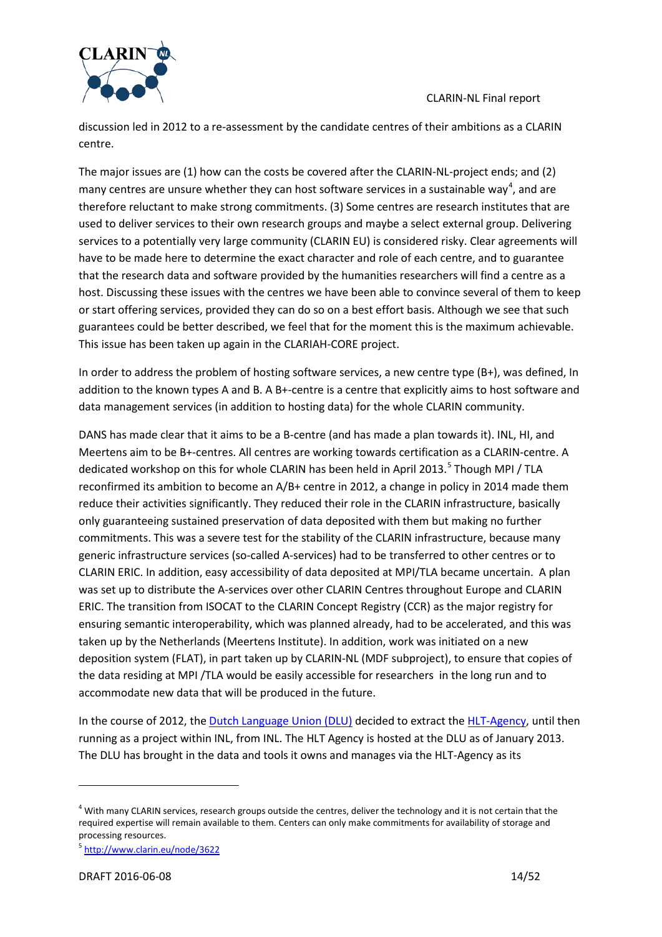

discussion led in 2012 to a re-assessment by the candidate centres of their ambitions as a CLARIN centre.

The major issues are (1) how can the costs be covered after the CLARIN-NL-project ends; and (2) many centres are unsure whether they can host software services in a sustainable way<sup>[4](#page-13-0)</sup>, and are therefore reluctant to make strong commitments. (3) Some centres are research institutes that are used to deliver services to their own research groups and maybe a select external group. Delivering services to a potentially very large community (CLARIN EU) is considered risky. Clear agreements will have to be made here to determine the exact character and role of each centre, and to guarantee that the research data and software provided by the humanities researchers will find a centre as a host. Discussing these issues with the centres we have been able to convince several of them to keep or start offering services, provided they can do so on a best effort basis. Although we see that such guarantees could be better described, we feel that for the moment this is the maximum achievable. This issue has been taken up again in the CLARIAH-CORE project.

In order to address the problem of hosting software services, a new centre type (B+), was defined, In addition to the known types A and B. A B+-centre is a centre that explicitly aims to host software and data management services (in addition to hosting data) for the whole CLARIN community.

DANS has made clear that it aims to be a B-centre (and has made a plan towards it). INL, HI, and Meertens aim to be B+-centres. All centres are working towards certification as a CLARIN-centre. A dedicated workshop on this for whole CLARIN has been held in April 2013.<sup>[5](#page-13-1)</sup> Though MPI / TLA reconfirmed its ambition to become an A/B+ centre in 2012, a change in policy in 2014 made them reduce their activities significantly. They reduced their role in the CLARIN infrastructure, basically only guaranteeing sustained preservation of data deposited with them but making no further commitments. This was a severe test for the stability of the CLARIN infrastructure, because many generic infrastructure services (so-called A-services) had to be transferred to other centres or to CLARIN ERIC. In addition, easy accessibility of data deposited at MPI/TLA became uncertain. A plan was set up to distribute the A-services over other CLARIN Centres throughout Europe and CLARIN ERIC. The transition from ISOCAT to the CLARIN Concept Registry (CCR) as the major registry for ensuring semantic interoperability, which was planned already, had to be accelerated, and this was taken up by the Netherlands (Meertens Institute). In addition, work was initiated on a new deposition system (FLAT), in part taken up by CLARIN-NL (MDF subproject), to ensure that copies of the data residing at MPI /TLA would be easily accessible for researchers in the long run and to accommodate new data that will be produced in the future.

In the course of 2012, the [Dutch Language Union \(DLU\)](http://taalunie.org/) decided to extract th[e HLT-Agency,](http://tst-centrale.org/) until then running as a project within INL, from INL. The HLT Agency is hosted at the DLU as of January 2013. The DLU has brought in the data and tools it owns and manages via the HLT-Agency as its

<span id="page-13-0"></span> $4$  With many CLARIN services, research groups outside the centres, deliver the technology and it is not certain that the required expertise will remain available to them. Centers can only make commitments for availability of storage and processing resources.

<span id="page-13-1"></span><sup>5</sup> <http://www.clarin.eu/node/3622>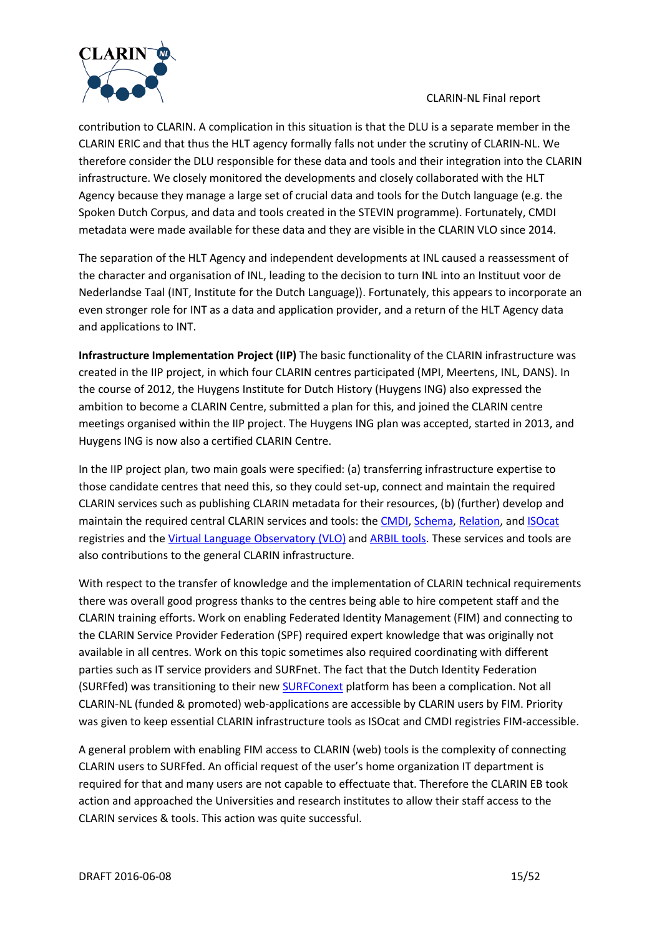

contribution to CLARIN. A complication in this situation is that the DLU is a separate member in the CLARIN ERIC and that thus the HLT agency formally falls not under the scrutiny of CLARIN-NL. We therefore consider the DLU responsible for these data and tools and their integration into the CLARIN infrastructure. We closely monitored the developments and closely collaborated with the HLT Agency because they manage a large set of crucial data and tools for the Dutch language (e.g. the Spoken Dutch Corpus, and data and tools created in the STEVIN programme). Fortunately, CMDI metadata were made available for these data and they are visible in the CLARIN VLO since 2014.

The separation of the HLT Agency and independent developments at INL caused a reassessment of the character and organisation of INL, leading to the decision to turn INL into an Instituut voor de Nederlandse Taal (INT, Institute for the Dutch Language)). Fortunately, this appears to incorporate an even stronger role for INT as a data and application provider, and a return of the HLT Agency data and applications to INT.

<span id="page-14-0"></span>**Infrastructure Implementation Project (IIP)** The basic functionality of the CLARIN infrastructure was created in the IIP project, in which four CLARIN centres participated (MPI, Meertens, INL, DANS). In the course of 2012, the Huygens Institute for Dutch History (Huygens ING) also expressed the ambition to become a CLARIN Centre, submitted a plan for this, and joined the CLARIN centre meetings organised within the IIP project. The Huygens ING plan was accepted, started in 2013, and Huygens ING is now also a certified CLARIN Centre.

In the IIP project plan, two main goals were specified: (a) transferring infrastructure expertise to those candidate centres that need this, so they could set-up, connect and maintain the required CLARIN services such as publishing CLARIN metadata for their resources, (b) (further) develop and maintain the required central CLARIN services and tools: th[e CMDI,](http://www.clarin.eu/node/3219) [Schema,](http://lux13.mpi.nl/isocat/schemacat) [Relation,](http://lux13.mpi.nl/isocat/relcat/) and [ISOcat](http://www.isocat.org/) registries and the [Virtual Language Observatory \(VLO\)](http://www.clarin.eu/vlo) and [ARBIL tools.](http://tla.mpi.nl/tools/tla-tools/arbil/) These services and tools are also contributions to the general CLARIN infrastructure.

With respect to the transfer of knowledge and the implementation of CLARIN technical requirements there was overall good progress thanks to the centres being able to hire competent staff and the CLARIN training efforts. Work on enabling Federated Identity Management (FIM) and connecting to the CLARIN Service Provider Federation (SPF) required expert knowledge that was originally not available in all centres. Work on this topic sometimes also required coordinating with different parties such as IT service providers and SURFnet. The fact that the Dutch Identity Federation (SURFfed) was transitioning to their new **SURFConext** platform has been a complication. Not all CLARIN-NL (funded & promoted) web-applications are accessible by CLARIN users by FIM. Priority was given to keep essential CLARIN infrastructure tools as ISOcat and CMDI registries FIM-accessible.

A general problem with enabling FIM access to CLARIN (web) tools is the complexity of connecting CLARIN users to SURFfed. An official request of the user's home organization IT department is required for that and many users are not capable to effectuate that. Therefore the CLARIN EB took action and approached the Universities and research institutes to allow their staff access to the CLARIN services & tools. This action was quite successful.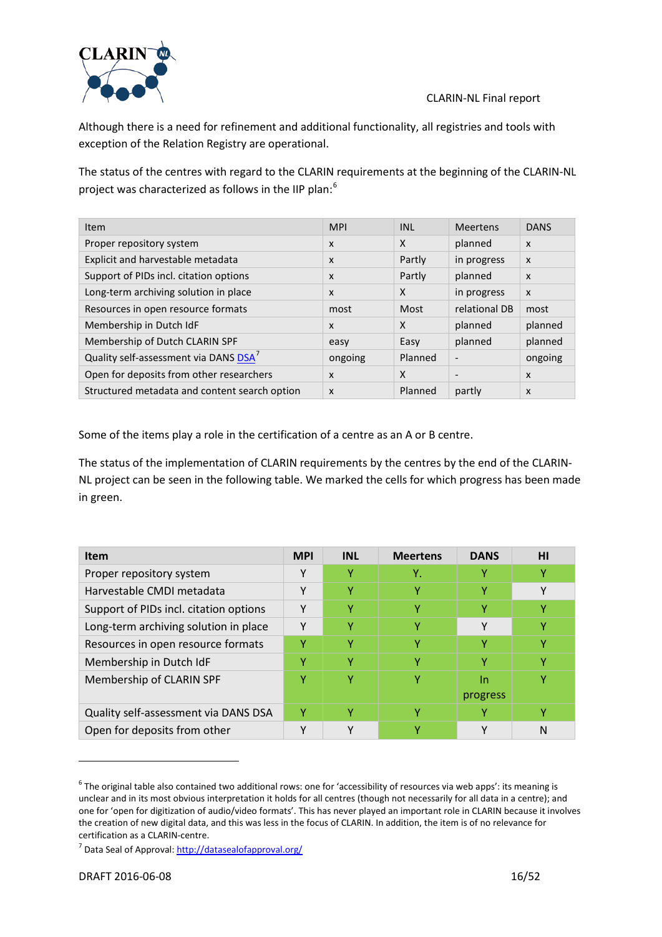

Although there is a need for refinement and additional functionality, all registries and tools with exception of the Relation Registry are operational.

The status of the centres with regard to the CLARIN requirements at the beginning of the CLARIN-NL project was characterized as follows in the IIP plan:<sup>[6](#page-15-0)</sup>

| Item                                              | <b>MPI</b>                | <b>INL</b>                | <b>Meertens</b>          | <b>DANS</b>               |
|---------------------------------------------------|---------------------------|---------------------------|--------------------------|---------------------------|
| Proper repository system                          | $\boldsymbol{\mathsf{x}}$ | $\mathsf{x}$              | planned                  | $\boldsymbol{\mathsf{x}}$ |
| Explicit and harvestable metadata                 | $\boldsymbol{\mathsf{x}}$ | Partly                    | in progress              | $\boldsymbol{\mathsf{x}}$ |
| Support of PIDs incl. citation options            | $\boldsymbol{\mathsf{x}}$ | Partly                    | planned                  | $\boldsymbol{\mathsf{x}}$ |
| Long-term archiving solution in place             | $\boldsymbol{\mathsf{x}}$ | $\boldsymbol{\mathsf{X}}$ | in progress              | $\boldsymbol{\mathsf{x}}$ |
| Resources in open resource formats                | most                      | Most                      | relational DB            | most                      |
| Membership in Dutch IdF                           | $\boldsymbol{\mathsf{x}}$ | $\boldsymbol{\mathsf{X}}$ | planned                  | planned                   |
| Membership of Dutch CLARIN SPF                    | easy                      | Easy                      | planned                  | planned                   |
| Quality self-assessment via DANS DSA <sup>7</sup> | ongoing                   | Planned                   | $\overline{\phantom{a}}$ | ongoing                   |
| Open for deposits from other researchers          | $\boldsymbol{\mathsf{x}}$ | $\boldsymbol{\mathsf{x}}$ | $\overline{\phantom{a}}$ | $\boldsymbol{\mathsf{x}}$ |
| Structured metadata and content search option     | $\boldsymbol{\mathsf{x}}$ | Planned                   | partly                   | $\boldsymbol{\mathsf{x}}$ |

Some of the items play a role in the certification of a centre as an A or B centre.

The status of the implementation of CLARIN requirements by the centres by the end of the CLARIN-NL project can be seen in the following table. We marked the cells for which progress has been made in green.

| <b>Item</b>                            | <b>MPI</b> | <b>INL</b>   | <b>Meertens</b> | <b>DANS</b>  | ΗI |
|----------------------------------------|------------|--------------|-----------------|--------------|----|
| Proper repository system               | ۷          | Υ            | Υ.              |              | Υ  |
| Harvestable CMDI metadata              | v          | γ            | Y               |              | v  |
| Support of PIDs incl. citation options | ۷          | Y            |                 |              |    |
| Long-term archiving solution in place  | v          | v            | v               | $\checkmark$ | v  |
| Resources in open resource formats     | v          | v            |                 |              | v  |
| Membership in Dutch IdF                | v          | v            | v               |              | v  |
| Membership of CLARIN SPF               | ۷          | γ            |                 | In           |    |
|                                        |            |              |                 | progress     |    |
| Quality self-assessment via DANS DSA   | Υ          | v            |                 |              |    |
| Open for deposits from other           | v          | $\checkmark$ |                 |              | N  |

<span id="page-15-0"></span> $6$  The original table also contained two additional rows: one for 'accessibility of resources via web apps': its meaning is unclear and in its most obvious interpretation it holds for all centres (though not necessarily for all data in a centre); and one for 'open for digitization of audio/video formats'. This has never played an important role in CLARIN because it involves the creation of new digital data, and this was less in the focus of CLARIN. In addition, the item is of no relevance for certification as a CLARIN-centre.

<span id="page-15-1"></span><sup>&</sup>lt;sup>7</sup> Data Seal of Approval:<http://datasealofapproval.org/>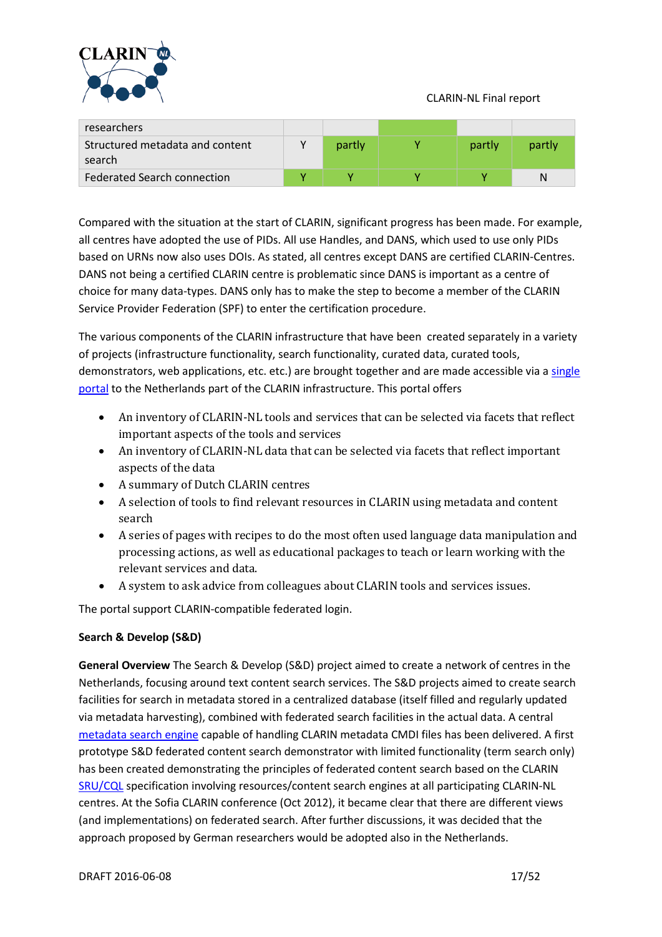

| researchers                               |        |        |        |
|-------------------------------------------|--------|--------|--------|
| Structured metadata and content<br>search | partly | partly | partly |
| Federated Search connection               |        |        | N      |

Compared with the situation at the start of CLARIN, significant progress has been made. For example, all centres have adopted the use of PIDs. All use Handles, and DANS, which used to use only PIDs based on URNs now also uses DOIs. As stated, all centres except DANS are certified CLARIN-Centres. DANS not being a certified CLARIN centre is problematic since DANS is important as a centre of choice for many data-types. DANS only has to make the step to become a member of the CLARIN Service Provider Federation (SPF) to enter the certification procedure.

The various components of the CLARIN infrastructure that have been created separately in a variety of projects (infrastructure functionality, search functionality, curated data, curated tools, demonstrators, web applications, etc. etc.) are brought together and are made accessible via a single [portal](http://portal.clarin.nl/) to the Netherlands part of the CLARIN infrastructure. This portal offers

- An inventory of CLARIN-NL tools and services that can be selected via facets that reflect important aspects of the tools and services
- An inventory of CLARIN-NL data that can be selected via facets that reflect important aspects of the data
- A summary of Dutch CLARIN centres
- A selection of tools to find relevant resources in CLARIN using metadata and content search
- A series of pages with recipes to do the most often used language data manipulation and processing actions, as well as educational packages to teach or learn working with the relevant services and data.
- A system to ask advice from colleagues about CLARIN tools and services issues.

The portal support CLARIN-compatible federated login.

### <span id="page-16-0"></span>**Search & Develop (S&D)**

**General Overview** The Search & Develop (S&D) project aimed to create a network of centres in the Netherlands, focusing around text content search services. The S&D projects aimed to create search facilities for search in metadata stored in a centralized database (itself filled and regularly updated via metadata harvesting), combined with federated search facilities in the actual data. A central [metadata search engine](http://www.meertens.knaw.nl/cmdi/search) capable of handling CLARIN metadata CMDI files has been delivered. A first prototype S&D federated content search demonstrator with limited functionality (term search only) has been created demonstrating the principles of federated content search based on the CLARIN [SRU/CQL](http://www.loc.gov/standards/sru/specs/cql.html) specification involving resources/content search engines at all participating CLARIN-NL centres. At the Sofia CLARIN conference (Oct 2012), it became clear that there are different views (and implementations) on federated search. After further discussions, it was decided that the approach proposed by German researchers would be adopted also in the Netherlands.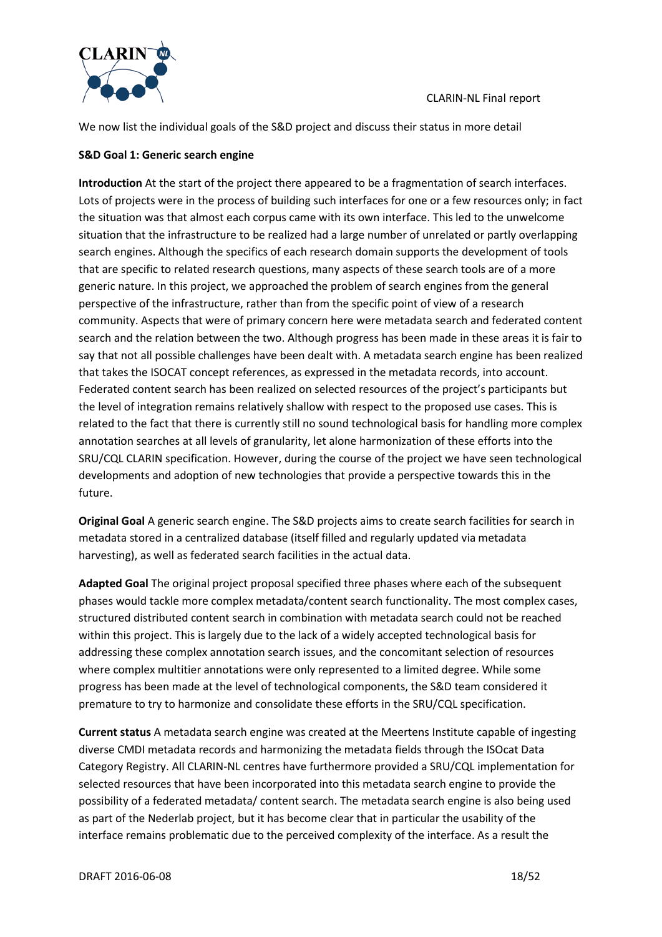

We now list the individual goals of the S&D project and discuss their status in more detail

#### **S&D Goal 1: Generic search engine**

**Introduction** At the start of the project there appeared to be a fragmentation of search interfaces. Lots of projects were in the process of building such interfaces for one or a few resources only; in fact the situation was that almost each corpus came with its own interface. This led to the unwelcome situation that the infrastructure to be realized had a large number of unrelated or partly overlapping search engines. Although the specifics of each research domain supports the development of tools that are specific to related research questions, many aspects of these search tools are of a more generic nature. In this project, we approached the problem of search engines from the general perspective of the infrastructure, rather than from the specific point of view of a research community. Aspects that were of primary concern here were metadata search and federated content search and the relation between the two. Although progress has been made in these areas it is fair to say that not all possible challenges have been dealt with. A metadata search engine has been realized that takes the ISOCAT concept references, as expressed in the metadata records, into account. Federated content search has been realized on selected resources of the project's participants but the level of integration remains relatively shallow with respect to the proposed use cases. This is related to the fact that there is currently still no sound technological basis for handling more complex annotation searches at all levels of granularity, let alone harmonization of these efforts into the SRU/CQL CLARIN specification. However, during the course of the project we have seen technological developments and adoption of new technologies that provide a perspective towards this in the future.

<span id="page-17-0"></span>**Original Goal** A generic search engine. The S&D projects aims to create search facilities for search in metadata stored in a centralized database (itself filled and regularly updated via metadata harvesting), as well as federated search facilities in the actual data.

**Adapted Goal** The original project proposal specified three phases where each of the subsequent phases would tackle more complex metadata/content search functionality. The most complex cases, structured distributed content search in combination with metadata search could not be reached within this project. This is largely due to the lack of a widely accepted technological basis for addressing these complex annotation search issues, and the concomitant selection of resources where complex multitier annotations were only represented to a limited degree. While some progress has been made at the level of technological components, the S&D team considered it premature to try to harmonize and consolidate these efforts in the SRU/CQL specification.

**Current status** A metadata search engine was created at the Meertens Institute capable of ingesting diverse CMDI metadata records and harmonizing the metadata fields through the ISOcat Data Category Registry. All CLARIN-NL centres have furthermore provided a SRU/CQL implementation for selected resources that have been incorporated into this metadata search engine to provide the possibility of a federated metadata/ content search. The metadata search engine is also being used as part of the Nederlab project, but it has become clear that in particular the usability of the interface remains problematic due to the perceived complexity of the interface. As a result the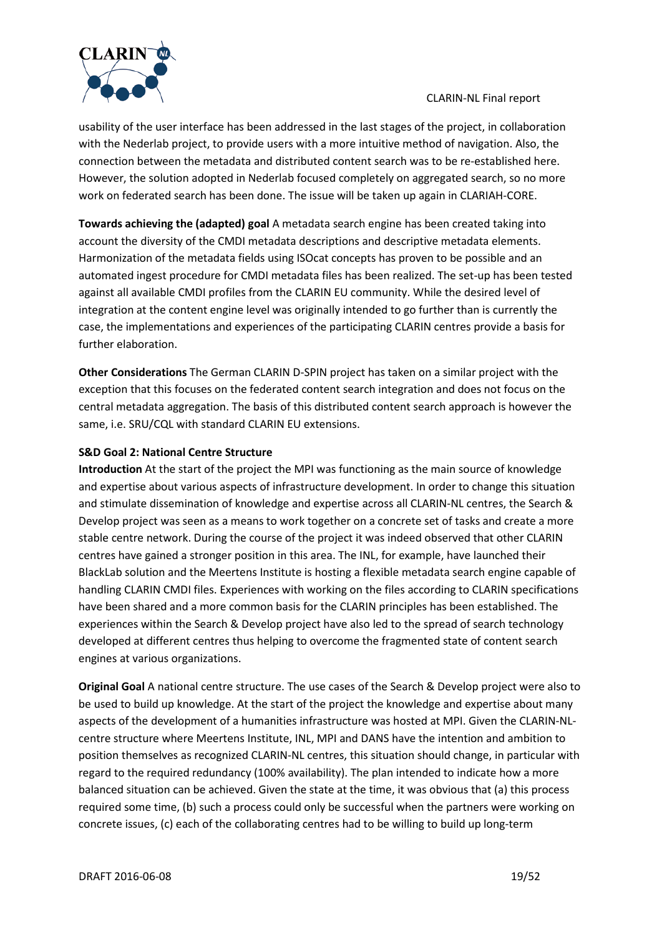

usability of the user interface has been addressed in the last stages of the project, in collaboration with the Nederlab project, to provide users with a more intuitive method of navigation. Also, the connection between the metadata and distributed content search was to be re-established here. However, the solution adopted in Nederlab focused completely on aggregated search, so no more work on federated search has been done. The issue will be taken up again in CLARIAH-CORE.

**Towards achieving the (adapted) goal** A metadata search engine has been created taking into account the diversity of the CMDI metadata descriptions and descriptive metadata elements. Harmonization of the metadata fields using ISOcat concepts has proven to be possible and an automated ingest procedure for CMDI metadata files has been realized. The set-up has been tested against all available CMDI profiles from the CLARIN EU community. While the desired level of integration at the content engine level was originally intended to go further than is currently the case, the implementations and experiences of the participating CLARIN centres provide a basis for further elaboration.

**Other Considerations** The German CLARIN D-SPIN project has taken on a similar project with the exception that this focuses on the federated content search integration and does not focus on the central metadata aggregation. The basis of this distributed content search approach is however the same, i.e. SRU/CQL with standard CLARIN EU extensions.

### **S&D Goal 2: National Centre Structure**

**Introduction** At the start of the project the MPI was functioning as the main source of knowledge and expertise about various aspects of infrastructure development. In order to change this situation and stimulate dissemination of knowledge and expertise across all CLARIN-NL centres, the Search & Develop project was seen as a means to work together on a concrete set of tasks and create a more stable centre network. During the course of the project it was indeed observed that other CLARIN centres have gained a stronger position in this area. The INL, for example, have launched their BlackLab solution and the Meertens Institute is hosting a flexible metadata search engine capable of handling CLARIN CMDI files. Experiences with working on the files according to CLARIN specifications have been shared and a more common basis for the CLARIN principles has been established. The experiences within the Search & Develop project have also led to the spread of search technology developed at different centres thus helping to overcome the fragmented state of content search engines at various organizations.

**Original Goal** A national centre structure. The use cases of the Search & Develop project were also to be used to build up knowledge. At the start of the project the knowledge and expertise about many aspects of the development of a humanities infrastructure was hosted at MPI. Given the CLARIN-NLcentre structure where Meertens Institute, INL, MPI and DANS have the intention and ambition to position themselves as recognized CLARIN-NL centres, this situation should change, in particular with regard to the required redundancy (100% availability). The plan intended to indicate how a more balanced situation can be achieved. Given the state at the time, it was obvious that (a) this process required some time, (b) such a process could only be successful when the partners were working on concrete issues, (c) each of the collaborating centres had to be willing to build up long-term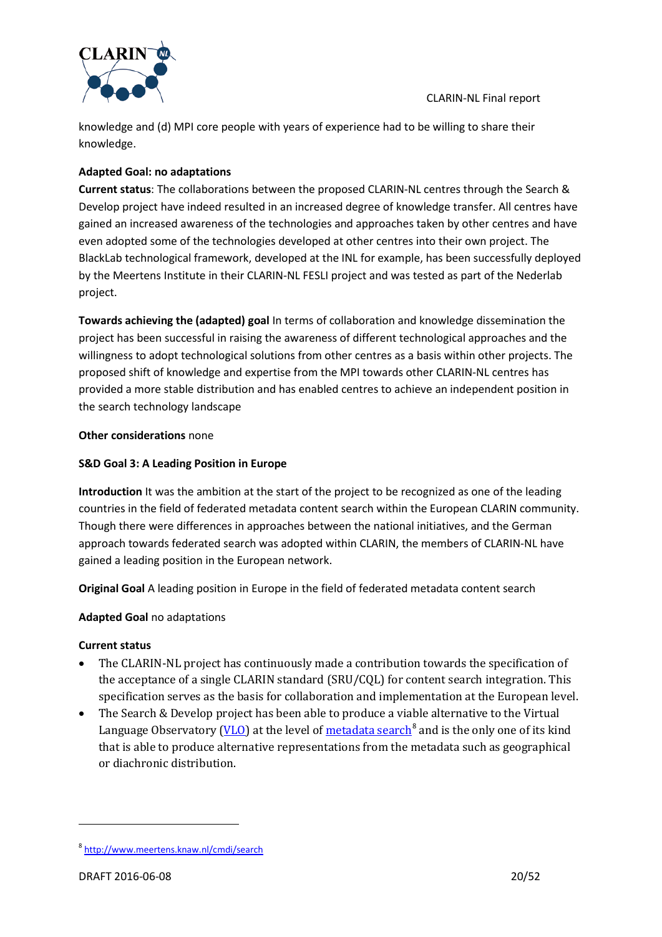

knowledge and (d) MPI core people with years of experience had to be willing to share their knowledge.

### **Adapted Goal: no adaptations**

**Current status**: The collaborations between the proposed CLARIN-NL centres through the Search & Develop project have indeed resulted in an increased degree of knowledge transfer. All centres have gained an increased awareness of the technologies and approaches taken by other centres and have even adopted some of the technologies developed at other centres into their own project. The BlackLab technological framework, developed at the INL for example, has been successfully deployed by the Meertens Institute in their CLARIN-NL FESLI project and was tested as part of the Nederlab project.

**Towards achieving the (adapted) goal** In terms of collaboration and knowledge dissemination the project has been successful in raising the awareness of different technological approaches and the willingness to adopt technological solutions from other centres as a basis within other projects. The proposed shift of knowledge and expertise from the MPI towards other CLARIN-NL centres has provided a more stable distribution and has enabled centres to achieve an independent position in the search technology landscape

#### **Other considerations** none

### **S&D Goal 3: A Leading Position in Europe**

**Introduction** It was the ambition at the start of the project to be recognized as one of the leading countries in the field of federated metadata content search within the European CLARIN community. Though there were differences in approaches between the national initiatives, and the German approach towards federated search was adopted within CLARIN, the members of CLARIN-NL have gained a leading position in the European network.

**Original Goal** A leading position in Europe in the field of federated metadata content search

### **Adapted Goal** no adaptations

#### **Current status**

- The CLARIN-NL project has continuously made a contribution towards the specification of the acceptance of a single CLARIN standard (SRU/CQL) for content search integration. This specification serves as the basis for collaboration and implementation at the European level.
- The Search & Develop project has been able to produce a viable alternative to the Virtual Language Observatory [\(VLO\)](http://www.clarin.eu/vlo) at the level of [metadata search](http://www.meertens.knaw.nl/cmdi/search)<sup>[8](#page-19-0)</sup> and is the only one of its kind that is able to produce alternative representations from the metadata such as geographical or diachronic distribution.

<span id="page-19-0"></span><sup>8</sup> <http://www.meertens.knaw.nl/cmdi/search>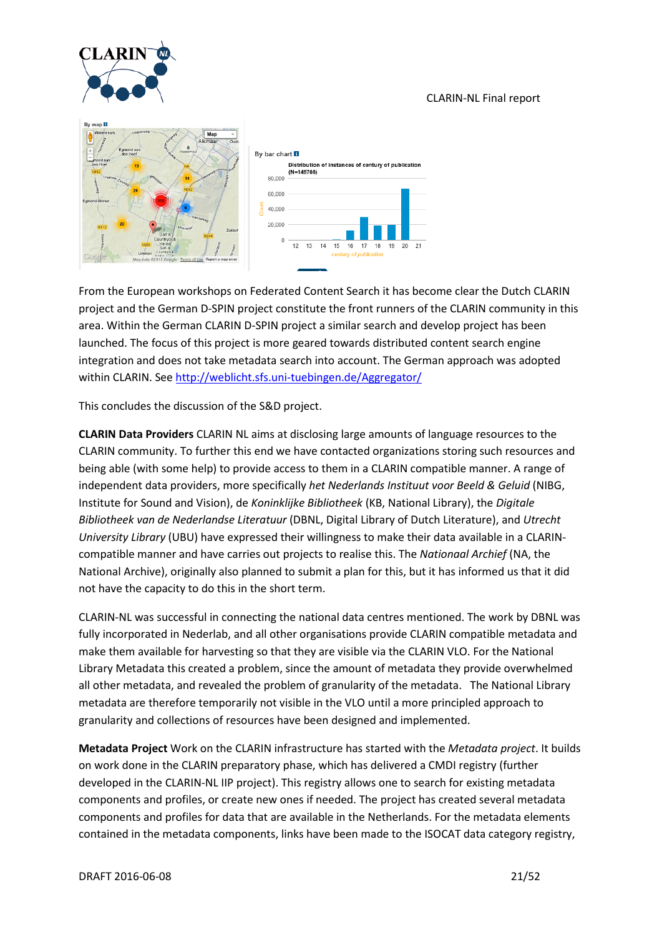





From the European workshops on Federated Content Search it has become clear the Dutch CLARIN project and the German D-SPIN project constitute the front runners of the CLARIN community in this area. Within the German CLARIN D-SPIN project a similar search and develop project has been launched. The focus of this project is more geared towards distributed content search engine integration and does not take metadata search into account. The German approach was adopted within CLARIN. See<http://weblicht.sfs.uni-tuebingen.de/Aggregator/>

This concludes the discussion of the S&D project.

<span id="page-20-0"></span>**CLARIN Data Providers** CLARIN NL aims at disclosing large amounts of language resources to the CLARIN community. To further this end we have contacted organizations storing such resources and being able (with some help) to provide access to them in a CLARIN compatible manner. A range of independent data providers, more specifically *het Nederlands Instituut voor Beeld & Geluid* (NIBG, Institute for Sound and Vision), de *Koninklijke Bibliotheek* (KB, National Library), the *Digitale Bibliotheek van de Nederlandse Literatuur* (DBNL, Digital Library of Dutch Literature), and *Utrecht University Library* (UBU) have expressed their willingness to make their data available in a CLARINcompatible manner and have carries out projects to realise this. The *Nationaal Archief* (NA, the National Archive), originally also planned to submit a plan for this, but it has informed us that it did not have the capacity to do this in the short term.

CLARIN-NL was successful in connecting the national data centres mentioned. The work by DBNL was fully incorporated in Nederlab, and all other organisations provide CLARIN compatible metadata and make them available for harvesting so that they are visible via the CLARIN VLO. For the National Library Metadata this created a problem, since the amount of metadata they provide overwhelmed all other metadata, and revealed the problem of granularity of the metadata. The National Library metadata are therefore temporarily not visible in the VLO until a more principled approach to granularity and collections of resources have been designed and implemented.

<span id="page-20-1"></span>**Metadata Project** Work on the CLARIN infrastructure has started with the *Metadata project*. It builds on work done in the CLARIN preparatory phase, which has delivered a CMDI registry (further developed in the CLARIN-NL IIP project). This registry allows one to search for existing metadata components and profiles, or create new ones if needed. The project has created several metadata components and profiles for data that are available in the Netherlands. For the metadata elements contained in the metadata components, links have been made to the ISOCAT data category registry,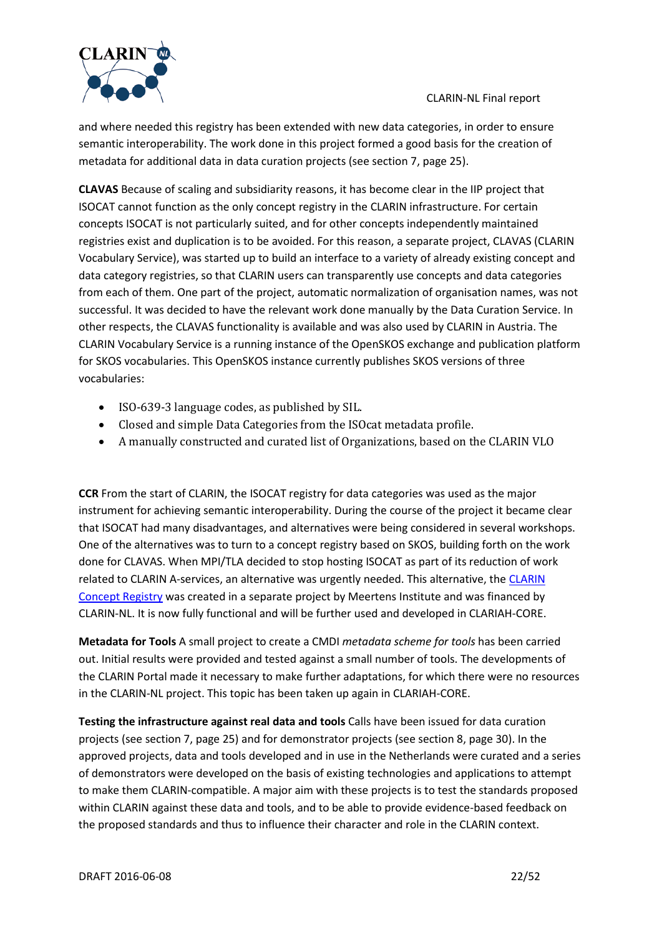

and where needed this registry has been extended with new data categories, in order to ensure semantic interoperability. The work done in this project formed a good basis for the creation of metadata for additional data in data curation projects (see sectio[n 7,](#page-23-0) page [25\)](#page-24-0).

<span id="page-21-0"></span>**CLAVAS** Because of scaling and subsidiarity reasons, it has become clear in the IIP project that ISOCAT cannot function as the only concept registry in the CLARIN infrastructure. For certain concepts ISOCAT is not particularly suited, and for other concepts independently maintained registries exist and duplication is to be avoided. For this reason, a separate project, CLAVAS (CLARIN Vocabulary Service), was started up to build an interface to a variety of already existing concept and data category registries, so that CLARIN users can transparently use concepts and data categories from each of them. One part of the project, automatic normalization of organisation names, was not successful. It was decided to have the relevant work done manually by the Data Curation Service. In other respects, the CLAVAS functionality is available and was also used by CLARIN in Austria. The CLARIN Vocabulary Service is a running instance of the OpenSKOS exchange and publication platform for SKOS vocabularies. This OpenSKOS instance currently publishes SKOS versions of three vocabularies:

- ISO-639-3 language codes, as published by SIL.
- Closed and simple Data Categories from the ISOcat metadata profile.
- A manually constructed and curated list of Organizations, based on the CLARIN VLO

<span id="page-21-1"></span>**CCR** From the start of CLARIN, the ISOCAT registry for data categories was used as the major instrument for achieving semantic interoperability. During the course of the project it became clear that ISOCAT had many disadvantages, and alternatives were being considered in several workshops. One of the alternatives was to turn to a concept registry based on SKOS, building forth on the work done for CLAVAS. When MPI/TLA decided to stop hosting ISOCAT as part of its reduction of work related to [CLARIN](http://portal.clarin.nl/node/4216) A-services, an alternative was urgently needed. This alternative, the CLARIN [Concept Registry](http://portal.clarin.nl/node/4216) was created in a separate project by Meertens Institute and was financed by CLARIN-NL. It is now fully functional and will be further used and developed in CLARIAH-CORE.

**Metadata for Tools** A small project to create a CMDI *metadata scheme for tools* has been carried out. Initial results were provided and tested against a small number of tools. The developments of the CLARIN Portal made it necessary to make further adaptations, for which there were no resources in the CLARIN-NL project. This topic has been taken up again in CLARIAH-CORE.

<span id="page-21-2"></span>**Testing the infrastructure against real data and tools** Calls have been issued for data curation projects (see section [7,](#page-23-0) page [25\)](#page-24-0) and for demonstrator projects (see section [8,](#page-29-0) page [30\)](#page-29-1). In the approved projects, data and tools developed and in use in the Netherlands were curated and a series of demonstrators were developed on the basis of existing technologies and applications to attempt to make them CLARIN-compatible. A major aim with these projects is to test the standards proposed within CLARIN against these data and tools, and to be able to provide evidence-based feedback on the proposed standards and thus to influence their character and role in the CLARIN context.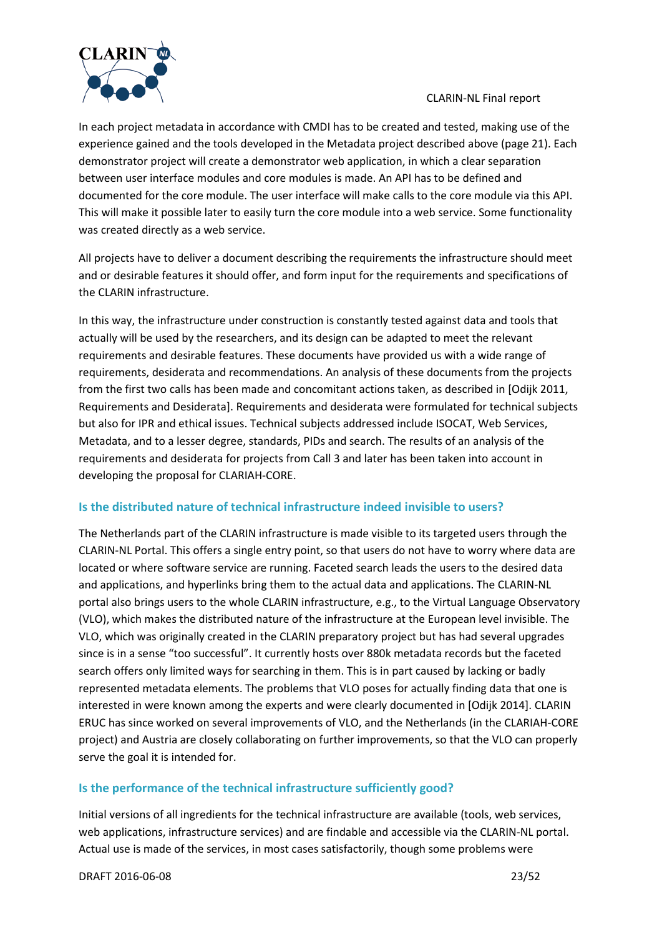

In each project metadata in accordance with CMDI has to be created and tested, making use of the experience gained and the tools developed in the Metadata project described above (page [21\)](#page-20-1). Each demonstrator project will create a demonstrator web application, in which a clear separation between user interface modules and core modules is made. An API has to be defined and documented for the core module. The user interface will make calls to the core module via this API. This will make it possible later to easily turn the core module into a web service. Some functionality was created directly as a web service.

All projects have to deliver a document describing the requirements the infrastructure should meet and or desirable features it should offer, and form input for the requirements and specifications of the CLARIN infrastructure.

In this way, the infrastructure under construction is constantly tested against data and tools that actually will be used by the researchers, and its design can be adapted to meet the relevant requirements and desirable features. These documents have provided us with a wide range of requirements, desiderata and recommendations. An analysis of these documents from the projects from the first two calls has been made and concomitant actions taken, as described in [Odijk 2011, Requirements and Desiderata]. Requirements and desiderata were formulated for technical subjects but also for IPR and ethical issues. Technical subjects addressed include ISOCAT, Web Services, Metadata, and to a lesser degree, standards, PIDs and search. The results of an analysis of the requirements and desiderata for projects from Call 3 and later has been taken into account in developing the proposal for CLARIAH-CORE.

### **Is the distributed nature of technical infrastructure indeed invisible to users?**

The Netherlands part of the CLARIN infrastructure is made visible to its targeted users through the CLARIN-NL Portal. This offers a single entry point, so that users do not have to worry where data are located or where software service are running. Faceted search leads the users to the desired data and applications, and hyperlinks bring them to the actual data and applications. The CLARIN-NL portal also brings users to the whole CLARIN infrastructure, e.g., to the Virtual Language Observatory (VLO), which makes the distributed nature of the infrastructure at the European level invisible. The VLO, which was originally created in the CLARIN preparatory project but has had several upgrades since is in a sense "too successful". It currently hosts over 880k metadata records but the faceted search offers only limited ways for searching in them. This is in part caused by lacking or badly represented metadata elements. The problems that VLO poses for actually finding data that one is interested in were known among the experts and were clearly documented in [Odijk 2014]. CLARIN ERUC has since worked on several improvements of VLO, and the Netherlands (in the CLARIAH-CORE project) and Austria are closely collaborating on further improvements, so that the VLO can properly serve the goal it is intended for.

### **Is the performance of the technical infrastructure sufficiently good?**

Initial versions of all ingredients for the technical infrastructure are available (tools, web services, web applications, infrastructure services) and are findable and accessible via the CLARIN-NL portal. Actual use is made of the services, in most cases satisfactorily, though some problems were

DRAFT 2016-06-08 23/52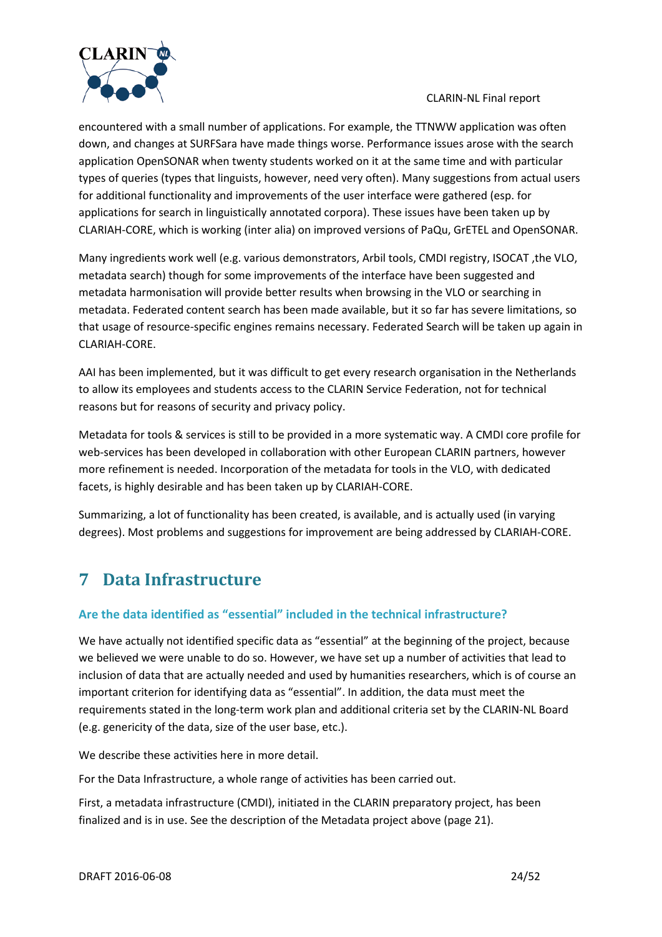

encountered with a small number of applications. For example, the TTNWW application was often down, and changes at SURFSara have made things worse. Performance issues arose with the search application OpenSONAR when twenty students worked on it at the same time and with particular types of queries (types that linguists, however, need very often). Many suggestions from actual users for additional functionality and improvements of the user interface were gathered (esp. for applications for search in linguistically annotated corpora). These issues have been taken up by CLARIAH-CORE, which is working (inter alia) on improved versions of PaQu, GrETEL and OpenSONAR.

Many ingredients work well (e.g. various demonstrators, Arbil tools, CMDI registry, ISOCAT ,the VLO, metadata search) though for some improvements of the interface have been suggested and metadata harmonisation will provide better results when browsing in the VLO or searching in metadata. Federated content search has been made available, but it so far has severe limitations, so that usage of resource-specific engines remains necessary. Federated Search will be taken up again in CLARIAH-CORE.

AAI has been implemented, but it was difficult to get every research organisation in the Netherlands to allow its employees and students access to the CLARIN Service Federation, not for technical reasons but for reasons of security and privacy policy.

Metadata for tools & services is still to be provided in a more systematic way. A CMDI core profile for web-services has been developed in collaboration with other European CLARIN partners, however more refinement is needed. Incorporation of the metadata for tools in the VLO, with dedicated facets, is highly desirable and has been taken up by CLARIAH-CORE.

Summarizing, a lot of functionality has been created, is available, and is actually used (in varying degrees). Most problems and suggestions for improvement are being addressed by CLARIAH-CORE.

# <span id="page-23-0"></span>**7 Data Infrastructure**

# **Are the data identified as "essential" included in the technical infrastructure?**

We have actually not identified specific data as "essential" at the beginning of the project, because we believed we were unable to do so. However, we have set up a number of activities that lead to inclusion of data that are actually needed and used by humanities researchers, which is of course an important criterion for identifying data as "essential". In addition, the data must meet the requirements stated in the long-term work plan and additional criteria set by the CLARIN-NL Board (e.g. genericity of the data, size of the user base, etc.).

We describe these activities here in more detail.

For the Data Infrastructure, a whole range of activities has been carried out.

First, a metadata infrastructure (CMDI), initiated in the CLARIN preparatory project, has been finalized and is in use. See the description of the Metadata project above (pag[e 21\)](#page-20-1).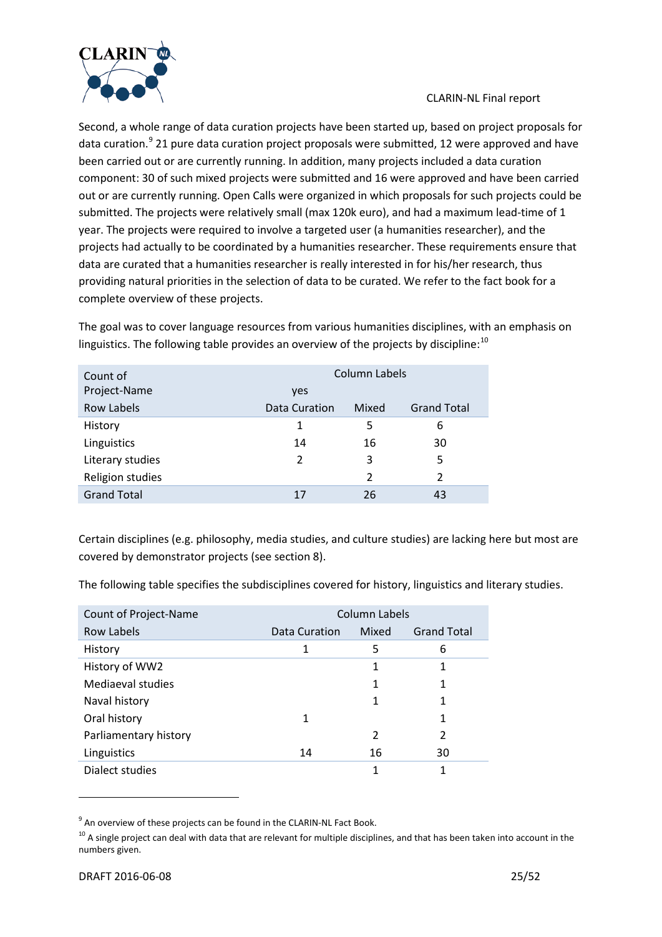

<span id="page-24-0"></span>Second, a whole range of data curation projects have been started up, based on project proposals for data curation.<sup>[9](#page-24-1)</sup> 21 pure data curation project proposals were submitted, 12 were approved and have been carried out or are currently running. In addition, many projects included a data curation component: 30 of such mixed projects were submitted and 16 were approved and have been carried out or are currently running. Open Calls were organized in which proposals for such projects could be submitted. The projects were relatively small (max 120k euro), and had a maximum lead-time of 1 year. The projects were required to involve a targeted user (a humanities researcher), and the projects had actually to be coordinated by a humanities researcher. These requirements ensure that data are curated that a humanities researcher is really interested in for his/her research, thus providing natural priorities in the selection of data to be curated. We refer to the fact book for a complete overview of these projects.

The goal was to cover language resources from various humanities disciplines, with an emphasis on linguistics. The following table provides an overview of the projects by discipline:<sup>[10](#page-24-2)</sup>

| Count of           | <b>Column Labels</b> |                |                    |  |  |
|--------------------|----------------------|----------------|--------------------|--|--|
| Project-Name       | yes                  |                |                    |  |  |
| Row Labels         | Data Curation        | Mixed          | <b>Grand Total</b> |  |  |
| History            | 1                    | 5              | 6                  |  |  |
| Linguistics        | 14                   | 16             | 30                 |  |  |
| Literary studies   | 2                    | 3              | 5                  |  |  |
| Religion studies   |                      | $\overline{2}$ | $\overline{2}$     |  |  |
| <b>Grand Total</b> | 17                   | 26             | 43                 |  |  |

Certain disciplines (e.g. philosophy, media studies, and culture studies) are lacking here but most are covered by demonstrator projects (see sectio[n 8\)](#page-29-0).

The following table specifies the subdisciplines covered for history, linguistics and literary studies.

| Count of Project-Name | <b>Column Labels</b> |       |                    |  |  |
|-----------------------|----------------------|-------|--------------------|--|--|
| <b>Row Labels</b>     | Data Curation        | Mixed | <b>Grand Total</b> |  |  |
| History               | 1                    | 5     | 6                  |  |  |
| History of WW2        |                      | 1     |                    |  |  |
| Mediaeval studies     |                      |       | 1                  |  |  |
| Naval history         |                      |       |                    |  |  |
| Oral history          | 1                    |       | 1                  |  |  |
| Parliamentary history |                      | 2     | 2                  |  |  |
| Linguistics           | 14                   | 16    | 30                 |  |  |
| Dialect studies       |                      | 1     | 1                  |  |  |

<span id="page-24-1"></span><sup>9</sup> An overview of these projects can be found in the CLARIN-NL Fact Book.

<span id="page-24-2"></span> $10$  A single project can deal with data that are relevant for multiple disciplines, and that has been taken into account in the numbers given.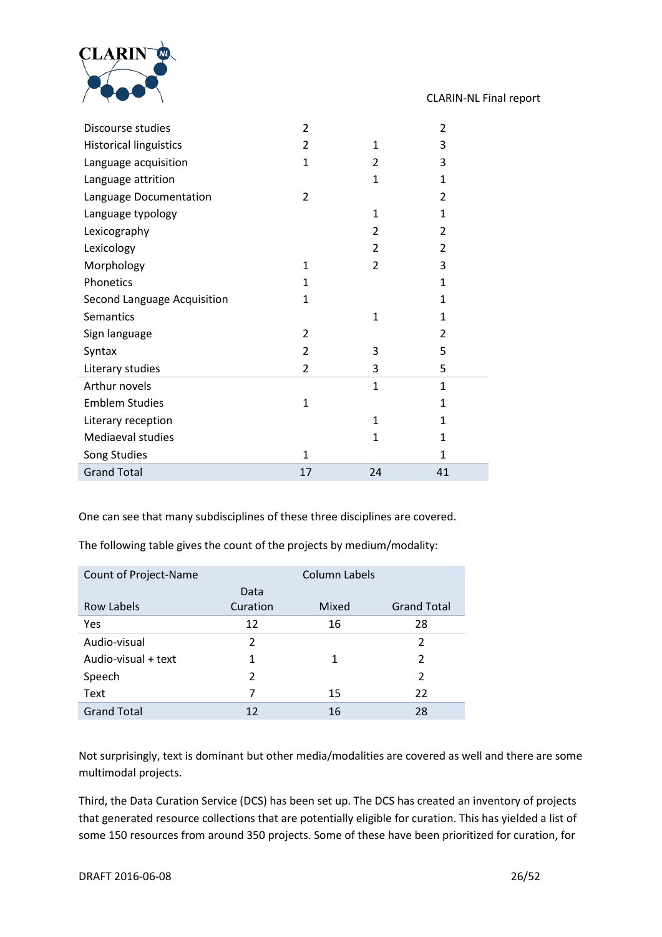

| Discourse studies             | 2            |                | 2              |
|-------------------------------|--------------|----------------|----------------|
| <b>Historical linguistics</b> | 2            | 1              | 3              |
| Language acquisition          | 1            | 2              | 3              |
| Language attrition            |              | 1              | $\mathbf{1}$   |
| Language Documentation        | 2            |                | $\overline{2}$ |
| Language typology             |              | 1              | $\mathbf{1}$   |
| Lexicography                  |              | 2              | 2              |
| Lexicology                    |              | 2              | 2              |
| Morphology                    | 1            | $\overline{2}$ | 3              |
| Phonetics                     | 1            |                | $\mathbf{1}$   |
| Second Language Acquisition   | $\mathbf{1}$ |                | $\mathbf{1}$   |
| Semantics                     |              | $\mathbf{1}$   | $\mathbf{1}$   |
| Sign language                 | 2            |                | 2              |
| Syntax                        | 2            | 3              | 5              |
| Literary studies              | 2            | 3              | 5              |
| Arthur novels                 |              | $\mathbf{1}$   | $\mathbf{1}$   |
| <b>Emblem Studies</b>         | $\mathbf{1}$ |                | $\mathbf{1}$   |
| Literary reception            |              | $\mathbf{1}$   | $\mathbf{1}$   |
| Mediaeval studies             |              | 1              | $\mathbf{1}$   |
| Song Studies                  | 1            |                | 1              |
| <b>Grand Total</b>            | 17           | 24             | 41             |

One can see that many subdisciplines of these three disciplines are covered.

The following table gives the count of the projects by medium/modality:

| Count of Project-Name |                | <b>Column Labels</b> |                    |
|-----------------------|----------------|----------------------|--------------------|
|                       | Data           |                      |                    |
| Row Labels            | Curation       | Mixed                | <b>Grand Total</b> |
| <b>Yes</b>            | 12             | 16                   | 28                 |
| Audio-visual          | $\overline{2}$ |                      | 2                  |
| Audio-visual + text   | 1              | 1                    | 2                  |
| Speech                | 2              |                      | $\overline{2}$     |
| Text                  | 7              | 15                   | 22                 |
| <b>Grand Total</b>    | 12             | 16                   | 28                 |

Not surprisingly, text is dominant but other media/modalities are covered as well and there are some multimodal projects.

Third, the Data Curation Service (DCS) has been set up. The DCS has created an inventory of projects that generated resource collections that are potentially eligible for curation. This has yielded a list of some 150 resources from around 350 projects. Some of these have been prioritized for curation, for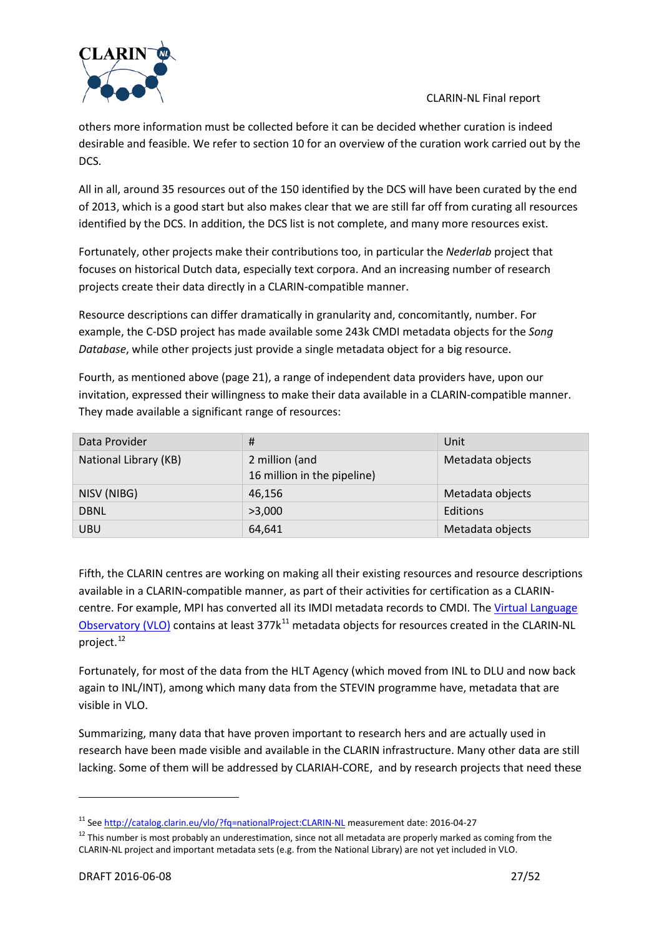



All in all, around 35 resources out of the 150 identified by the DCS will have been curated by the end of 2013, which is a good start but also makes clear that we are still far off from curating all resources identified by the DCS. In addition, the DCS list is not complete, and many more resources exist.

Fortunately, other projects make their contributions too, in particular the *Nederlab* project that focuses on historical Dutch data, especially text corpora. And an increasing number of research projects create their data directly in a CLARIN-compatible manner.

Resource descriptions can differ dramatically in granularity and, concomitantly, number. For example, the C-DSD project has made available some 243k CMDI metadata objects for the *Song Database*, while other projects just provide a single metadata object for a big resource.

Fourth, as mentioned above (page [21\)](#page-20-0), a range of independent data providers have, upon our invitation, expressed their willingness to make their data available in a CLARIN-compatible manner. They made available a significant range of resources:

| Data Provider         | #                           | Unit             |
|-----------------------|-----------------------------|------------------|
| National Library (KB) | 2 million (and              | Metadata objects |
|                       | 16 million in the pipeline) |                  |
| NISV (NIBG)           | 46,156                      | Metadata objects |
| <b>DBNL</b>           | >3,000                      | Editions         |
| <b>UBU</b>            | 64,641                      | Metadata objects |

Fifth, the CLARIN centres are working on making all their existing resources and resource descriptions available in a CLARIN-compatible manner, as part of their activities for certification as a CLARINcentre. For example, MPI has converted all its IMDI metadata records to CMDI. Th[e Virtual Language](http://catalog.clarin.eu/vlo/)  [Observatory \(VLO\)](http://catalog.clarin.eu/vlo/) contains at least 377k<sup>[11](#page-26-0)</sup> metadata objects for resources created in the CLARIN-NL project.<sup>[12](#page-26-1)</sup>

Fortunately, for most of the data from the HLT Agency (which moved from INL to DLU and now back again to INL/INT), among which many data from the STEVIN programme have, metadata that are visible in VLO.

Summarizing, many data that have proven important to research hers and are actually used in research have been made visible and available in the CLARIN infrastructure. Many other data are still lacking. Some of them will be addressed by CLARIAH-CORE, and by research projects that need these

<span id="page-26-0"></span><sup>&</sup>lt;sup>11</sup> See<http://catalog.clarin.eu/vlo/?fq=nationalProject:CLARIN-NL> measurement date: 2016-04-27

<span id="page-26-1"></span> $12$  This number is most probably an underestimation, since not all metadata are properly marked as coming from the CLARIN-NL project and important metadata sets (e.g. from the National Library) are not yet included in VLO.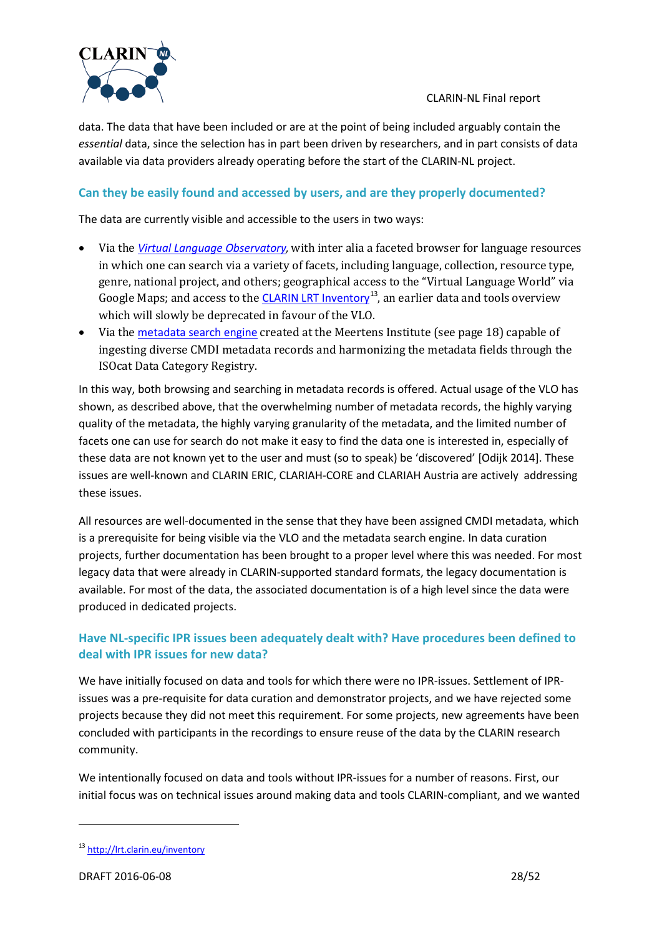

data. The data that have been included or are at the point of being included arguably contain the *essential* data, since the selection has in part been driven by researchers, and in part consists of data available via data providers already operating before the start of the CLARIN-NL project.

# **Can they be easily found and accessed by users, and are they properly documented?**

The data are currently visible and accessible to the users in two ways:

- Via the *[Virtual Language Observatory](http://www.clarin.eu/vlo),* with inter alia a faceted browser for language resources in which one can search via a variety of facets, including language, collection, resource type, genre, national project, and others; geographical access to the "Virtual Language World" via Google Maps; and access to the [CLARIN LRT Inventory](http://lrt.clarin.eu/inventory)<sup>[13](#page-27-0)</sup>, an earlier data and tools overview which will slowly be deprecated in favour of the VLO.
- Via the [metadata search engine](http://www.meertens.knaw.nl/cmdi/search) created at the Meertens Institute (see page [18\)](#page-17-0) capable of ingesting diverse CMDI metadata records and harmonizing the metadata fields through the ISOcat Data Category Registry.

In this way, both browsing and searching in metadata records is offered. Actual usage of the VLO has shown, as described above, that the overwhelming number of metadata records, the highly varying quality of the metadata, the highly varying granularity of the metadata, and the limited number of facets one can use for search do not make it easy to find the data one is interested in, especially of these data are not known yet to the user and must (so to speak) be 'discovered' [Odijk 2014]. These issues are well-known and CLARIN ERIC, CLARIAH-CORE and CLARIAH Austria are actively addressing these issues.

All resources are well-documented in the sense that they have been assigned CMDI metadata, which is a prerequisite for being visible via the VLO and the metadata search engine. In data curation projects, further documentation has been brought to a proper level where this was needed. For most legacy data that were already in CLARIN-supported standard formats, the legacy documentation is available. For most of the data, the associated documentation is of a high level since the data were produced in dedicated projects.

# **Have NL-specific IPR issues been adequately dealt with? Have procedures been defined to deal with IPR issues for new data?**

We have initially focused on data and tools for which there were no IPR-issues. Settlement of IPRissues was a pre-requisite for data curation and demonstrator projects, and we have rejected some projects because they did not meet this requirement. For some projects, new agreements have been concluded with participants in the recordings to ensure reuse of the data by the CLARIN research community.

We intentionally focused on data and tools without IPR-issues for a number of reasons. First, our initial focus was on technical issues around making data and tools CLARIN-compliant, and we wanted

<span id="page-27-0"></span><sup>13</sup> <http://lrt.clarin.eu/inventory>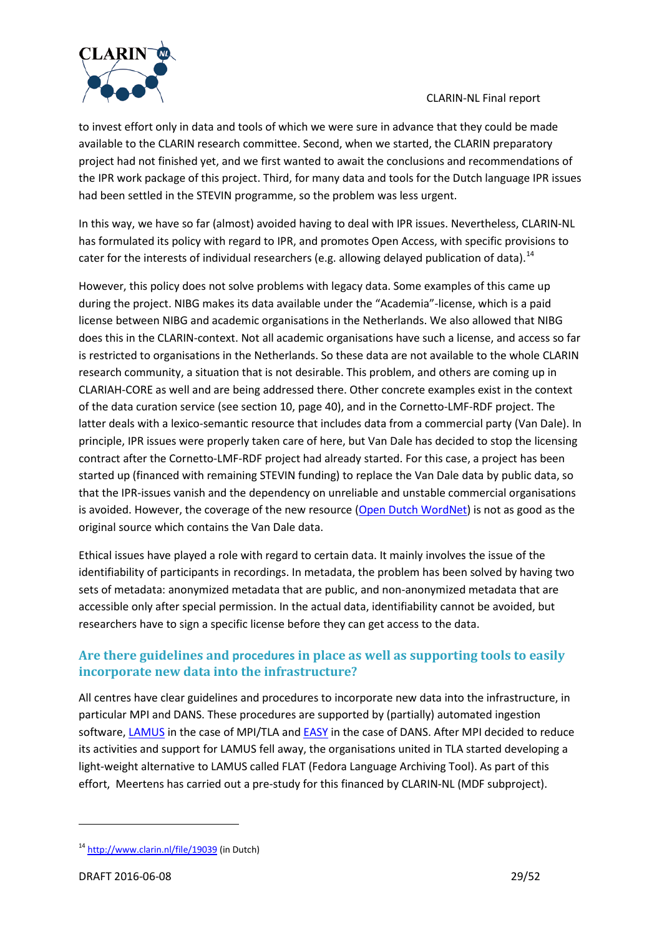

to invest effort only in data and tools of which we were sure in advance that they could be made available to the CLARIN research committee. Second, when we started, the CLARIN preparatory project had not finished yet, and we first wanted to await the conclusions and recommendations of the IPR work package of this project. Third, for many data and tools for the Dutch language IPR issues had been settled in the STEVIN programme, so the problem was less urgent.

In this way, we have so far (almost) avoided having to deal with IPR issues. Nevertheless, CLARIN-NL has formulated its policy with regard to IPR, and promotes Open Access, with specific provisions to cater for the interests of individual researchers (e.g. allowing delayed publication of data).<sup>[14](#page-28-0)</sup>

However, this policy does not solve problems with legacy data. Some examples of this came up during the project. NIBG makes its data available under the "Academia"-license, which is a paid license between NIBG and academic organisations in the Netherlands. We also allowed that NIBG does this in the CLARIN-context. Not all academic organisations have such a license, and access so far is restricted to organisations in the Netherlands. So these data are not available to the whole CLARIN research community, a situation that is not desirable. This problem, and others are coming up in CLARIAH-CORE as well and are being addressed there. Other concrete examples exist in the context of the data curation service (see sectio[n 10,](#page-39-0) page [40\)](#page-39-1), and in the Cornetto-LMF-RDF project. The latter deals with a lexico-semantic resource that includes data from a commercial party (Van Dale). In principle, IPR issues were properly taken care of here, but Van Dale has decided to stop the licensing contract after the Cornetto-LMF-RDF project had already started. For this case, a project has been started up (financed with remaining STEVIN funding) to replace the Van Dale data by public data, so that the IPR-issues vanish and the dependency on unreliable and unstable commercial organisations is avoided. However, the coverage of the new resource [\(Open Dutch WordNet\)](http://wordpress.let.vupr.nl/odwn/) is not as good as the original source which contains the Van Dale data.

Ethical issues have played a role with regard to certain data. It mainly involves the issue of the identifiability of participants in recordings. In metadata, the problem has been solved by having two sets of metadata: anonymized metadata that are public, and non-anonymized metadata that are accessible only after special permission. In the actual data, identifiability cannot be avoided, but researchers have to sign a specific license before they can get access to the data.

# **Are there guidelines and procedures in place as well as supporting tools to easily incorporate new data into the infrastructure?**

All centres have clear guidelines and procedures to incorporate new data into the infrastructure, in particular MPI and DANS. These procedures are supported by (partially) automated ingestion software[, LAMUS](http://tla.mpi.nl/tools/tla-tools/lamus/) in the case of MPI/TLA and **[EASY](https://easy.dans.knaw.nl/ui/home)** in the case of DANS. After MPI decided to reduce its activities and support for LAMUS fell away, the organisations united in TLA started developing a light-weight alternative to LAMUS called FLAT (Fedora Language Archiving Tool). As part of this effort, Meertens has carried out a pre-study for this financed by CLARIN-NL (MDF subproject).

<span id="page-28-0"></span><sup>14</sup> <http://www.clarin.nl/file/19039> (in Dutch)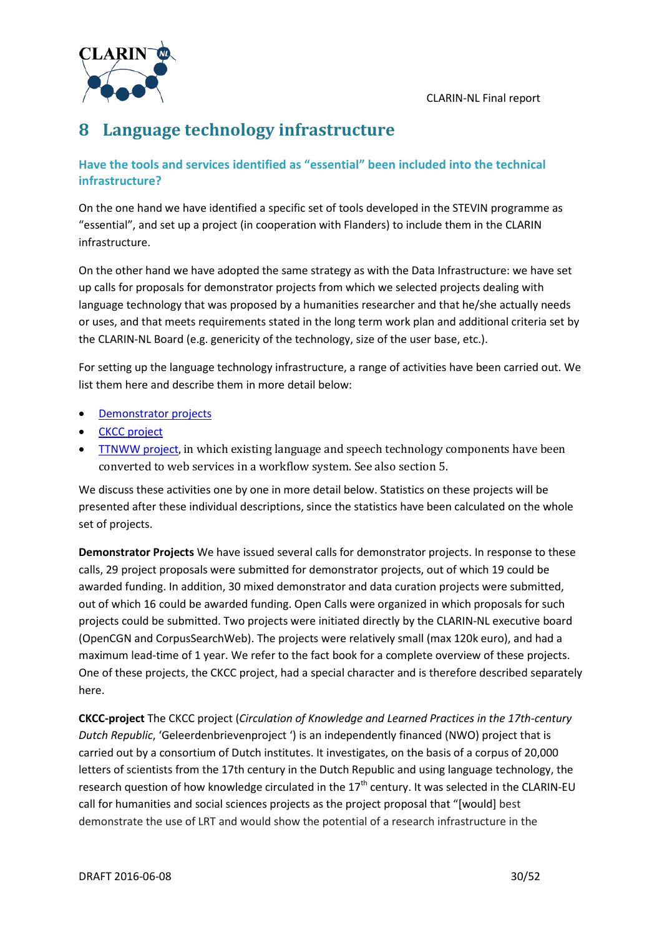

# <span id="page-29-0"></span>**8 Language technology infrastructure**

### **Have the tools and services identified as "essential" been included into the technical infrastructure?**

On the one hand we have identified a specific set of tools developed in the STEVIN programme as "essential", and set up a project (in cooperation with Flanders) to include them in the CLARIN infrastructure.

On the other hand we have adopted the same strategy as with the Data Infrastructure: we have set up calls for proposals for demonstrator projects from which we selected projects dealing with language technology that was proposed by a humanities researcher and that he/she actually needs or uses, and that meets requirements stated in the long term work plan and additional criteria set by the CLARIN-NL Board (e.g. genericity of the technology, size of the user base, etc.).

For setting up the language technology infrastructure, a range of activities have been carried out. We list them here and describe them in more detail below:

- [Demonstrator projects](#page-29-1)
- [CKCC project](#page-29-2)
- [TTNWW project](#page-30-0), in which existing language and speech technology components have been converted to web services in a workflow system. See also section [5.](#page-6-0)

We discuss these activities one by one in more detail below. Statistics on these projects will be presented after these individual descriptions, since the statistics have been calculated on the whole set of projects.

<span id="page-29-1"></span>**Demonstrator Projects** We have issued several calls for demonstrator projects. In response to these calls, 29 project proposals were submitted for demonstrator projects, out of which 19 could be awarded funding. In addition, 30 mixed demonstrator and data curation projects were submitted, out of which 16 could be awarded funding. Open Calls were organized in which proposals for such projects could be submitted. Two projects were initiated directly by the CLARIN-NL executive board (OpenCGN and CorpusSearchWeb). The projects were relatively small (max 120k euro), and had a maximum lead-time of 1 year. We refer to the fact book for a complete overview of these projects. One of these projects, the CKCC project, had a special character and is therefore described separately here.

<span id="page-29-2"></span>**CKCC-project** The CKCC project (*Circulation of Knowledge and Learned Practices in the 17th-century Dutch Republic*, 'Geleerdenbrievenproject ') is an independently financed (NWO) project that is carried out by a consortium of Dutch institutes. It investigates, on the basis of a corpus of 20,000 letters of scientists from the 17th century in the Dutch Republic and using language technology, the research question of how knowledge circulated in the 17<sup>th</sup> century. It was selected in the CLARIN-EU call for humanities and social sciences projects as the project proposal that "[would] best demonstrate the use of LRT and would show the potential of a research infrastructure in the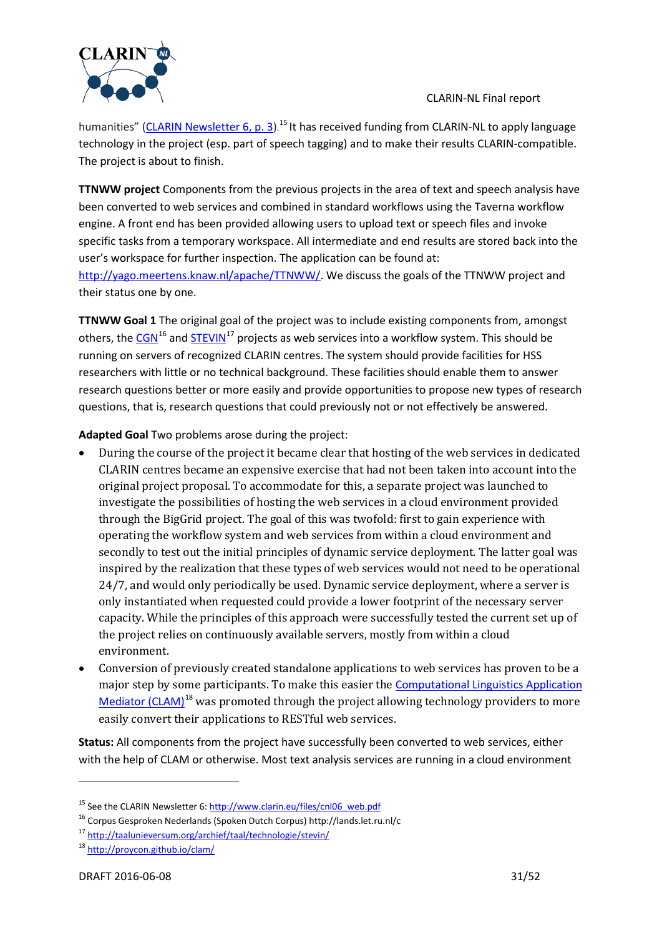

humanities" [\(CLARIN Newsletter 6, p.](http://www.clarin.eu/files/cnl06_web_0.pdf) 3).<sup>[15](#page-30-1)</sup> It has received funding from CLARIN-NL to apply language technology in the project (esp. part of speech tagging) and to make their results CLARIN-compatible. The project is about to finish.

<span id="page-30-0"></span>**TTNWW project** Components from the previous projects in the area of text and speech analysis have been converted to web services and combined in standard workflows using the Taverna workflow engine. A front end has been provided allowing users to upload text or speech files and invoke specific tasks from a temporary workspace. All intermediate and end results are stored back into the user's workspace for further inspection. The application can be found at: [http://yago.meertens.knaw.nl/apache/TTNWW/.](http://yago.meertens.knaw.nl/apache/TTNWW/) We discuss the goals of the TTNWW project and their status one by one.

**TTNWW Goal 1** The original goal of the project was to include existing components from, amongst others, the [CGN](http://lands.let.ru.nl/cgn/)<sup>[16](#page-30-2)</sup> an[d STEVIN](http://taalunieversum.org/archief/taal/technologie/stevin/)<sup>[17](#page-30-3)</sup> projects as web services into a workflow system. This should be running on servers of recognized CLARIN centres. The system should provide facilities for HSS researchers with little or no technical background. These facilities should enable them to answer research questions better or more easily and provide opportunities to propose new types of research questions, that is, research questions that could previously not or not effectively be answered.

**Adapted Goal** Two problems arose during the project:

- During the course of the project it became clear that hosting of the web services in dedicated CLARIN centres became an expensive exercise that had not been taken into account into the original project proposal. To accommodate for this, a separate project was launched to investigate the possibilities of hosting the web services in a cloud environment provided through the BigGrid project. The goal of this was twofold: first to gain experience with operating the workflow system and web services from within a cloud environment and secondly to test out the initial principles of dynamic service deployment. The latter goal was inspired by the realization that these types of web services would not need to be operational 24/7, and would only periodically be used. Dynamic service deployment, where a server is only instantiated when requested could provide a lower footprint of the necessary server capacity. While the principles of this approach were successfully tested the current set up of the project relies on continuously available servers, mostly from within a cloud environment.
- Conversion of previously created standalone applications to web services has proven to be a major step by some participants. To make this easier the **Computational Linguistics Application** [Mediator \(CLAM\)](http://proycon.github.io/clam/)<sup>[18](#page-30-4)</sup> was promoted through the project allowing technology providers to more easily convert their applications to RESTful web services.

**Status:** All components from the project have successfully been converted to web services, either with the help of CLAM or otherwise. Most text analysis services are running in a cloud environment

<span id="page-30-1"></span><sup>&</sup>lt;sup>15</sup> See the CLARIN Newsletter 6[: http://www.clarin.eu/files/cnl06\\_web.pdf](http://www.clarin.eu/files/cnl06_web.pdf)

<span id="page-30-2"></span><sup>16</sup> Corpus Gesproken Nederlands (Spoken Dutch Corpus) http://lands.let.ru.nl/c

<span id="page-30-3"></span><sup>17</sup> <http://taalunieversum.org/archief/taal/technologie/stevin/>

<span id="page-30-4"></span><sup>18</sup> <http://proycon.github.io/clam/>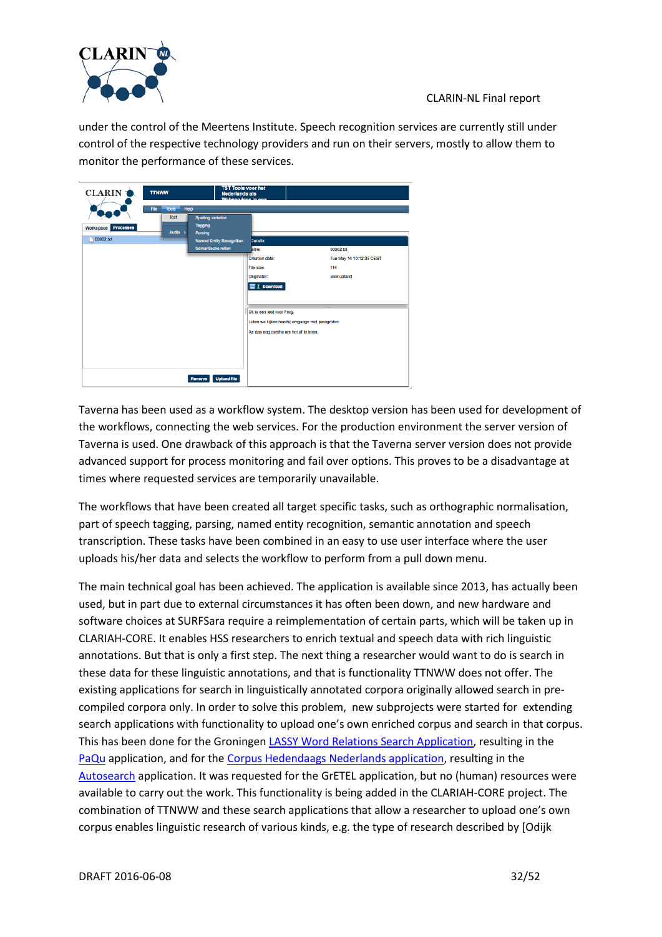

under the control of the Meertens Institute. Speech recognition services are currently still under control of the respective technology providers and run on their servers, mostly to allow them to monitor the performance of these services.

| <b>CLARIN</b>       | <b>TTNWW</b>                 | <b>TST Tools voor het</b><br><b>Nederlands als</b><br>Wabenndone in |                                                 |                          |
|---------------------|------------------------------|---------------------------------------------------------------------|-------------------------------------------------|--------------------------|
|                     | Help<br>File<br><b>Tools</b> |                                                                     |                                                 |                          |
| Workspace Processes | Text<br>Audio                | <b>Spelling variation</b><br>Tagging<br>Parsing                     |                                                 |                          |
| 00002.txt           |                              | Named Entity Recognition                                            | <b>Details</b>                                  |                          |
|                     |                              | Semantische rollen                                                  | lame:                                           | 00002.txt                |
|                     |                              |                                                                     | Creation date:                                  | Tue May 14 10:12:35 CEST |
|                     |                              |                                                                     | File size:                                      | 114                      |
|                     |                              |                                                                     | Originator:                                     | user upload              |
|                     |                              |                                                                     | ■ J. Download                                   |                          |
|                     |                              |                                                                     | Dit is een test voor Frog.                      |                          |
|                     |                              |                                                                     | Laten we kijken hoe hij omgaagn met paragrafen. |                          |
|                     |                              |                                                                     | An dan nog eenthe om het af te leren.           |                          |
|                     |                              |                                                                     |                                                 |                          |
|                     |                              |                                                                     |                                                 |                          |
|                     |                              | <b>Upload file</b><br>Remove                                        |                                                 |                          |

Taverna has been used as a workflow system. The desktop version has been used for development of the workflows, connecting the web services. For the production environment the server version of Taverna is used. One drawback of this approach is that the Taverna server version does not provide advanced support for process monitoring and fail over options. This proves to be a disadvantage at times where requested services are temporarily unavailable.

The workflows that have been created all target specific tasks, such as orthographic normalisation, part of speech tagging, parsing, named entity recognition, semantic annotation and speech transcription. These tasks have been combined in an easy to use user interface where the user uploads his/her data and selects the workflow to perform from a pull down menu.

The main technical goal has been achieved. The application is available since 2013, has actually been used, but in part due to external circumstances it has often been down, and new hardware and software choices at SURFSara require a reimplementation of certain parts, which will be taken up in CLARIAH-CORE. It enables HSS researchers to enrich textual and speech data with rich linguistic annotations. But that is only a first step. The next thing a researcher would want to do is search in these data for these linguistic annotations, and that is functionality TTNWW does not offer. The existing applications for search in linguistically annotated corpora originally allowed search in precompiled corpora only. In order to solve this problem, new subprojects were started for extending search applications with functionality to upload one's own enriched corpus and search in that corpus. This has been done for the Groningen [LASSY Word Relations Search Application,](http://portal.clarin.nl/node/1966) resulting in the [PaQu](http://portal.clarin.nl/node/4182) application, and for the [Corpus Hedendaags Nederlands application,](http://corpushedendaagsnederlands.inl.nl/) resulting in the [Autosearch](http://portal.clarin.nl/node/4222) application. It was requested for the GrETEL application, but no (human) resources were available to carry out the work. This functionality is being added in the CLARIAH-CORE project. The combination of TTNWW and these search applications that allow a researcher to upload one's own corpus enables linguistic research of various kinds, e.g. the type of research described by [Odijk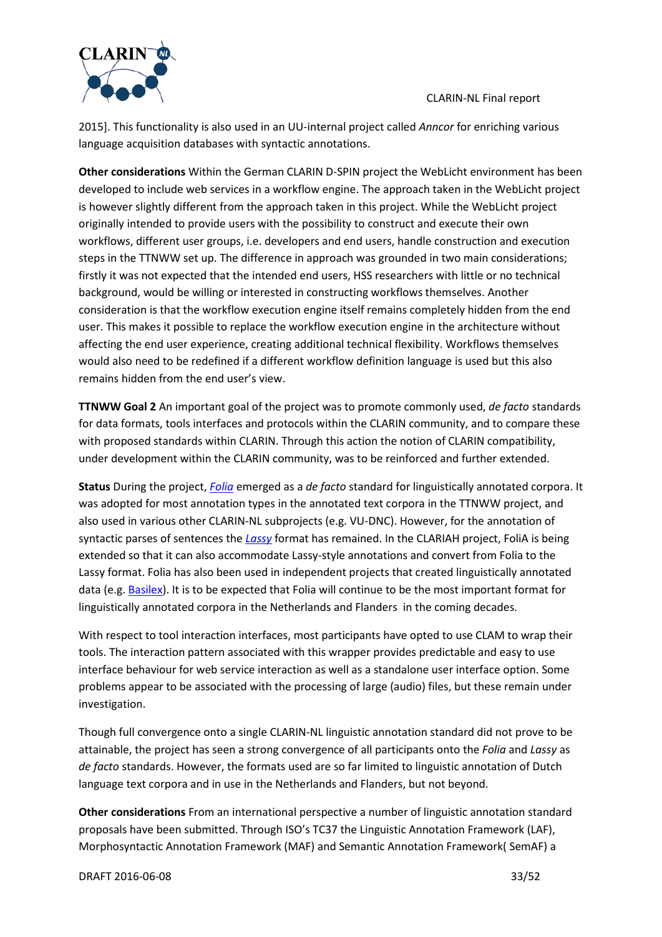

2015]. This functionality is also used in an UU-internal project called *Anncor* for enriching various language acquisition databases with syntactic annotations.

**Other considerations** Within the German CLARIN D-SPIN project the WebLicht environment has been developed to include web services in a workflow engine. The approach taken in the WebLicht project is however slightly different from the approach taken in this project. While the WebLicht project originally intended to provide users with the possibility to construct and execute their own workflows, different user groups, i.e. developers and end users, handle construction and execution steps in the TTNWW set up. The difference in approach was grounded in two main considerations; firstly it was not expected that the intended end users, HSS researchers with little or no technical background, would be willing or interested in constructing workflows themselves. Another consideration is that the workflow execution engine itself remains completely hidden from the end user. This makes it possible to replace the workflow execution engine in the architecture without affecting the end user experience, creating additional technical flexibility. Workflows themselves would also need to be redefined if a different workflow definition language is used but this also remains hidden from the end user's view.

**TTNWW Goal 2** An important goal of the project was to promote commonly used, *de facto* standards for data formats, tools interfaces and protocols within the CLARIN community, and to compare these with proposed standards within CLARIN. Through this action the notion of CLARIN compatibility, under development within the CLARIN community, was to be reinforced and further extended.

**Status** During the project, *[Folia](http://proycon.github.io/folia/)* emerged as a *de facto* standard for linguistically annotated corpora. It was adopted for most annotation types in the annotated text corpora in the TTNWW project, and also used in various other CLARIN-NL subprojects (e.g. VU-DNC). However, for the annotation of syntactic parses of sentences the *[Lassy](http://www.let.rug.nl/%7Evannoord/Lassy/)* format has remained. In the CLARIAH project, FoliA is being extended so that it can also accommodate Lassy-style annotations and convert from Folia to the Lassy format. Folia has also been used in independent projects that created linguistically annotated data (e.g. [Basilex\)](http://tst-centrale.org/nl/tst-materialen/corpora/basilex-corpus-detail). It is to be expected that Folia will continue to be the most important format for linguistically annotated corpora in the Netherlands and Flanders in the coming decades.

With respect to tool interaction interfaces, most participants have opted to use CLAM to wrap their tools. The interaction pattern associated with this wrapper provides predictable and easy to use interface behaviour for web service interaction as well as a standalone user interface option. Some problems appear to be associated with the processing of large (audio) files, but these remain under investigation.

Though full convergence onto a single CLARIN-NL linguistic annotation standard did not prove to be attainable, the project has seen a strong convergence of all participants onto the *Folia* and *Lassy* as *de facto* standards. However, the formats used are so far limited to linguistic annotation of Dutch language text corpora and in use in the Netherlands and Flanders, but not beyond.

**Other considerations** From an international perspective a number of linguistic annotation standard proposals have been submitted. Through ISO's TC37 the Linguistic Annotation Framework (LAF), Morphosyntactic Annotation Framework (MAF) and Semantic Annotation Framework( SemAF) a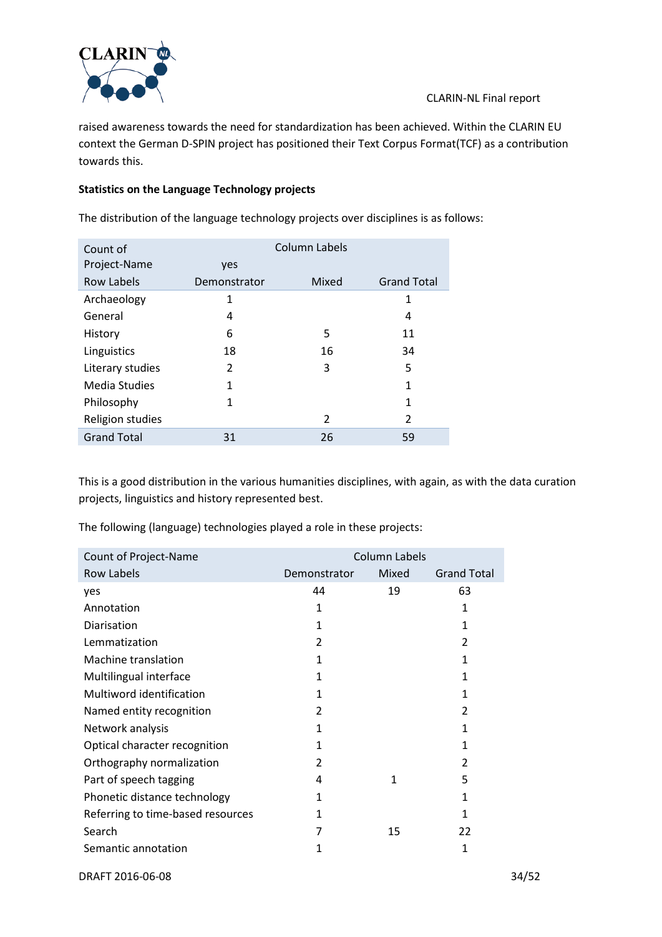

raised awareness towards the need for standardization has been achieved. Within the CLARIN EU context the German D-SPIN project has positioned their Text Corpus Format(TCF) as a contribution towards this.

### **Statistics on the Language Technology projects**

The distribution of the language technology projects over disciplines is as follows:

| Count of           |              | Column Labels  |                    |
|--------------------|--------------|----------------|--------------------|
| Project-Name       | yes          |                |                    |
| <b>Row Labels</b>  | Demonstrator | Mixed          | <b>Grand Total</b> |
| Archaeology        | 1            |                | 1                  |
| General            | 4            |                | 4                  |
| History            | 6            | 5              | 11                 |
| Linguistics        | 18           | 16             | 34                 |
| Literary studies   | 2            | 3              | 5                  |
| Media Studies      | 1            |                | 1                  |
| Philosophy         | 1            |                | 1                  |
| Religion studies   |              | $\overline{2}$ | 2                  |
| <b>Grand Total</b> | 31           | 26             | 59                 |

This is a good distribution in the various humanities disciplines, with again, as with the data curation projects, linguistics and history represented best.

The following (language) technologies played a role in these projects:

| Count of Project-Name             | <b>Column Labels</b> |       |                    |  |  |
|-----------------------------------|----------------------|-------|--------------------|--|--|
| <b>Row Labels</b>                 | Demonstrator         | Mixed | <b>Grand Total</b> |  |  |
| yes                               | 44                   | 19    | 63                 |  |  |
| Annotation                        | 1                    |       | 1                  |  |  |
| Diarisation                       | 1                    |       | 1                  |  |  |
| Lemmatization                     | 2                    |       | $\overline{2}$     |  |  |
| Machine translation               | 1                    |       | 1                  |  |  |
| Multilingual interface            | 1                    |       | 1                  |  |  |
| Multiword identification          | 1                    |       | 1                  |  |  |
| Named entity recognition          | 2                    |       | $\overline{2}$     |  |  |
| Network analysis                  | 1                    |       | 1                  |  |  |
| Optical character recognition     | 1                    |       | 1                  |  |  |
| Orthography normalization         | 2                    |       | 2                  |  |  |
| Part of speech tagging            | 4                    | 1     | 5                  |  |  |
| Phonetic distance technology      | 1                    |       | 1                  |  |  |
| Referring to time-based resources | 1                    |       | 1                  |  |  |
| Search                            | 7                    | 15    | 22                 |  |  |
| Semantic annotation               | 1                    |       | 1                  |  |  |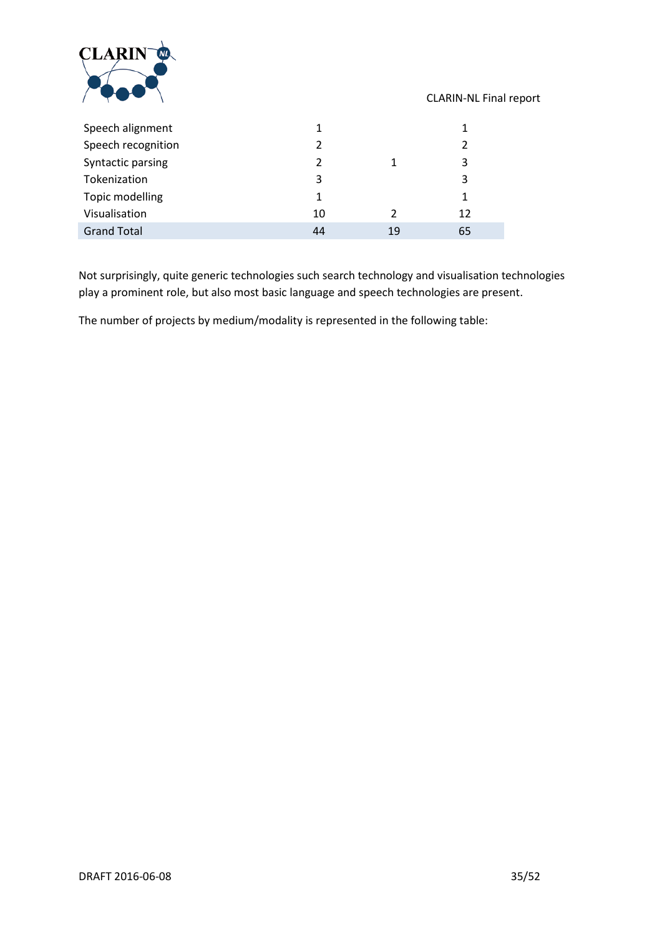

| Speech alignment   |    |    |    |
|--------------------|----|----|----|
| Speech recognition | 2  |    |    |
| Syntactic parsing  | 2  |    | 3  |
| Tokenization       | 3  |    | 3  |
| Topic modelling    | 1  |    |    |
| Visualisation      | 10 |    | 12 |
| <b>Grand Total</b> | 44 | 19 | 65 |

Not surprisingly, quite generic technologies such search technology and visualisation technologies play a prominent role, but also most basic language and speech technologies are present.

The number of projects by medium/modality is represented in the following table: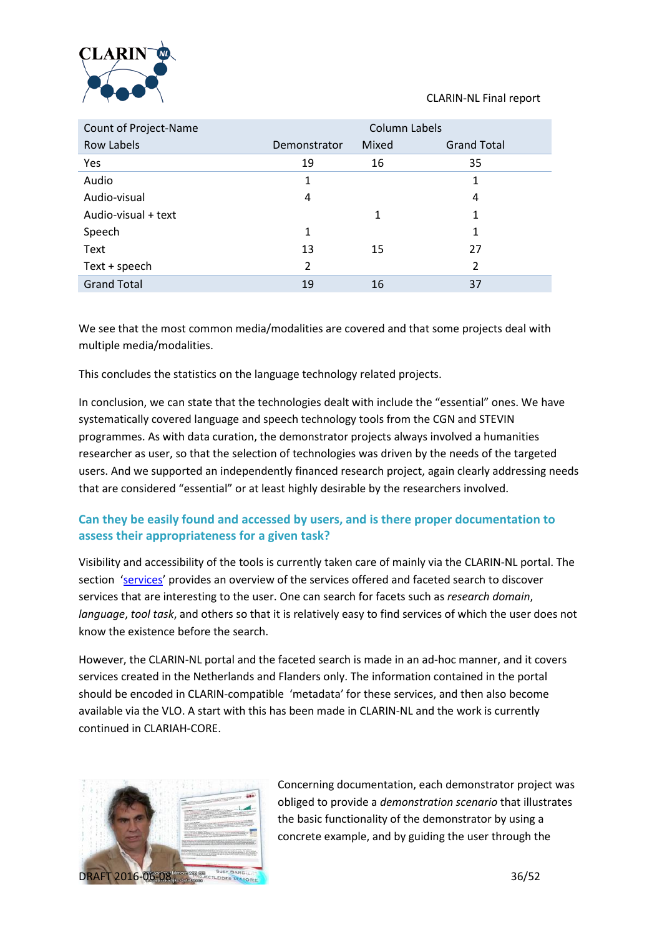

| Count of Project-Name | Column Labels |       |                    |  |  |  |
|-----------------------|---------------|-------|--------------------|--|--|--|
| Row Labels            | Demonstrator  | Mixed | <b>Grand Total</b> |  |  |  |
| Yes                   | 19            | 16    | 35                 |  |  |  |
| Audio                 | 1             |       | 1                  |  |  |  |
| Audio-visual          | 4             |       | 4                  |  |  |  |
| Audio-visual + text   |               | 1     | 1                  |  |  |  |
| Speech                | 1             |       | 1                  |  |  |  |
| Text                  | 13            | 15    | 27                 |  |  |  |
| Text + speech         | 2             |       | $\overline{2}$     |  |  |  |
| <b>Grand Total</b>    | 19            | 16    | 37                 |  |  |  |

We see that the most common media/modalities are covered and that some projects deal with multiple media/modalities.

This concludes the statistics on the language technology related projects.

In conclusion, we can state that the technologies dealt with include the "essential" ones. We have systematically covered language and speech technology tools from the CGN and STEVIN programmes. As with data curation, the demonstrator projects always involved a humanities researcher as user, so that the selection of technologies was driven by the needs of the targeted users. And we supported an independently financed research project, again clearly addressing needs that are considered "essential" or at least highly desirable by the researchers involved.

### **Can they be easily found and accessed by users, and is there proper documentation to assess their appropriateness for a given task?**

Visibility and accessibility of the tools is currently taken care of mainly via the CLARIN-NL portal. The section ['services'](http://portal.clarin.nl/clarin-resource-list-fs) provides an overview of the services offered and faceted search to discover services that are interesting to the user. One can search for facets such as *research domain*, *language*, *tool task*, and others so that it is relatively easy to find services of which the user does not know the existence before the search.

However, the CLARIN-NL portal and the faceted search is made in an ad-hoc manner, and it covers services created in the Netherlands and Flanders only. The information contained in the portal should be encoded in CLARIN-compatible 'metadata' for these services, and then also become available via the VLO. A start with this has been made in CLARIN-NL and the work is currently continued in CLARIAH-CORE.



Concerning documentation, each demonstrator project was obliged to provide a *demonstration scenario* that illustrates the basic functionality of the demonstrator by using a concrete example, and by guiding the user through the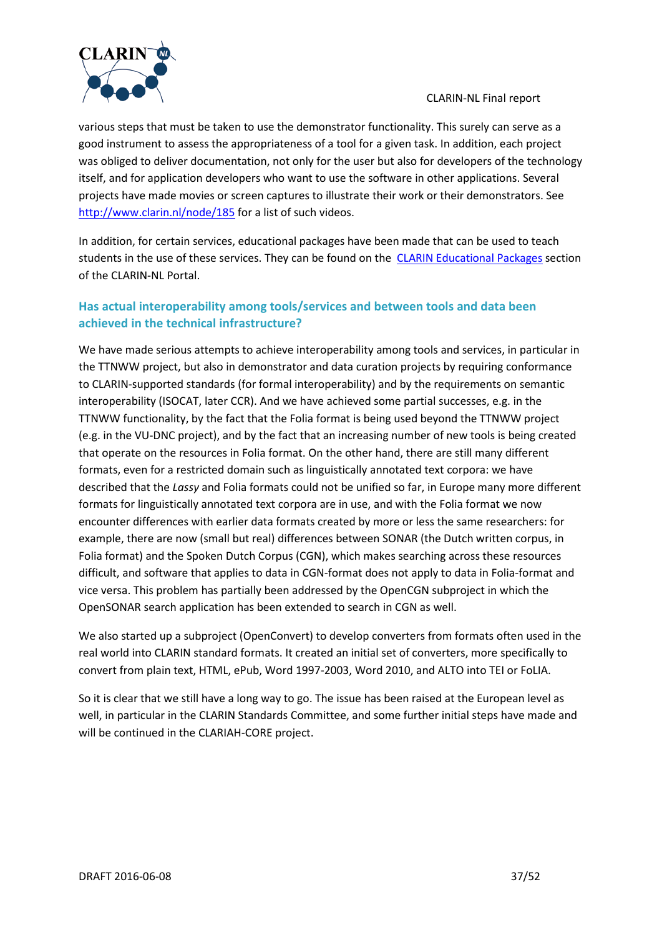

various steps that must be taken to use the demonstrator functionality. This surely can serve as a good instrument to assess the appropriateness of a tool for a given task. In addition, each project was obliged to deliver documentation, not only for the user but also for developers of the technology itself, and for application developers who want to use the software in other applications. Several projects have made movies or screen captures to illustrate their work or their demonstrators. See <http://www.clarin.nl/node/185> for a list of such videos.

In addition, for certain services, educational packages have been made that can be used to teach students in the use of these services. They can be found on the [CLARIN Educational Packages](http://portal.clarin.nl/node/CLARIN%20Educational%20Packages) section of the CLARIN-NL Portal.

# **Has actual interoperability among tools/services and between tools and data been achieved in the technical infrastructure?**

We have made serious attempts to achieve interoperability among tools and services, in particular in the TTNWW project, but also in demonstrator and data curation projects by requiring conformance to CLARIN-supported standards (for formal interoperability) and by the requirements on semantic interoperability (ISOCAT, later CCR). And we have achieved some partial successes, e.g. in the TTNWW functionality, by the fact that the Folia format is being used beyond the TTNWW project (e.g. in the VU-DNC project), and by the fact that an increasing number of new tools is being created that operate on the resources in Folia format. On the other hand, there are still many different formats, even for a restricted domain such as linguistically annotated text corpora: we have described that the *Lassy* and Folia formats could not be unified so far, in Europe many more different formats for linguistically annotated text corpora are in use, and with the Folia format we now encounter differences with earlier data formats created by more or less the same researchers: for example, there are now (small but real) differences between SONAR (the Dutch written corpus, in Folia format) and the Spoken Dutch Corpus (CGN), which makes searching across these resources difficult, and software that applies to data in CGN-format does not apply to data in Folia-format and vice versa. This problem has partially been addressed by the OpenCGN subproject in which the OpenSONAR search application has been extended to search in CGN as well.

We also started up a subproject (OpenConvert) to develop converters from formats often used in the real world into CLARIN standard formats. It created an initial set of converters, more specifically to convert from plain text, HTML, ePub, Word 1997-2003, Word 2010, and ALTO into TEI or FoLIA.

So it is clear that we still have a long way to go. The issue has been raised at the European level as well, in particular in the CLARIN Standards Committee, and some further initial steps have made and will be continued in the CLARIAH-CORE project.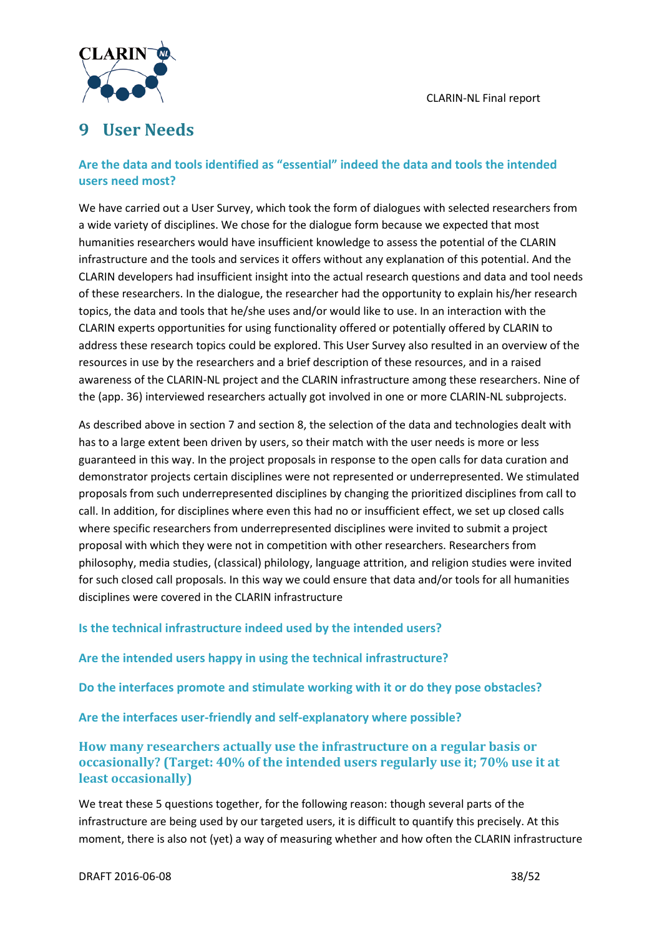

# <span id="page-37-0"></span>**9 User Needs**

### **Are the data and tools identified as "essential" indeed the data and tools the intended users need most?**

<span id="page-37-1"></span>We have carried out a User Survey, which took the form of dialogues with selected researchers from a wide variety of disciplines. We chose for the dialogue form because we expected that most humanities researchers would have insufficient knowledge to assess the potential of the CLARIN infrastructure and the tools and services it offers without any explanation of this potential. And the CLARIN developers had insufficient insight into the actual research questions and data and tool needs of these researchers. In the dialogue, the researcher had the opportunity to explain his/her research topics, the data and tools that he/she uses and/or would like to use. In an interaction with the CLARIN experts opportunities for using functionality offered or potentially offered by CLARIN to address these research topics could be explored. This User Survey also resulted in an overview of the resources in use by the researchers and a brief description of these resources, and in a raised awareness of the CLARIN-NL project and the CLARIN infrastructure among these researchers. Nine of the (app. 36) interviewed researchers actually got involved in one or more CLARIN-NL subprojects.

As described above in section [7](#page-23-0) and sectio[n 8,](#page-29-0) the selection of the data and technologies dealt with has to a large extent been driven by users, so their match with the user needs is more or less guaranteed in this way. In the project proposals in response to the open calls for data curation and demonstrator projects certain disciplines were not represented or underrepresented. We stimulated proposals from such underrepresented disciplines by changing the prioritized disciplines from call to call. In addition, for disciplines where even this had no or insufficient effect, we set up closed calls where specific researchers from underrepresented disciplines were invited to submit a project proposal with which they were not in competition with other researchers. Researchers from philosophy, media studies, (classical) philology, language attrition, and religion studies were invited for such closed call proposals. In this way we could ensure that data and/or tools for all humanities disciplines were covered in the CLARIN infrastructure

### **Is the technical infrastructure indeed used by the intended users?**

### **Are the intended users happy in using the technical infrastructure?**

**Do the interfaces promote and stimulate working with it or do they pose obstacles?**

**Are the interfaces user-friendly and self-explanatory where possible?**

### **How many researchers actually use the infrastructure on a regular basis or occasionally? (Target: 40% of the intended users regularly use it; 70% use it at least occasionally)**

We treat these 5 questions together, for the following reason: though several parts of the infrastructure are being used by our targeted users, it is difficult to quantify this precisely. At this moment, there is also not (yet) a way of measuring whether and how often the CLARIN infrastructure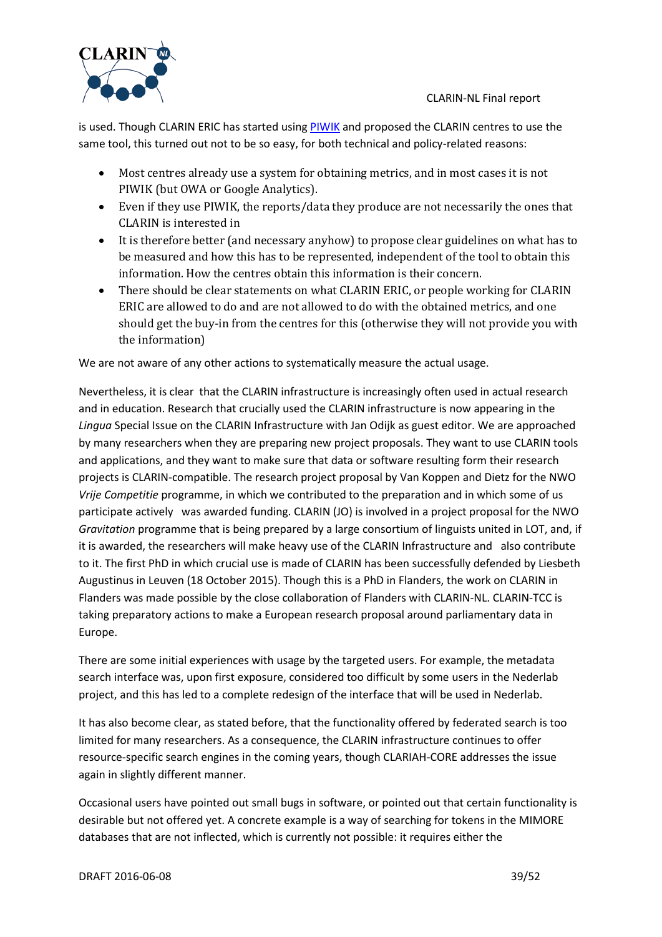

is used. Though CLARIN ERIC has started using [PIWIK](http://piwik.org/docs/tracking-api/%23javascript-client-for-tracking-api) and proposed the CLARIN centres to use the same tool, this turned out not to be so easy, for both technical and policy-related reasons:

- Most centres already use a system for obtaining metrics, and in most cases it is not PIWIK (but OWA or Google Analytics).
- Even if they use PIWIK, the reports/data they produce are not necessarily the ones that CLARIN is interested in
- It is therefore better (and necessary anyhow) to propose clear guidelines on what has to be measured and how this has to be represented, independent of the tool to obtain this information. How the centres obtain this information is their concern.
- There should be clear statements on what CLARIN ERIC, or people working for CLARIN ERIC are allowed to do and are not allowed to do with the obtained metrics, and one should get the buy-in from the centres for this (otherwise they will not provide you with the information)

We are not aware of any other actions to systematically measure the actual usage.

Nevertheless, it is clear that the CLARIN infrastructure is increasingly often used in actual research and in education. Research that crucially used the CLARIN infrastructure is now appearing in the *Lingua* Special Issue on the CLARIN Infrastructure with Jan Odijk as guest editor. We are approached by many researchers when they are preparing new project proposals. They want to use CLARIN tools and applications, and they want to make sure that data or software resulting form their research projects is CLARIN-compatible. The research project proposal by Van Koppen and Dietz for the NWO *Vrije Competitie* programme, in which we contributed to the preparation and in which some of us participate actively was awarded funding. CLARIN (JO) is involved in a project proposal for the NWO *Gravitation* programme that is being prepared by a large consortium of linguists united in LOT, and, if it is awarded, the researchers will make heavy use of the CLARIN Infrastructure and also contribute to it. The first PhD in which crucial use is made of CLARIN has been successfully defended by Liesbeth Augustinus in Leuven (18 October 2015). Though this is a PhD in Flanders, the work on CLARIN in Flanders was made possible by the close collaboration of Flanders with CLARIN-NL. CLARIN-TCC is taking preparatory actions to make a European research proposal around parliamentary data in Europe.

There are some initial experiences with usage by the targeted users. For example, the metadata search interface was, upon first exposure, considered too difficult by some users in the Nederlab project, and this has led to a complete redesign of the interface that will be used in Nederlab.

It has also become clear, as stated before, that the functionality offered by federated search is too limited for many researchers. As a consequence, the CLARIN infrastructure continues to offer resource-specific search engines in the coming years, though CLARIAH-CORE addresses the issue again in slightly different manner.

Occasional users have pointed out small bugs in software, or pointed out that certain functionality is desirable but not offered yet. A concrete example is a way of searching for tokens in the MIMORE databases that are not inflected, which is currently not possible: it requires either the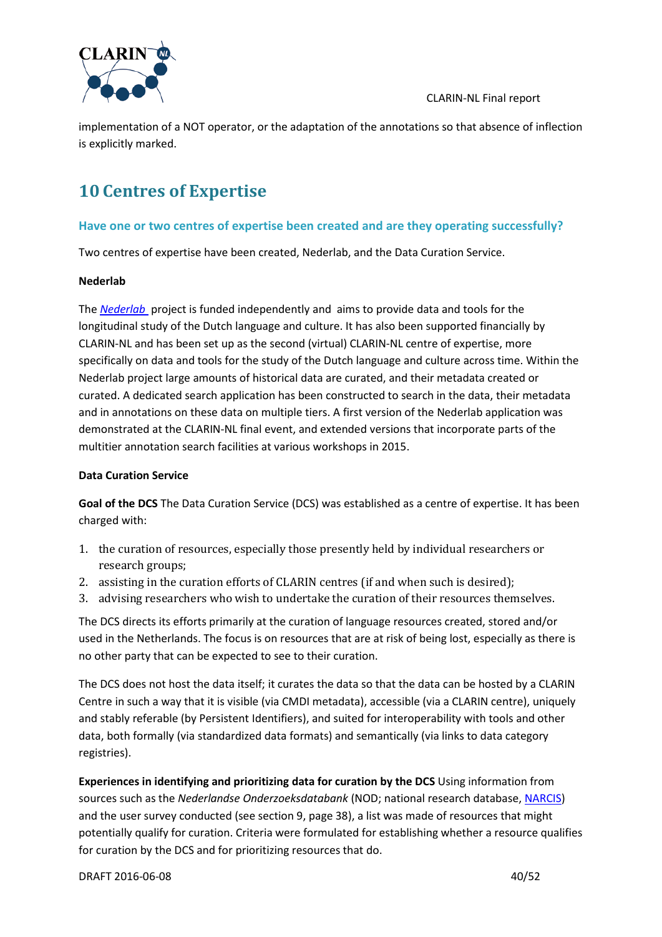

implementation of a NOT operator, or the adaptation of the annotations so that absence of inflection is explicitly marked.

# <span id="page-39-0"></span>**10 Centres of Expertise**

### **Have one or two centres of expertise been created and are they operating successfully?**

Two centres of expertise have been created, Nederlab, and the Data Curation Service.

#### **Nederlab**

The *[Nederlab](http://www.nederlab.nl/)* project is funded independently and aims to provide data and tools for the longitudinal study of the Dutch language and culture. It has also been supported financially by CLARIN-NL and has been set up as the second (virtual) CLARIN-NL centre of expertise, more specifically on data and tools for the study of the Dutch language and culture across time. Within the Nederlab project large amounts of historical data are curated, and their metadata created or curated. A dedicated search application has been constructed to search in the data, their metadata and in annotations on these data on multiple tiers. A first version of the Nederlab application was demonstrated at the CLARIN-NL final event, and extended versions that incorporate parts of the multitier annotation search facilities at various workshops in 2015.

### <span id="page-39-1"></span>**Data Curation Service**

**Goal of the DCS** The Data Curation Service (DCS) was established as a centre of expertise. It has been charged with:

- 1. the curation of resources, especially those presently held by individual researchers or research groups;
- 2. assisting in the curation efforts of CLARIN centres (if and when such is desired);
- 3. advising researchers who wish to undertake the curation of their resources themselves.

The DCS directs its efforts primarily at the curation of language resources created, stored and/or used in the Netherlands. The focus is on resources that are at risk of being lost, especially as there is no other party that can be expected to see to their curation.

The DCS does not host the data itself; it curates the data so that the data can be hosted by a CLARIN Centre in such a way that it is visible (via CMDI metadata), accessible (via a CLARIN centre), uniquely and stably referable (by Persistent Identifiers), and suited for interoperability with tools and other data, both formally (via standardized data formats) and semantically (via links to data category registries).

**Experiences in identifying and prioritizing data for curation by the DCS** Using information from sources such as the *Nederlandse Onderzoeksdatabank* (NOD; national research database, [NARCIS\)](http://www.narcis.nl/) and the user survey conducted (see section [9,](#page-37-0) page [38\)](#page-37-1), a list was made of resources that might potentially qualify for curation. Criteria were formulated for establishing whether a resource qualifies for curation by the DCS and for prioritizing resources that do.

DRAFT 2016-06-08 40/52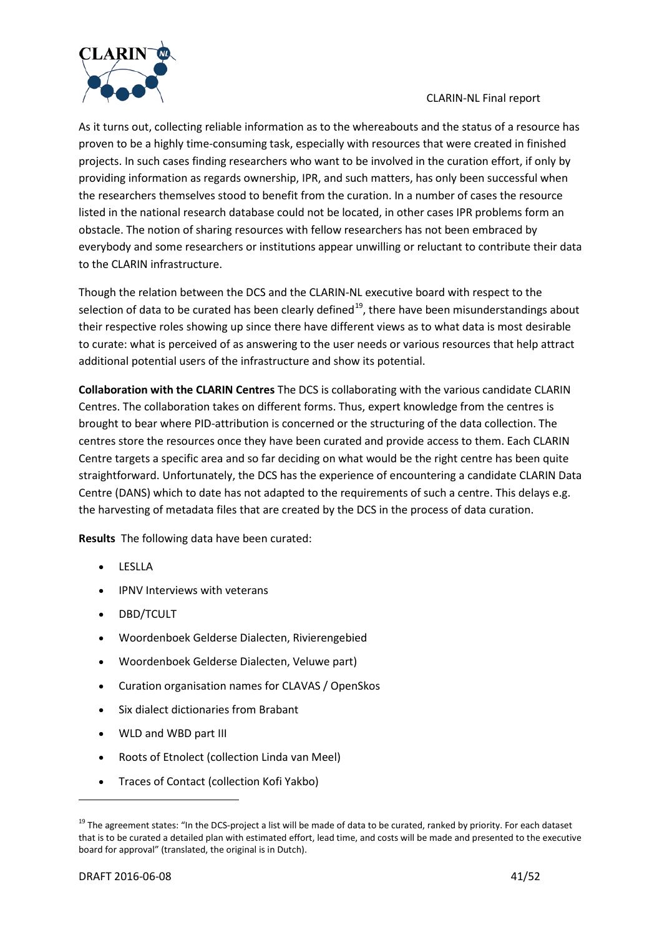

As it turns out, collecting reliable information as to the whereabouts and the status of a resource has proven to be a highly time-consuming task, especially with resources that were created in finished projects. In such cases finding researchers who want to be involved in the curation effort, if only by providing information as regards ownership, IPR, and such matters, has only been successful when the researchers themselves stood to benefit from the curation. In a number of cases the resource listed in the national research database could not be located, in other cases IPR problems form an obstacle. The notion of sharing resources with fellow researchers has not been embraced by everybody and some researchers or institutions appear unwilling or reluctant to contribute their data to the CLARIN infrastructure.

Though the relation between the DCS and the CLARIN-NL executive board with respect to the selection of data to be curated has been clearly defined<sup>[19](#page-40-0)</sup>, there have been misunderstandings about their respective roles showing up since there have different views as to what data is most desirable to curate: what is perceived of as answering to the user needs or various resources that help attract additional potential users of the infrastructure and show its potential.

**Collaboration with the CLARIN Centres** The DCS is collaborating with the various candidate CLARIN Centres. The collaboration takes on different forms. Thus, expert knowledge from the centres is brought to bear where PID-attribution is concerned or the structuring of the data collection. The centres store the resources once they have been curated and provide access to them. Each CLARIN Centre targets a specific area and so far deciding on what would be the right centre has been quite straightforward. Unfortunately, the DCS has the experience of encountering a candidate CLARIN Data Centre (DANS) which to date has not adapted to the requirements of such a centre. This delays e.g. the harvesting of metadata files that are created by the DCS in the process of data curation.

**Results** The following data have been curated:

- LESLLA
- IPNV Interviews with veterans
- DBD/TCULT
- Woordenboek Gelderse Dialecten, Rivierengebied
- Woordenboek Gelderse Dialecten, Veluwe part)
- Curation organisation names for CLAVAS / OpenSkos
- Six dialect dictionaries from Brabant
- WLD and WBD part III
- Roots of Etnolect (collection Linda van Meel)
- Traces of Contact (collection Kofi Yakbo)

<span id="page-40-0"></span><sup>&</sup>lt;sup>19</sup> The agreement states: "In the DCS-project a list will be made of data to be curated, ranked by priority. For each dataset that is to be curated a detailed plan with estimated effort, lead time, and costs will be made and presented to the executive board for approval" (translated, the original is in Dutch).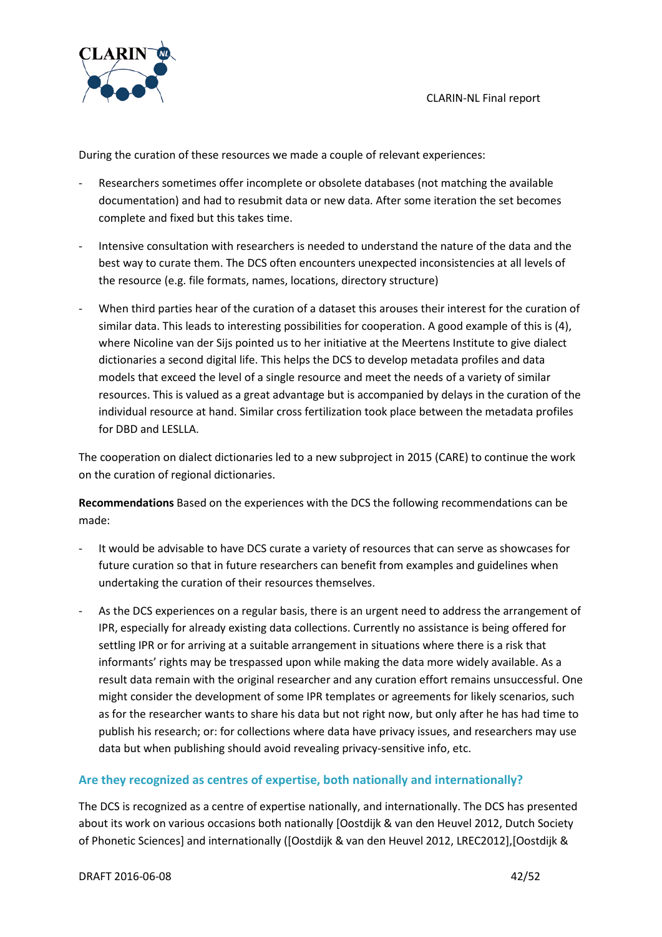

During the curation of these resources we made a couple of relevant experiences:

- Researchers sometimes offer incomplete or obsolete databases (not matching the available documentation) and had to resubmit data or new data. After some iteration the set becomes complete and fixed but this takes time.
- Intensive consultation with researchers is needed to understand the nature of the data and the best way to curate them. The DCS often encounters unexpected inconsistencies at all levels of the resource (e.g. file formats, names, locations, directory structure)
- When third parties hear of the curation of a dataset this arouses their interest for the curation of similar data. This leads to interesting possibilities for cooperation. A good example of this is (4), where Nicoline van der Sijs pointed us to her initiative at the Meertens Institute to give dialect dictionaries a second digital life. This helps the DCS to develop metadata profiles and data models that exceed the level of a single resource and meet the needs of a variety of similar resources. This is valued as a great advantage but is accompanied by delays in the curation of the individual resource at hand. Similar cross fertilization took place between the metadata profiles for DBD and LESLLA.

The cooperation on dialect dictionaries led to a new subproject in 2015 (CARE) to continue the work on the curation of regional dictionaries.

**Recommendations** Based on the experiences with the DCS the following recommendations can be made:

- It would be advisable to have DCS curate a variety of resources that can serve as showcases for future curation so that in future researchers can benefit from examples and guidelines when undertaking the curation of their resources themselves.
- As the DCS experiences on a regular basis, there is an urgent need to address the arrangement of IPR, especially for already existing data collections. Currently no assistance is being offered for settling IPR or for arriving at a suitable arrangement in situations where there is a risk that informants' rights may be trespassed upon while making the data more widely available. As a result data remain with the original researcher and any curation effort remains unsuccessful. One might consider the development of some IPR templates or agreements for likely scenarios, such as for the researcher wants to share his data but not right now, but only after he has had time to publish his research; or: for collections where data have privacy issues, and researchers may use data but when publishing should avoid revealing privacy-sensitive info, etc.

### **Are they recognized as centres of expertise, both nationally and internationally?**

The DCS is recognized as a centre of expertise nationally, and internationally. The DCS has presented about its work on various occasions both nationally [Oostdijk & van den Heuvel 2012, Dutch Society of Phonetic Sciences] and internationally ([Oostdijk & van den Heuvel 2012, LREC2012],[Oostdijk &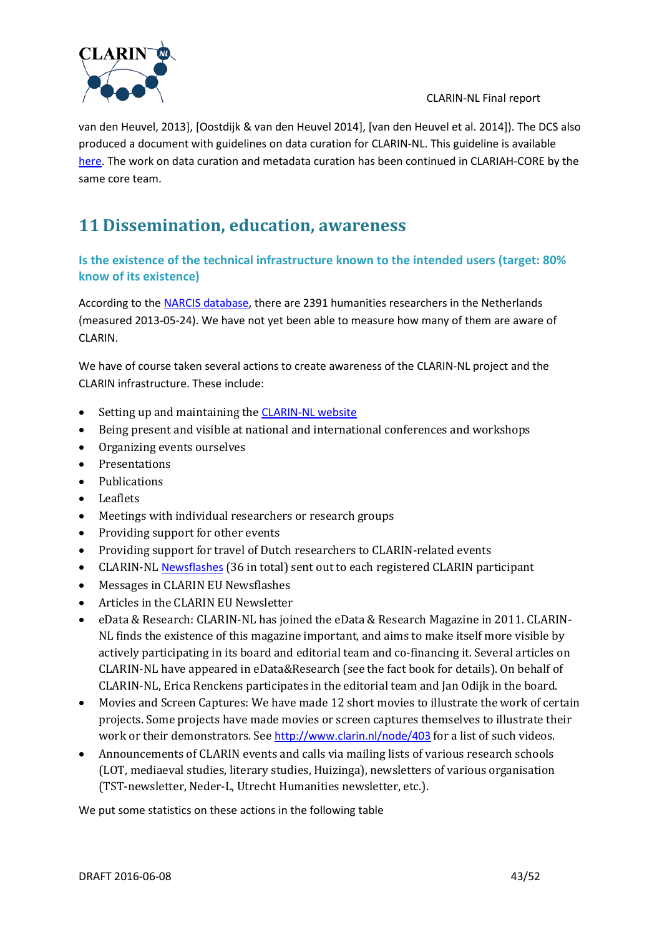

van den Heuvel, 2013], [Oostdijk & van den Heuvel 2014], [van den Heuvel et al. 2014]). The DCS also produced a document with guidelines on data curation for CLARIN-NL. This guideline is available [here.](http://www.clarin.nl/group/415) The work on data curation and metadata curation has been continued in CLARIAH-CORE by the same core team.

# **11 Dissemination, education, awareness**

# **Is the existence of the technical infrastructure known to the intended users (target: 80% know of its existence)**

According to the [NARCIS database,](http://www.narcis.nl/search/coll/person/Language/EN/dd_cat/D30000) there are 2391 humanities researchers in the Netherlands (measured 2013-05-24). We have not yet been able to measure how many of them are aware of CLARIN.

We have of course taken several actions to create awareness of the CLARIN-NL project and the CLARIN infrastructure. These include:

- Setting up and maintaining the [CLARIN-NL website](http://www.clarin.nl/)
- Being present and visible at national and international conferences and workshops
- Organizing events ourselves
- Presentations
- Publications
- Leaflets
- Meetings with individual researchers or research groups
- Providing support for other events
- Providing support for travel of Dutch researchers to CLARIN-related events
- CLARIN-NL [Newsflashes](http://www.clarin.nl/node/82) (36 in total) sent out to each registered CLARIN participant
- Messages in CLARIN EU Newsflashes
- Articles in the CLARIN EU Newsletter
- eData & Research: CLARIN-NL has joined the eData & Research Magazine in 2011. CLARIN-NL finds the existence of this magazine important, and aims to make itself more visible by actively participating in its board and editorial team and co-financing it. Several articles on CLARIN-NL have appeared in eData&Research (see the fact book for details). On behalf of CLARIN-NL, Erica Renckens participates in the editorial team and Jan Odijk in the board.
- Movies and Screen Captures: We have made 12 short movies to illustrate the work of certain projects. Some projects have made movies or screen captures themselves to illustrate their work or their demonstrators. See <http://www.clarin.nl/node/403> for a list of such videos.
- Announcements of CLARIN events and calls via mailing lists of various research schools (LOT, mediaeval studies, literary studies, Huizinga), newsletters of various organisation (TST-newsletter, Neder-L, Utrecht Humanities newsletter, etc.).

We put some statistics on these actions in the following table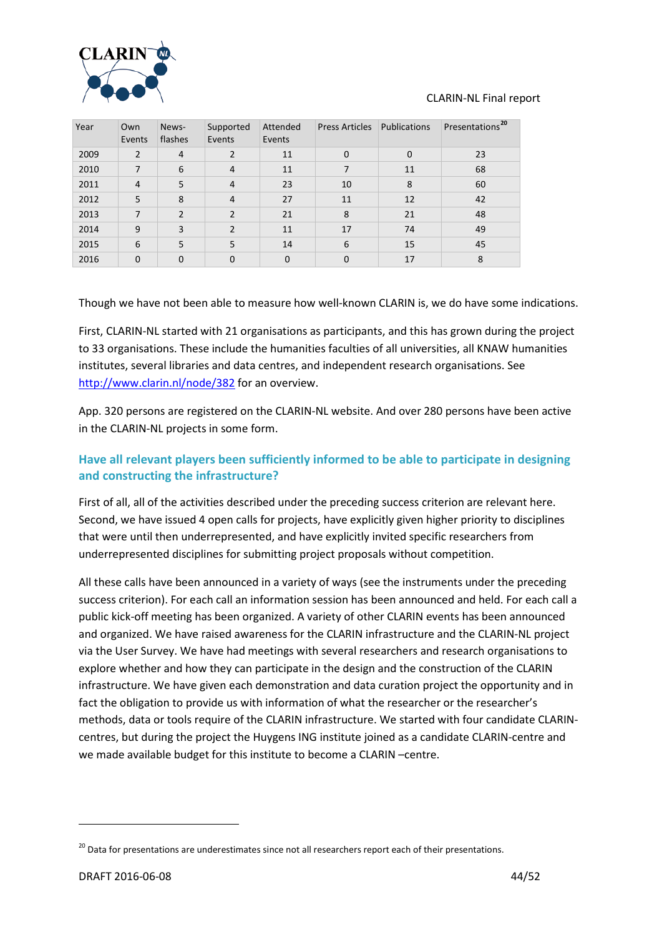

| Year | Own<br>Events  | News-<br>flashes | Supported<br>Events | Attended<br>Events | <b>Press Articles</b> | Publications | Presentations <sup>20</sup> |
|------|----------------|------------------|---------------------|--------------------|-----------------------|--------------|-----------------------------|
| 2009 | 2              | $\overline{4}$   | 2                   | 11                 | $\mathbf{0}$          | $\mathbf 0$  | 23                          |
| 2010 | 7              | 6                | $\overline{4}$      | 11                 | 7                     | 11           | 68                          |
| 2011 | $\overline{4}$ | 5                | $\overline{4}$      | 23                 | 10                    | 8            | 60                          |
| 2012 | 5              | 8                | $\overline{4}$      | 27                 | 11                    | 12           | 42                          |
| 2013 | 7              | $\overline{2}$   | $\mathcal{P}$       | 21                 | 8                     | 21           | 48                          |
| 2014 | 9              | 3                | $\mathcal{P}$       | 11                 | 17                    | 74           | 49                          |
| 2015 | 6              | 5                | 5                   | 14                 | 6                     | 15           | 45                          |
| 2016 | $\Omega$       | 0                | $\Omega$            | 0                  | 0                     | 17           | 8                           |

Though we have not been able to measure how well-known CLARIN is, we do have some indications.

First, CLARIN-NL started with 21 organisations as participants, and this has grown during the project to 33 organisations. These include the humanities faculties of all universities, all KNAW humanities institutes, several libraries and data centres, and independent research organisations. See <http://www.clarin.nl/node/382> for an overview.

App. 320 persons are registered on the CLARIN-NL website. And over 280 persons have been active in the CLARIN-NL projects in some form.

# **Have all relevant players been sufficiently informed to be able to participate in designing and constructing the infrastructure?**

First of all, all of the activities described under the preceding success criterion are relevant here. Second, we have issued 4 open calls for projects, have explicitly given higher priority to disciplines that were until then underrepresented, and have explicitly invited specific researchers from underrepresented disciplines for submitting project proposals without competition.

All these calls have been announced in a variety of ways (see the instruments under the preceding success criterion). For each call an information session has been announced and held. For each call a public kick-off meeting has been organized. A variety of other CLARIN events has been announced and organized. We have raised awareness for the CLARIN infrastructure and the CLARIN-NL project via the User Survey. We have had meetings with several researchers and research organisations to explore whether and how they can participate in the design and the construction of the CLARIN infrastructure. We have given each demonstration and data curation project the opportunity and in fact the obligation to provide us with information of what the researcher or the researcher's methods, data or tools require of the CLARIN infrastructure. We started with four candidate CLARINcentres, but during the project the Huygens ING institute joined as a candidate CLARIN-centre and we made available budget for this institute to become a CLARIN –centre.

<span id="page-43-0"></span><sup>&</sup>lt;sup>20</sup> Data for presentations are underestimates since not all researchers report each of their presentations.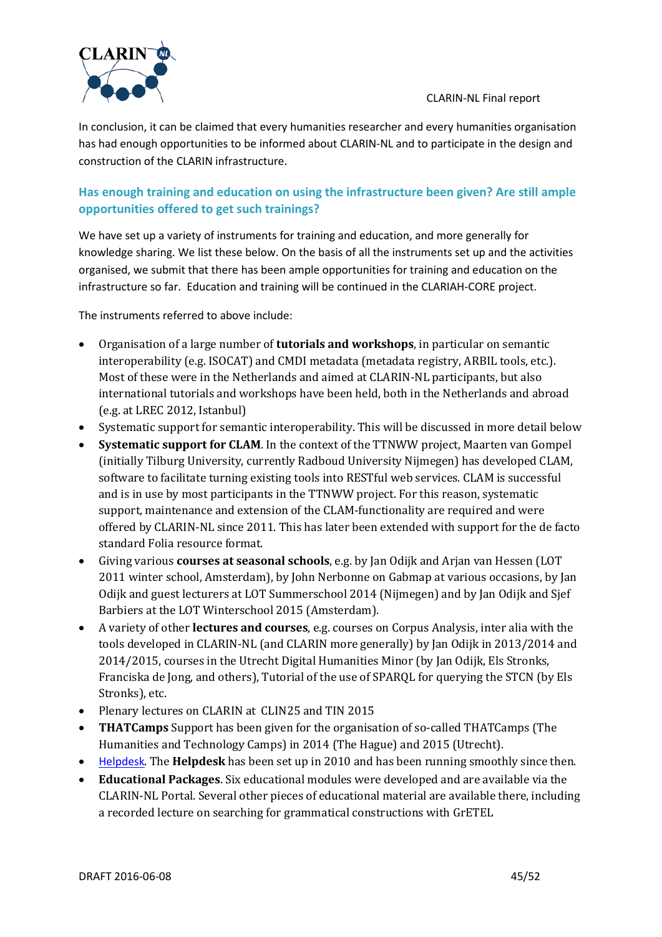

In conclusion, it can be claimed that every humanities researcher and every humanities organisation has had enough opportunities to be informed about CLARIN-NL and to participate in the design and construction of the CLARIN infrastructure.

# **Has enough training and education on using the infrastructure been given? Are still ample opportunities offered to get such trainings?**

We have set up a variety of instruments for training and education, and more generally for knowledge sharing. We list these below. On the basis of all the instruments set up and the activities organised, we submit that there has been ample opportunities for training and education on the infrastructure so far. Education and training will be continued in the CLARIAH-CORE project.

The instruments referred to above include:

- Organisation of a large number of **tutorials and workshops**, in particular on semantic interoperability (e.g. ISOCAT) and CMDI metadata (metadata registry, ARBIL tools, etc.). Most of these were in the Netherlands and aimed at CLARIN-NL participants, but also international tutorials and workshops have been held, both in the Netherlands and abroad (e.g. at LREC 2012, Istanbul)
- Systematic support for semantic interoperability. This will be discussed in more detail below
- **Systematic support for CLAM**. In the context of the TTNWW project, Maarten van Gompel (initially Tilburg University, currently Radboud University Nijmegen) has developed CLAM, software to facilitate turning existing tools into RESTful web services. CLAM is successful and is in use by most participants in the TTNWW project. For this reason, systematic support, maintenance and extension of the CLAM-functionality are required and were offered by CLARIN-NL since 2011. This has later been extended with support for the de facto standard Folia resource format.
- Giving various **courses at seasonal schools**, e.g. by Jan Odijk and Arjan van Hessen (LOT 2011 winter school, Amsterdam), by John Nerbonne on Gabmap at various occasions, by Jan Odijk and guest lecturers at LOT Summerschool 2014 (Nijmegen) and by Jan Odijk and Sjef Barbiers at the LOT Winterschool 2015 (Amsterdam).
- A variety of other **lectures and courses**, e.g. courses on Corpus Analysis, inter alia with the tools developed in CLARIN-NL (and CLARIN more generally) by Jan Odijk in 2013/2014 and 2014/2015, courses in the Utrecht Digital Humanities Minor (by Jan Odijk, Els Stronks, Franciska de Jong, and others), Tutorial of the use of SPARQL for querying the STCN (by Els Stronks), etc.
- Plenary lectures on CLARIN at CLIN25 and TIN 2015
- **THATCamps** Support has been given for the organisation of so-called THATCamps (The Humanities and Technology Camps) in 2014 (The Hague) and 2015 (Utrecht).
- [Helpdesk](http://trac.clarin.nl/trac). The **Helpdesk** has been set up in 2010 and has been running smoothly since then.
- **Educational Packages**. Six educational modules were developed and are available via the CLARIN-NL Portal. Several other pieces of educational material are available there, including a recorded lecture on searching for grammatical constructions with GrETEL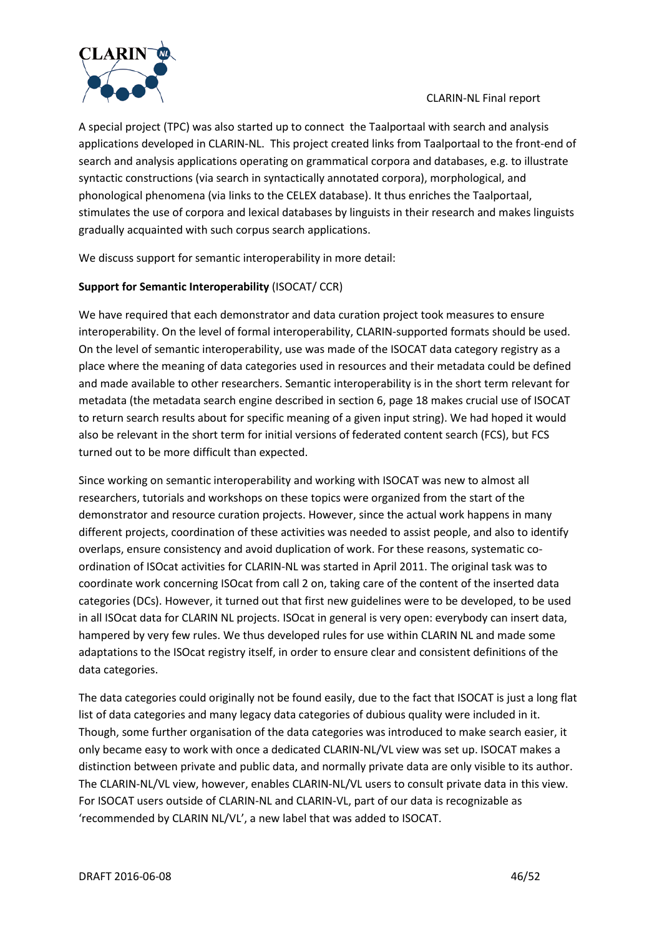

A special project (TPC) was also started up to connect the Taalportaal with search and analysis applications developed in CLARIN-NL. This project created links from Taalportaal to the front-end of search and analysis applications operating on grammatical corpora and databases, e.g. to illustrate syntactic constructions (via search in syntactically annotated corpora), morphological, and phonological phenomena (via links to the CELEX database). It thus enriches the Taalportaal, stimulates the use of corpora and lexical databases by linguists in their research and makes linguists gradually acquainted with such corpus search applications.

We discuss support for semantic interoperability in more detail:

### **Support for Semantic Interoperability** (ISOCAT/ CCR)

We have required that each demonstrator and data curation project took measures to ensure interoperability. On the level of formal interoperability, CLARIN-supported formats should be used. On the level of semantic interoperability, use was made of the ISOCAT data category registry as a place where the meaning of data categories used in resources and their metadata could be defined and made available to other researchers. Semantic interoperability is in the short term relevant for metadata (the metadata search engine described in section [6,](#page-12-0) page [18](#page-17-0) makes crucial use of ISOCAT to return search results about for specific meaning of a given input string). We had hoped it would also be relevant in the short term for initial versions of federated content search (FCS), but FCS turned out to be more difficult than expected.

Since working on semantic interoperability and working with ISOCAT was new to almost all researchers, tutorials and workshops on these topics were organized from the start of the demonstrator and resource curation projects. However, since the actual work happens in many different projects, coordination of these activities was needed to assist people, and also to identify overlaps, ensure consistency and avoid duplication of work. For these reasons, systematic coordination of ISOcat activities for CLARIN-NL was started in April 2011. The original task was to coordinate work concerning ISOcat from call 2 on, taking care of the content of the inserted data categories (DCs). However, it turned out that first new guidelines were to be developed, to be used in all ISOcat data for CLARIN NL projects. ISOcat in general is very open: everybody can insert data, hampered by very few rules. We thus developed rules for use within CLARIN NL and made some adaptations to the ISOcat registry itself, in order to ensure clear and consistent definitions of the data categories.

The data categories could originally not be found easily, due to the fact that ISOCAT is just a long flat list of data categories and many legacy data categories of dubious quality were included in it. Though, some further organisation of the data categories was introduced to make search easier, it only became easy to work with once a dedicated CLARIN-NL/VL view was set up. ISOCAT makes a distinction between private and public data, and normally private data are only visible to its author. The CLARIN-NL/VL view, however, enables CLARIN-NL/VL users to consult private data in this view. For ISOCAT users outside of CLARIN-NL and CLARIN-VL, part of our data is recognizable as 'recommended by CLARIN NL/VL', a new label that was added to ISOCAT.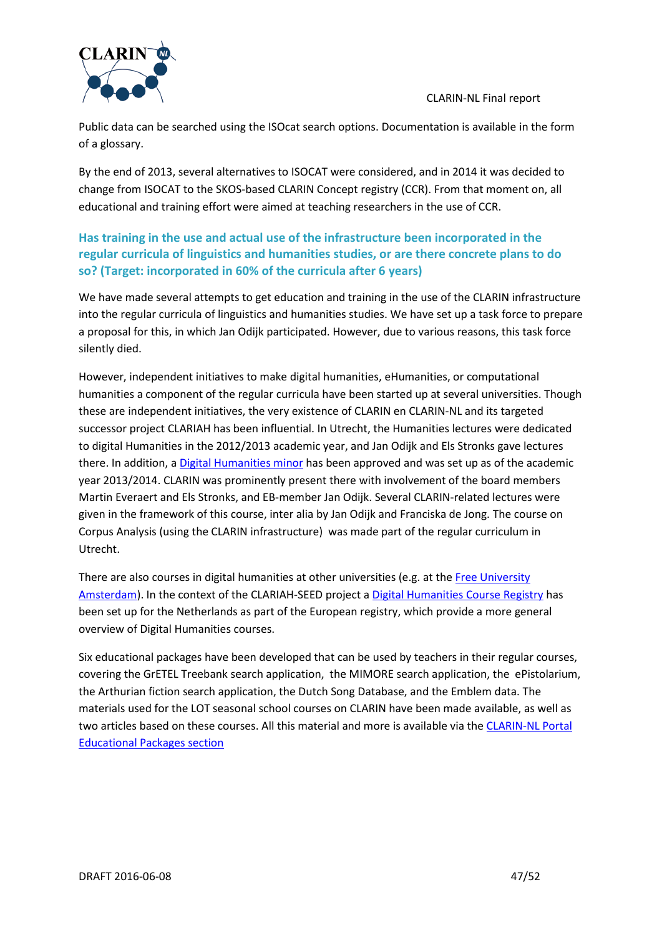

Public data can be searched using the ISOcat search options. Documentation is available in the form of a glossary.

By the end of 2013, several alternatives to ISOCAT were considered, and in 2014 it was decided to change from ISOCAT to the SKOS-based CLARIN Concept registry (CCR). From that moment on, all educational and training effort were aimed at teaching researchers in the use of CCR.

# **Has training in the use and actual use of the infrastructure been incorporated in the regular curricula of linguistics and humanities studies, or are there concrete plans to do so? (Target: incorporated in 60% of the curricula after 6 years)**

We have made several attempts to get education and training in the use of the CLARIN infrastructure into the regular curricula of linguistics and humanities studies. We have set up a task force to prepare a proposal for this, in which Jan Odijk participated. However, due to various reasons, this task force silently died.

However, independent initiatives to make digital humanities, eHumanities, or computational humanities a component of the regular curricula have been started up at several universities. Though these are independent initiatives, the very existence of CLARIN en CLARIN-NL and its targeted successor project CLARIAH has been influential. In Utrecht, the Humanities lectures were dedicated to digital Humanities in the 2012/2013 academic year, and Jan Odijk and Els Stronks gave lectures there. In addition, [a Digital Humanities minor](http://blog.hum.uu.nl/digitalhumanities/) has been approved and was set up as of the academic year 2013/2014. CLARIN was prominently present there with involvement of the board members Martin Everaert and Els Stronks, and EB-member Jan Odijk. Several CLARIN-related lectures were given in the framework of this course, inter alia by Jan Odijk and Franciska de Jong. The course on Corpus Analysis (using the CLARIN infrastructure) was made part of the regular curriculum in Utrecht.

There are also courses in digital humanities at other universities (e.g. at the Free University [Amsterdam\)](http://www.let.vu.nl/nl/studenten/studiegids/2012-2013/exchange-courses/index.asp?view=module&id=50599492). In the context of the CLARIAH-SEED project a [Digital Humanities Course Registry](http://www.clariah.nl/projecten/dodh/341-dodh?highlight=WyJjb3Vyc2UiLCJyZWdpc3RyeSIsImNvdXJzZSByZWdpc3RyeSJd%23course-registry) has been set up for the Netherlands as part of the European registry, which provide a more general overview of Digital Humanities courses.

Six educational packages have been developed that can be used by teachers in their regular courses, covering the GrETEL Treebank search application, the MIMORE search application, the ePistolarium, the Arthurian fiction search application, the Dutch Song Database, and the Emblem data. The materials used for the LOT seasonal school courses on CLARIN have been made available, as well as two articles based on these courses. All this material and more is available via th[e CLARIN-NL Portal](http://portal.clarin.nl/node/CLARIN%20Educational%20Packages)  [Educational Packages section](http://portal.clarin.nl/node/CLARIN%20Educational%20Packages)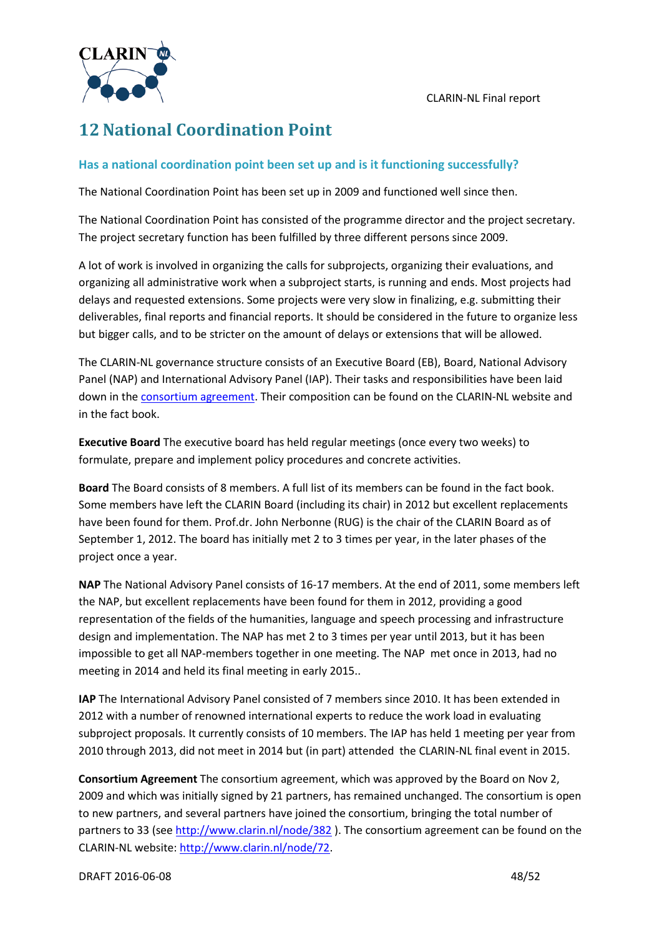

# <span id="page-47-0"></span>**12National Coordination Point**

### **Has a national coordination point been set up and is it functioning successfully?**

The National Coordination Point has been set up in 2009 and functioned well since then.

The National Coordination Point has consisted of the programme director and the project secretary. The project secretary function has been fulfilled by three different persons since 2009.

A lot of work is involved in organizing the calls for subprojects, organizing their evaluations, and organizing all administrative work when a subproject starts, is running and ends. Most projects had delays and requested extensions. Some projects were very slow in finalizing, e.g. submitting their deliverables, final reports and financial reports. It should be considered in the future to organize less but bigger calls, and to be stricter on the amount of delays or extensions that will be allowed.

The CLARIN-NL governance structure consists of an Executive Board (EB), Board, National Advisory Panel (NAP) and International Advisory Panel (IAP). Their tasks and responsibilities have been laid down in the [consortium agreement.](http://www.clarin.nl/node/72) Their composition can be found on the CLARIN-NL website and in the fact book.

**Executive Board** The executive board has held regular meetings (once every two weeks) to formulate, prepare and implement policy procedures and concrete activities.

**Board** The Board consists of 8 members. A full list of its members can be found in the fact book. Some members have left the CLARIN Board (including its chair) in 2012 but excellent replacements have been found for them. Prof.dr. John Nerbonne (RUG) is the chair of the CLARIN Board as of September 1, 2012. The board has initially met 2 to 3 times per year, in the later phases of the project once a year.

**NAP** The National Advisory Panel consists of 16-17 members. At the end of 2011, some members left the NAP, but excellent replacements have been found for them in 2012, providing a good representation of the fields of the humanities, language and speech processing and infrastructure design and implementation. The NAP has met 2 to 3 times per year until 2013, but it has been impossible to get all NAP-members together in one meeting. The NAP met once in 2013, had no meeting in 2014 and held its final meeting in early 2015..

**IAP** The International Advisory Panel consisted of 7 members since 2010. It has been extended in 2012 with a number of renowned international experts to reduce the work load in evaluating subproject proposals. It currently consists of 10 members. The IAP has held 1 meeting per year from 2010 through 2013, did not meet in 2014 but (in part) attended the CLARIN-NL final event in 2015.

**Consortium Agreement** The consortium agreement, which was approved by the Board on Nov 2, 2009 and which was initially signed by 21 partners, has remained unchanged. The consortium is open to new partners, and several partners have joined the consortium, bringing the total number of partners to 33 (see <http://www.clarin.nl/node/382> ). The consortium agreement can be found on the CLARIN-NL website[: http://www.clarin.nl/node/72.](http://www.clarin.nl/node/72)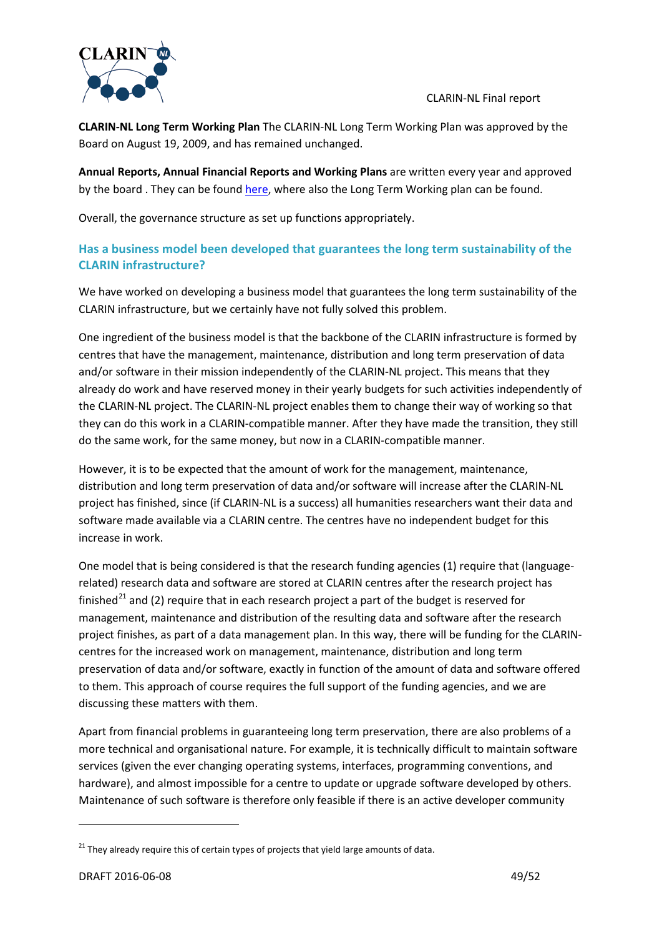

**CLARIN-NL Long Term Working Plan** The CLARIN-NL Long Term Working Plan was approved by the Board on August 19, 2009, and has remained unchanged.

**Annual Reports, Annual Financial Reports and Working Plans** are written every year and approved by the board. They can be found [here,](http://www.clarin.nl/page/about/47) where also the Long Term Working plan can be found.

Overall, the governance structure as set up functions appropriately.

# **Has a business model been developed that guarantees the long term sustainability of the CLARIN infrastructure?**

We have worked on developing a business model that guarantees the long term sustainability of the CLARIN infrastructure, but we certainly have not fully solved this problem.

One ingredient of the business model is that the backbone of the CLARIN infrastructure is formed by centres that have the management, maintenance, distribution and long term preservation of data and/or software in their mission independently of the CLARIN-NL project. This means that they already do work and have reserved money in their yearly budgets for such activities independently of the CLARIN-NL project. The CLARIN-NL project enables them to change their way of working so that they can do this work in a CLARIN-compatible manner. After they have made the transition, they still do the same work, for the same money, but now in a CLARIN-compatible manner.

However, it is to be expected that the amount of work for the management, maintenance, distribution and long term preservation of data and/or software will increase after the CLARIN-NL project has finished, since (if CLARIN-NL is a success) all humanities researchers want their data and software made available via a CLARIN centre. The centres have no independent budget for this increase in work.

One model that is being considered is that the research funding agencies (1) require that (languagerelated) research data and software are stored at CLARIN centres after the research project has finished<sup>[21](#page-48-0)</sup> and (2) require that in each research project a part of the budget is reserved for management, maintenance and distribution of the resulting data and software after the research project finishes, as part of a data management plan. In this way, there will be funding for the CLARINcentres for the increased work on management, maintenance, distribution and long term preservation of data and/or software, exactly in function of the amount of data and software offered to them. This approach of course requires the full support of the funding agencies, and we are discussing these matters with them.

Apart from financial problems in guaranteeing long term preservation, there are also problems of a more technical and organisational nature. For example, it is technically difficult to maintain software services (given the ever changing operating systems, interfaces, programming conventions, and hardware), and almost impossible for a centre to update or upgrade software developed by others. Maintenance of such software is therefore only feasible if there is an active developer community

<span id="page-48-0"></span> $21$  They already require this of certain types of projects that yield large amounts of data.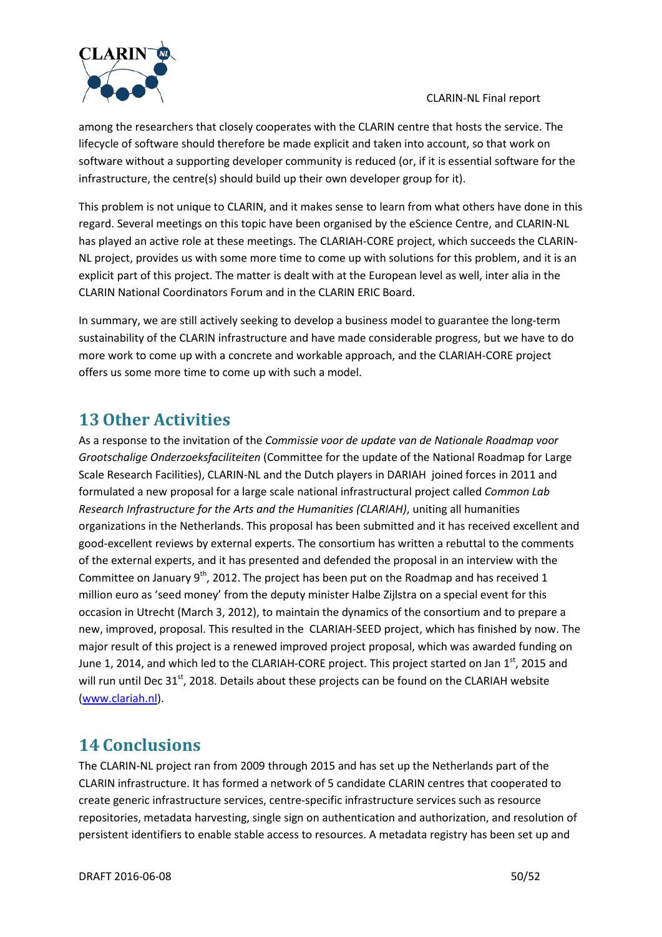

among the researchers that closely cooperates with the CLARIN centre that hosts the service. The lifecycle of software should therefore be made explicit and taken into account, so that work on software without a supporting developer community is reduced (or, if it is essential software for the infrastructure, the centre(s) should build up their own developer group for it).

This problem is not unique to CLARIN, and it makes sense to learn from what others have done in this regard. Several meetings on this topic have been organised by the eScience Centre, and CLARIN-NL has played an active role at these meetings. The CLARIAH-CORE project, which succeeds the CLARIN-NL project, provides us with some more time to come up with solutions for this problem, and it is an explicit part of this project. The matter is dealt with at the European level as well, inter alia in the CLARIN National Coordinators Forum and in the CLARIN ERIC Board.

In summary, we are still actively seeking to develop a business model to guarantee the long-term sustainability of the CLARIN infrastructure and have made considerable progress, but we have to do more work to come up with a concrete and workable approach, and the CLARIAH-CORE project offers us some more time to come up with such a model.

# <span id="page-49-0"></span>**13Other Activities**

As a response to the invitation of the *Commissie voor de update van de Nationale Roadmap voor Grootschalige Onderzoeksfaciliteiten* (Committee for the update of the National Roadmap for Large Scale Research Facilities), CLARIN-NL and the Dutch players in DARIAH joined forces in 2011 and formulated a new proposal for a large scale national infrastructural project called *Common Lab Research Infrastructure for the Arts and the Humanities (CLARIAH)*, uniting all humanities organizations in the Netherlands. This proposal has been submitted and it has received excellent and good-excellent reviews by external experts. The consortium has written a rebuttal to the comments of the external experts, and it has presented and defended the proposal in an interview with the Committee on January  $9<sup>th</sup>$ , 2012. The project has been put on the Roadmap and has received 1 million euro as 'seed money' from the deputy minister Halbe Zijlstra on a special event for this occasion in Utrecht (March 3, 2012), to maintain the dynamics of the consortium and to prepare a new, improved, proposal. This resulted in the CLARIAH-SEED project, which has finished by now. The major result of this project is a renewed improved project proposal, which was awarded funding on June 1, 2014, and which led to the CLARIAH-CORE project. This project started on Jan 1<sup>st</sup>, 2015 and will run until Dec 31<sup>st</sup>, 2018. Details about these projects can be found on the CLARIAH website [\(www.clariah.nl\)](http://www.clariah.nl/).

# <span id="page-49-1"></span>**14 Conclusions**

The CLARIN-NL project ran from 2009 through 2015 and has set up the Netherlands part of the CLARIN infrastructure. It has formed a network of 5 candidate CLARIN centres that cooperated to create generic infrastructure services, centre-specific infrastructure services such as resource repositories, metadata harvesting, single sign on authentication and authorization, and resolution of persistent identifiers to enable stable access to resources. A metadata registry has been set up and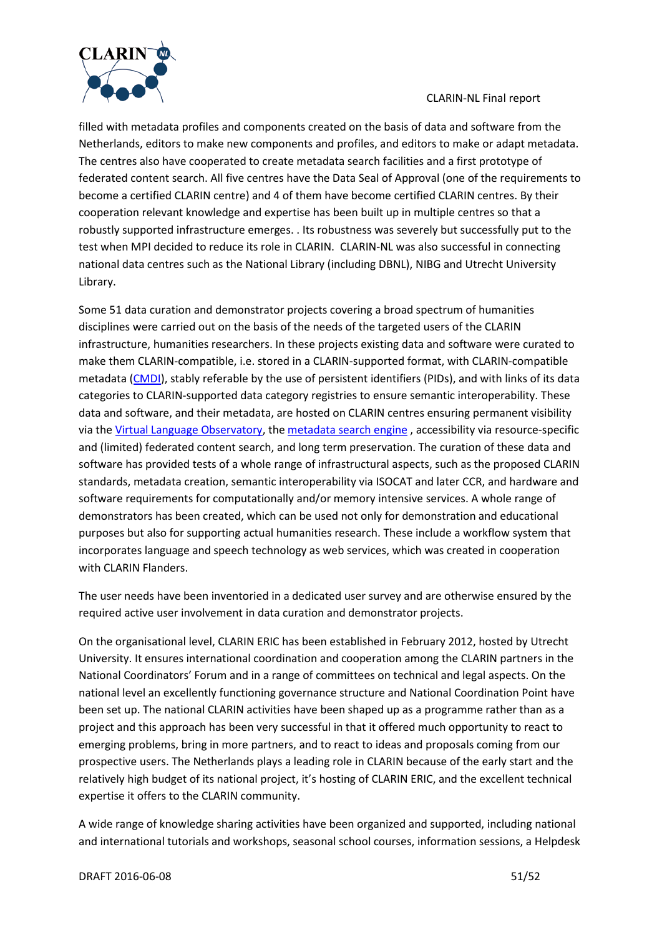

filled with metadata profiles and components created on the basis of data and software from the Netherlands, editors to make new components and profiles, and editors to make or adapt metadata. The centres also have cooperated to create metadata search facilities and a first prototype of federated content search. All five centres have the Data Seal of Approval (one of the requirements to become a certified CLARIN centre) and 4 of them have become certified CLARIN centres. By their cooperation relevant knowledge and expertise has been built up in multiple centres so that a robustly supported infrastructure emerges. . Its robustness was severely but successfully put to the test when MPI decided to reduce its role in CLARIN. CLARIN-NL was also successful in connecting national data centres such as the National Library (including DBNL), NIBG and Utrecht University Library.

Some 51 data curation and demonstrator projects covering a broad spectrum of humanities disciplines were carried out on the basis of the needs of the targeted users of the CLARIN infrastructure, humanities researchers. In these projects existing data and software were curated to make them CLARIN-compatible, i.e. stored in a CLARIN-supported format, with CLARIN-compatible metadata [\(CMDI\)](http://www.clarin.eu/node/3219), stably referable by the use of persistent identifiers (PIDs), and with links of its data categories to CLARIN-supported data category registries to ensure semantic interoperability. These data and software, and their metadata, are hosted on CLARIN centres ensuring permanent visibility via th[e Virtual Language Observatory,](http://www.clarin.eu/vlo) the [metadata search engine](http://www.meertens.knaw.nl/cmdi/search) , accessibility via resource-specific and (limited) federated content search, and long term preservation. The curation of these data and software has provided tests of a whole range of infrastructural aspects, such as the proposed CLARIN standards, metadata creation, semantic interoperability via ISOCAT and later CCR, and hardware and software requirements for computationally and/or memory intensive services. A whole range of demonstrators has been created, which can be used not only for demonstration and educational purposes but also for supporting actual humanities research. These include a workflow system that incorporates language and speech technology as web services, which was created in cooperation with CLARIN Flanders.

The user needs have been inventoried in a dedicated user survey and are otherwise ensured by the required active user involvement in data curation and demonstrator projects.

On the organisational level, CLARIN ERIC has been established in February 2012, hosted by Utrecht University. It ensures international coordination and cooperation among the CLARIN partners in the National Coordinators' Forum and in a range of committees on technical and legal aspects. On the national level an excellently functioning governance structure and National Coordination Point have been set up. The national CLARIN activities have been shaped up as a programme rather than as a project and this approach has been very successful in that it offered much opportunity to react to emerging problems, bring in more partners, and to react to ideas and proposals coming from our prospective users. The Netherlands plays a leading role in CLARIN because of the early start and the relatively high budget of its national project, it's hosting of CLARIN ERIC, and the excellent technical expertise it offers to the CLARIN community.

A wide range of knowledge sharing activities have been organized and supported, including national and international tutorials and workshops, seasonal school courses, information sessions, a Helpdesk